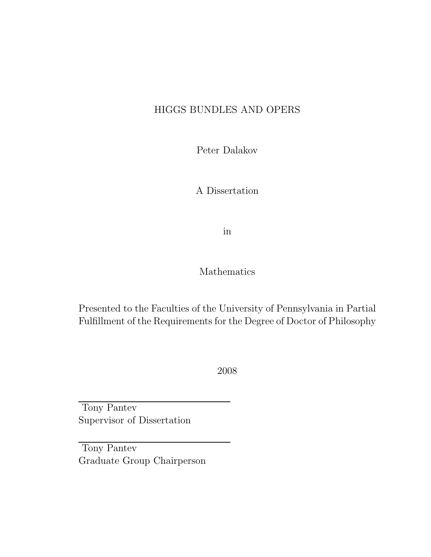### HIGGS BUNDLES AND OPERS

Peter Dalakov

A Dissertation

in

#### Mathematics

Presented to the Faculties of the University of Pennsylvania in Partial Fulfillment of the Requirements for the Degree of Doctor of Philosophy

2008

Tony Pantev Supervisor of Dissertation

Tony Pantev Graduate Group Chairperson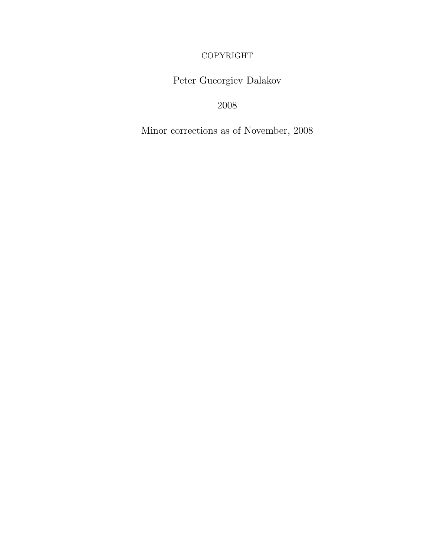COPYRIGHT

Peter Gueorgiev Dalakov

2008

Minor corrections as of November, 2008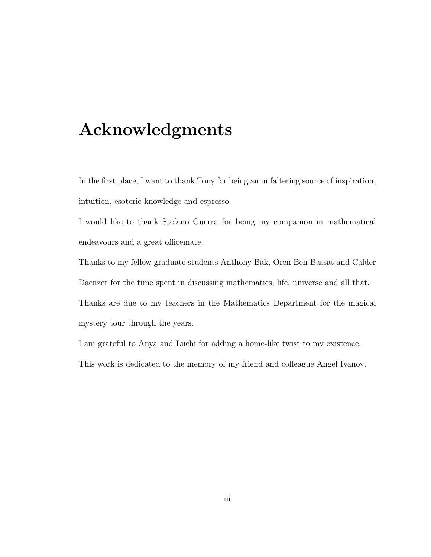### Acknowledgments

In the first place, I want to thank Tony for being an unfaltering source of inspiration, intuition, esoteric knowledge and espresso.

I would like to thank Stefano Guerra for being my companion in mathematical endeavours and a great officemate.

Thanks to my fellow graduate students Anthony Bak, Oren Ben-Bassat and Calder Daenzer for the time spent in discussing mathematics, life, universe and all that. Thanks are due to my teachers in the Mathematics Department for the magical mystery tour through the years.

I am grateful to Anya and Luchi for adding a home-like twist to my existence. This work is dedicated to the memory of my friend and colleague Angel Ivanov.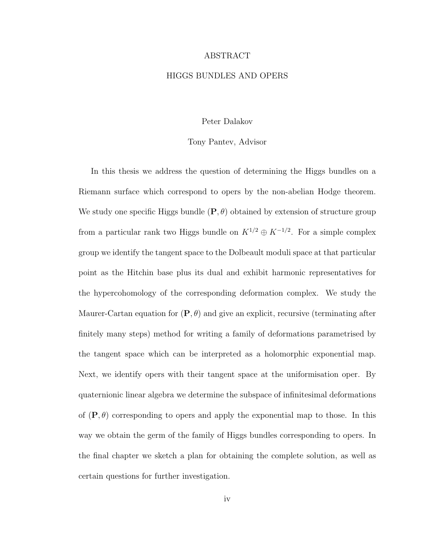#### ABSTRACT

#### HIGGS BUNDLES AND OPERS

#### Peter Dalakov

#### Tony Pantev, Advisor

In this thesis we address the question of determining the Higgs bundles on a Riemann surface which correspond to opers by the non-abelian Hodge theorem. We study one specific Higgs bundle  $(P, \theta)$  obtained by extension of structure group from a particular rank two Higgs bundle on  $K^{1/2} \oplus K^{-1/2}$ . For a simple complex group we identify the tangent space to the Dolbeault moduli space at that particular point as the Hitchin base plus its dual and exhibit harmonic representatives for the hypercohomology of the corresponding deformation complex. We study the Maurer-Cartan equation for  $(P, \theta)$  and give an explicit, recursive (terminating after finitely many steps) method for writing a family of deformations parametrised by the tangent space which can be interpreted as a holomorphic exponential map. Next, we identify opers with their tangent space at the uniformisation oper. By quaternionic linear algebra we determine the subspace of infinitesimal deformations of  $(\mathbf{P}, \theta)$  corresponding to opers and apply the exponential map to those. In this way we obtain the germ of the family of Higgs bundles corresponding to opers. In the final chapter we sketch a plan for obtaining the complete solution, as well as certain questions for further investigation.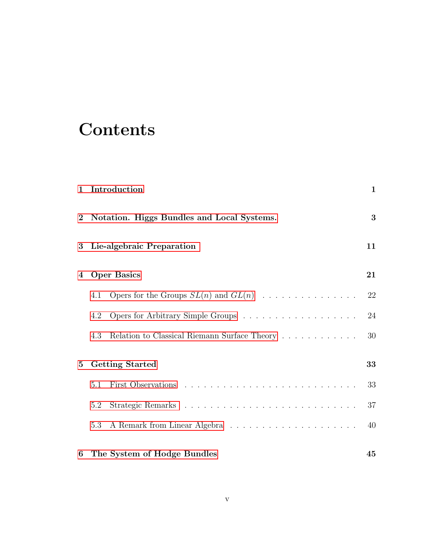### **Contents**

| $\mathbf 1$           |                                            | Introduction                                 | $\mathbf{1}$ |
|-----------------------|--------------------------------------------|----------------------------------------------|--------------|
| $\mathbf{2}^{\prime}$ | Notation. Higgs Bundles and Local Systems. |                                              | 3            |
| $\bf{3}$              |                                            | Lie-algebraic Preparation                    | 11           |
| 4                     | <b>Oper Basics</b>                         |                                              | 21           |
|                       | 4.1                                        | Opers for the Groups $SL(n)$ and $GL(n)$     | 22           |
|                       | 4.2                                        |                                              | 24           |
|                       | 4.3                                        | Relation to Classical Riemann Surface Theory | 30           |
| $5\overline{)}$       |                                            | <b>Getting Started</b>                       | 33           |
|                       | 5.1                                        |                                              | 33           |
|                       | 5.2                                        |                                              | 37           |
|                       | 5.3                                        |                                              | 40           |
| 6                     |                                            | The System of Hodge Bundles                  | 45           |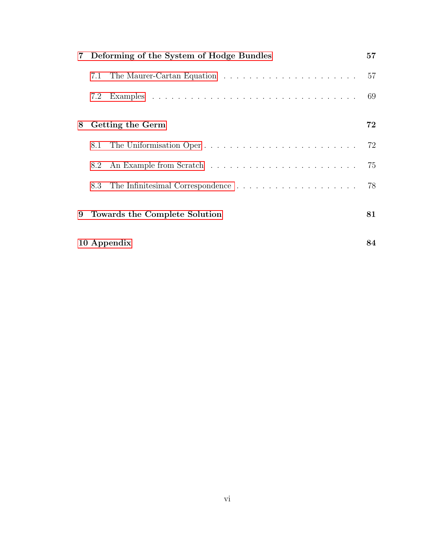| $7^{\circ}$ |                               | Deforming of the System of Hodge Bundles | 57 |
|-------------|-------------------------------|------------------------------------------|----|
|             | 7.1                           |                                          | 57 |
|             | 7.2                           |                                          | 69 |
| 8           |                               | Getting the Germ                         | 72 |
|             | 8.1                           |                                          | 72 |
|             | 8.2                           |                                          | 75 |
|             | 8.3                           |                                          | 78 |
| 9           | Towards the Complete Solution |                                          |    |
| 10 Appendix |                               |                                          | 84 |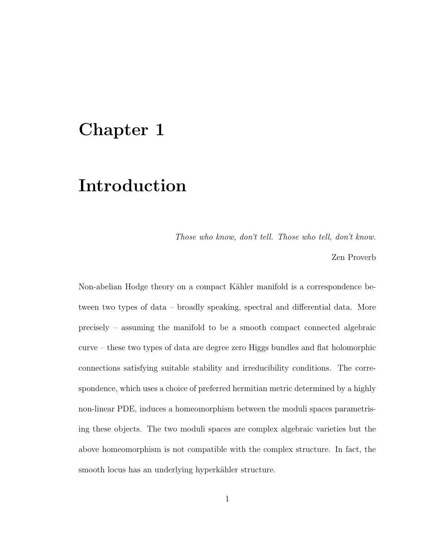### <span id="page-6-0"></span>Chapter 1

### Introduction

Those who know, don't tell. Those who tell, don't know.

Zen Proverb

Non-abelian Hodge theory on a compact Kähler manifold is a correspondence between two types of data – broadly speaking, spectral and differential data. More precisely – assuming the manifold to be a smooth compact connected algebraic curve – these two types of data are degree zero Higgs bundles and flat holomorphic connections satisfying suitable stability and irreducibility conditions. The correspondence, which uses a choice of preferred hermitian metric determined by a highly non-linear PDE, induces a homeomorphism between the moduli spaces parametrising these objects. The two moduli spaces are complex algebraic varieties but the above homeomorphism is not compatible with the complex structure. In fact, the smooth locus has an underlying hyperkähler structure.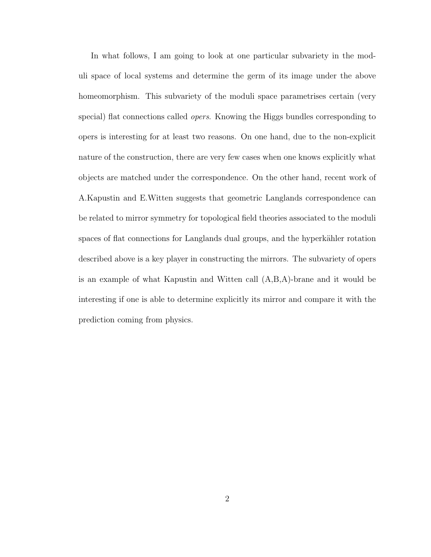In what follows, I am going to look at one particular subvariety in the moduli space of local systems and determine the germ of its image under the above homeomorphism. This subvariety of the moduli space parametrises certain (very special) flat connections called opers. Knowing the Higgs bundles corresponding to opers is interesting for at least two reasons. On one hand, due to the non-explicit nature of the construction, there are very few cases when one knows explicitly what objects are matched under the correspondence. On the other hand, recent work of A.Kapustin and E.Witten suggests that geometric Langlands correspondence can be related to mirror symmetry for topological field theories associated to the moduli spaces of flat connections for Langlands dual groups, and the hyperkähler rotation described above is a key player in constructing the mirrors. The subvariety of opers is an example of what Kapustin and Witten call (A,B,A)-brane and it would be interesting if one is able to determine explicitly its mirror and compare it with the prediction coming from physics.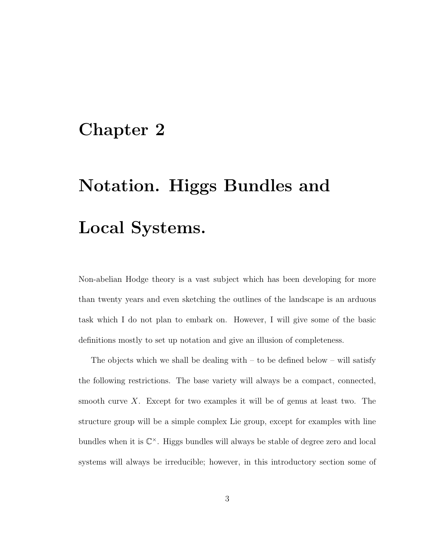### <span id="page-8-0"></span>Chapter 2

# Notation. Higgs Bundles and Local Systems.

Non-abelian Hodge theory is a vast subject which has been developing for more than twenty years and even sketching the outlines of the landscape is an arduous task which I do not plan to embark on. However, I will give some of the basic definitions mostly to set up notation and give an illusion of completeness.

The objects which we shall be dealing with  $-$  to be defined below  $-$  will satisfy the following restrictions. The base variety will always be a compact, connected, smooth curve X. Except for two examples it will be of genus at least two. The structure group will be a simple complex Lie group, except for examples with line bundles when it is  $\mathbb{C}^{\times}$ . Higgs bundles will always be stable of degree zero and local systems will always be irreducible; however, in this introductory section some of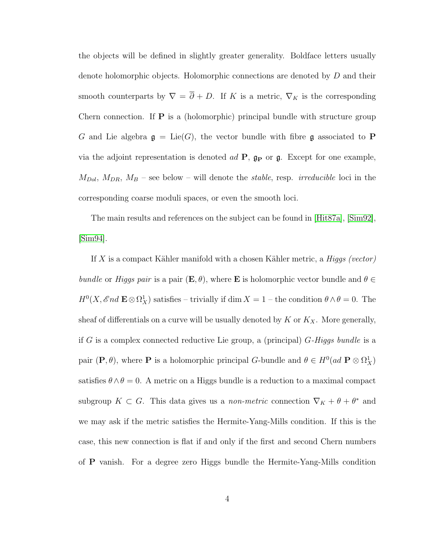the objects will be defined in slightly greater generality. Boldface letters usually denote holomorphic objects. Holomorphic connections are denoted by D and their smooth counterparts by  $\nabla = \overline{\partial} + D$ . If K is a metric,  $\nabla_K$  is the corresponding Chern connection. If  $P$  is a (holomorphic) principal bundle with structure group G and Lie algebra  $\mathfrak{g} = \text{Lie}(G)$ , the vector bundle with fibre g associated to P via the adjoint representation is denoted  $ad \, \mathbf{P}$ ,  $\mathbf{g}_{\mathbf{P}}$  or  $\mathbf{g}$ . Except for one example,  $M_{Dol}$ ,  $M_{DR}$ ,  $M_B$  – see below – will denote the *stable*, resp. *irreducible* loci in the corresponding coarse moduli spaces, or even the smooth loci.

The main results and references on the subject can be found in [\[Hit87a\]](#page-97-0), [\[Sim92\]](#page-99-0), [\[Sim94\]](#page-99-1).

If  $X$  is a compact Kähler manifold with a chosen Kähler metric, a *Higgs (vector)* bundle or Higgs pair is a pair  $(E, \theta)$ , where **E** is holomorphic vector bundle and  $\theta \in$  $H^0(X, \mathscr{E}nd \to \mathfrak{D}_X^1)$  satisfies – trivially if dim  $X = 1$  – the condition  $\theta \wedge \theta = 0$ . The sheaf of differentials on a curve will be usually denoted by  $K$  or  $K_X$ . More generally, if G is a complex connected reductive Lie group, a (principal)  $G$ -Higgs bundle is a pair  $(P, \theta)$ , where P is a holomorphic principal G-bundle and  $\theta \in H^0(ad \ P \otimes \Omega^1_X)$ satisfies  $\theta \wedge \theta = 0$ . A metric on a Higgs bundle is a reduction to a maximal compact subgroup  $K \subset G$ . This data gives us a *non-metric* connection  $\nabla_K + \theta + \theta^*$  and we may ask if the metric satisfies the Hermite-Yang-Mills condition. If this is the case, this new connection is flat if and only if the first and second Chern numbers of P vanish. For a degree zero Higgs bundle the Hermite-Yang-Mills condition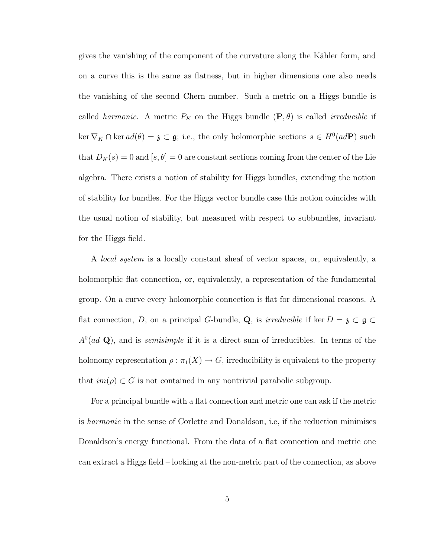gives the vanishing of the component of the curvature along the Kähler form, and on a curve this is the same as flatness, but in higher dimensions one also needs the vanishing of the second Chern number. Such a metric on a Higgs bundle is called *harmonic*. A metric  $P_K$  on the Higgs bundle  $(\mathbf{P}, \theta)$  is called *irreducible* if  $\ker \nabla_K \cap \ker ad(\theta) = \mathfrak{z} \subset \mathfrak{g}$ ; i.e., the only holomorphic sections  $s \in H^0(adP)$  such that  $D_K(s) = 0$  and  $[s, \theta] = 0$  are constant sections coming from the center of the Lie algebra. There exists a notion of stability for Higgs bundles, extending the notion of stability for bundles. For the Higgs vector bundle case this notion coincides with the usual notion of stability, but measured with respect to subbundles, invariant for the Higgs field.

A local system is a locally constant sheaf of vector spaces, or, equivalently, a holomorphic flat connection, or, equivalently, a representation of the fundamental group. On a curve every holomorphic connection is flat for dimensional reasons. A flat connection, D, on a principal G-bundle, Q, is *irreducible* if ker  $D = \mathfrak{z} \subset \mathfrak{g} \subset \mathfrak{g}$  $A^{0}(ad \mathbf{Q})$ , and is *semisimple* if it is a direct sum of irreducibles. In terms of the holonomy representation  $\rho : \pi_1(X) \to G$ , irreducibility is equivalent to the property that  $im(\rho) \subset G$  is not contained in any nontrivial parabolic subgroup.

For a principal bundle with a flat connection and metric one can ask if the metric is harmonic in the sense of Corlette and Donaldson, i.e, if the reduction minimises Donaldson's energy functional. From the data of a flat connection and metric one can extract a Higgs field – looking at the non-metric part of the connection, as above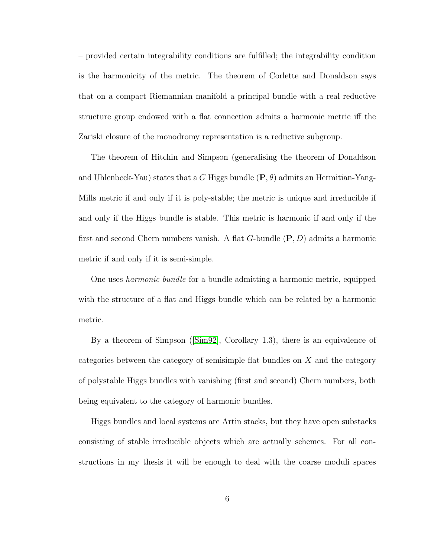– provided certain integrability conditions are fulfilled; the integrability condition is the harmonicity of the metric. The theorem of Corlette and Donaldson says that on a compact Riemannian manifold a principal bundle with a real reductive structure group endowed with a flat connection admits a harmonic metric iff the Zariski closure of the monodromy representation is a reductive subgroup.

The theorem of Hitchin and Simpson (generalising the theorem of Donaldson and Uhlenbeck-Yau) states that a G Higgs bundle  $(\mathbf{P}, \theta)$  admits an Hermitian-Yang-Mills metric if and only if it is poly-stable; the metric is unique and irreducible if and only if the Higgs bundle is stable. This metric is harmonic if and only if the first and second Chern numbers vanish. A flat G-bundle  $(P, D)$  admits a harmonic metric if and only if it is semi-simple.

One uses harmonic bundle for a bundle admitting a harmonic metric, equipped with the structure of a flat and Higgs bundle which can be related by a harmonic metric.

By a theorem of Simpson ([\[Sim92\]](#page-99-0), Corollary 1.3), there is an equivalence of categories between the category of semisimple flat bundles on X and the category of polystable Higgs bundles with vanishing (first and second) Chern numbers, both being equivalent to the category of harmonic bundles.

Higgs bundles and local systems are Artin stacks, but they have open substacks consisting of stable irreducible objects which are actually schemes. For all constructions in my thesis it will be enough to deal with the coarse moduli spaces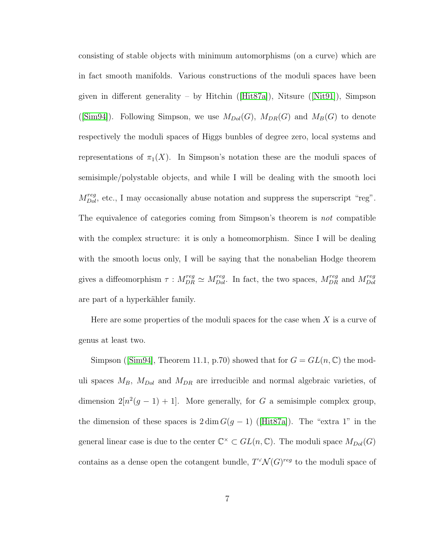consisting of stable objects with minimum automorphisms (on a curve) which are in fact smooth manifolds. Various constructions of the moduli spaces have been givenin different generality – by Hitchin ([\[Hit87a\]](#page-97-0)), Nitsure ([\[Nit91\]](#page-99-2)), Simpson ([\[Sim94\]](#page-99-1)). Following Simpson, we use  $M_{Dol}(G)$ ,  $M_{DR}(G)$  and  $M_B(G)$  to denote respectively the moduli spaces of Higgs bunbles of degree zero, local systems and representations of  $\pi_1(X)$ . In Simpson's notation these are the moduli spaces of semisimple/polystable objects, and while I will be dealing with the smooth loci  $M_{Dol}^{reg}$ , etc., I may occasionally abuse notation and suppress the superscript "reg". The equivalence of categories coming from Simpson's theorem is not compatible with the complex structure: it is only a homeomorphism. Since I will be dealing with the smooth locus only, I will be saying that the nonabelian Hodge theorem gives a diffeomorphism  $\tau : M_{DR}^{reg} \simeq M_{Dol}^{reg}$ . In fact, the two spaces,  $M_{DR}^{reg}$  and  $M_{Dol}^{reg}$ Dol are part of a hyperkähler family.

Here are some properties of the moduli spaces for the case when  $X$  is a curve of genus at least two.

Simpson([\[Sim94\]](#page-99-1), Theorem 11.1, p.70) showed that for  $G = GL(n, \mathbb{C})$  the moduli spaces  $M_B$ ,  $M_{Dol}$  and  $M_{DR}$  are irreducible and normal algebraic varieties, of dimension  $2[n^2(g-1)+1]$ . More generally, for G a semisimple complex group, thedimension of these spaces is  $2 \dim G(g-1)$  ([\[Hit87a\]](#page-97-0)). The "extra 1" in the general linear case is due to the center  $\mathbb{C}^{\times} \subset GL(n, \mathbb{C})$ . The moduli space  $M_{Dol}(G)$ contains as a dense open the cotangent bundle,  $T^{\vee} \mathcal{N}(G)^{reg}$  to the moduli space of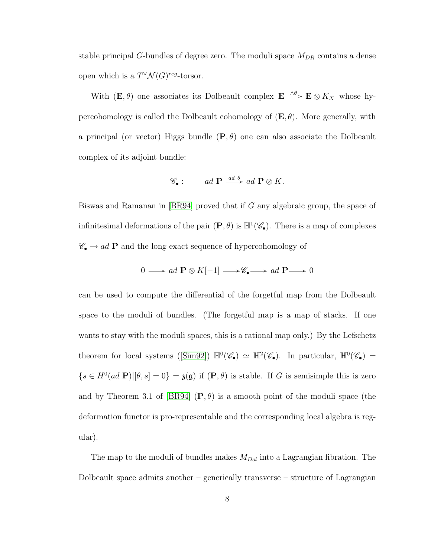stable principal G-bundles of degree zero. The moduli space  $M_{DR}$  contains a dense open which is a  $T^{\vee} \mathcal{N}(G)^{reg}$ -torsor.

With  $(E, \theta)$  one associates its Dolbeault complex  $E \xrightarrow{\wedge \theta} E \otimes K_X$  whose hypercohomology is called the Dolbeault cohomology of  $(E, \theta)$ . More generally, with a principal (or vector) Higgs bundle  $(P, \theta)$  one can also associate the Dolbeault complex of its adjoint bundle:

$$
\mathscr{C}_{\bullet}: \qquad ad \; \mathbf{P} \stackrel{ad \; \theta}{\longrightarrow} ad \; \mathbf{P} \otimes K.
$$

Biswas and Ramanan in [\[BR94\]](#page-95-0) proved that if G any algebraic group, the space of infinitesimal deformations of the pair  $(P, \theta)$  is  $\mathbb{H}^1(\mathscr{C}_{\bullet})$ . There is a map of complexes  $\mathscr{C}_\bullet \to ad$   $\mathbf P$  and the long exact sequence of hypercohomology of

$$
0 \longrightarrow ad \mathbf{P} \otimes K[-1] \longrightarrow \mathscr{C}_{\bullet} \longrightarrow ad \mathbf{P} \longrightarrow 0
$$

can be used to compute the differential of the forgetful map from the Dolbeault space to the moduli of bundles. (The forgetful map is a map of stacks. If one wants to stay with the moduli spaces, this is a rational map only.) By the Lefschetz theoremfor local systems ([\[Sim92\]](#page-99-0))  $\mathbb{H}^0(\mathscr{C}_{\bullet}) \simeq \mathbb{H}^2(\mathscr{C}_{\bullet})$ . In particular,  $\mathbb{H}^0(\mathscr{C}_{\bullet}) =$  $\{s \in H^0(ad \; \mathbf{P}) | [\theta, s] = 0\} = \mathfrak{z}(\mathfrak{g})$  if  $(\mathbf{P}, \theta)$  is stable. If G is semisimple this is zero and by Theorem 3.1 of [\[BR94\]](#page-95-0)  $(P, \theta)$  is a smooth point of the moduli space (the deformation functor is pro-representable and the corresponding local algebra is regular).

The map to the moduli of bundles makes  $M_{Dol}$  into a Lagrangian fibration. The Dolbeault space admits another – generically transverse – structure of Lagrangian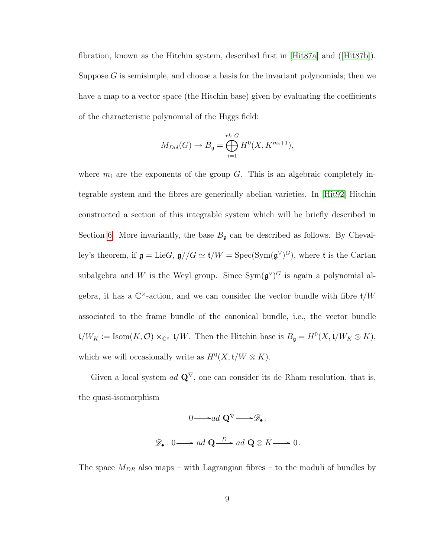fibration, known as the Hitchin system, described first in [\[Hit87a\]](#page-97-0) and([\[Hit87b\]](#page-97-1)). Suppose  $G$  is semisimple, and choose a basis for the invariant polynomials; then we have a map to a vector space (the Hitchin base) given by evaluating the coefficients of the characteristic polynomial of the Higgs field:

$$
M_{Dol}(G) \to B_{\mathfrak{g}} = \bigoplus_{i=1}^{rk} H^0(X, K^{m_i+1}),
$$

where  $m_i$  are the exponents of the group G. This is an algebraic completely integrable system and the fibres are generically abelian varieties. In [\[Hit92\]](#page-98-0) Hitchin constructed a section of this integrable system which will be briefly described in Section [6.](#page-50-0) More invariantly, the base  $B_{\mathfrak{g}}$  can be described as follows. By Chevalley's theorem, if  $\mathfrak{g} = \text{Lie}G$ ,  $\mathfrak{g} // G \simeq \mathfrak{t} / W = \text{Spec}(\text{Sym}(\mathfrak{g}^{\vee})^G)$ , where t is the Cartan subalgebra and W is the Weyl group. Since  $Sym(\mathfrak{g}^{\vee})^G$  is again a polynomial algebra, it has a  $\mathbb{C}^{\times}$ -action, and we can consider the vector bundle with fibre  $\mathfrak{t}/W$ associated to the frame bundle of the canonical bundle, i.e., the vector bundle  $\mathfrak{t}/W_K := \text{Isom}(K, \mathcal{O}) \times_{\mathbb{C}^\times} \mathfrak{t}/W$ . Then the Hitchin base is  $B_{\mathfrak{g}} = H^0(X, \mathfrak{t}/W_K \otimes K),$ which we will occasionally write as  $H^0(X, t/W \otimes K)$ .

Given a local system ad  $\mathbf{Q}^{\nabla}$ , one can consider its de Rham resolution, that is, the quasi-isomorphism

$$
0 \longrightarrow ad \mathbf{Q}^{\nabla} \longrightarrow \mathscr{D}_{\bullet},
$$

$$
\mathscr{D}_{\bullet}: 0 \longrightarrow ad \mathbf{Q} \longrightarrow ad \mathbf{Q} \otimes K \longrightarrow 0.
$$

The space  $M_{DR}$  also maps – with Lagrangian fibres – to the moduli of bundles by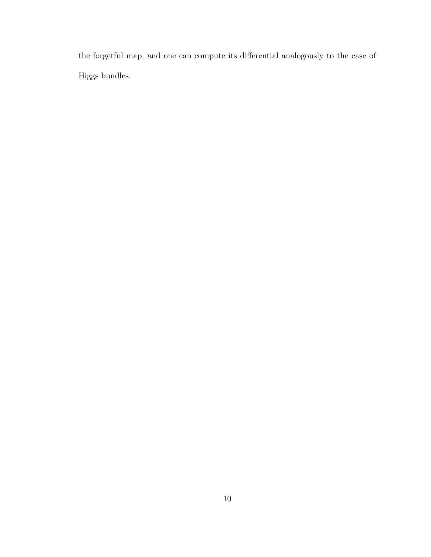the forgetful map, and one can compute its differential analogously to the case of Higgs bundles.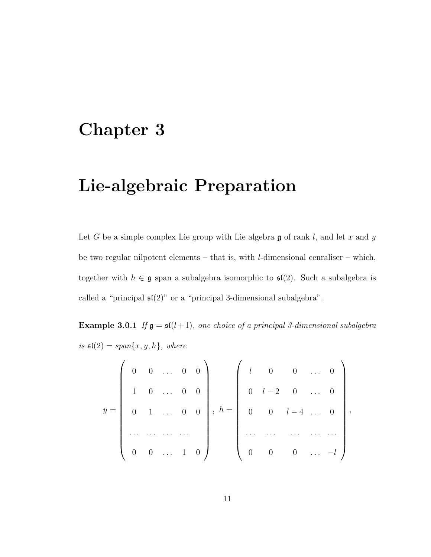### <span id="page-16-0"></span>Chapter 3

### Lie-algebraic Preparation

Let G be a simple complex Lie group with Lie algebra  $\mathfrak g$  of rank l, and let x and y be two regular nilpotent elements – that is, with  $l$ -dimensional cenraliser – which, together with  $h \in \mathfrak{g}$  span a subalgebra isomorphic to  $\mathfrak{sl}(2)$ . Such a subalgebra is called a "principal  $\mathfrak{sl}(2)$ " or a "principal 3-dimensional subalgebra".

Example 3.0.1 If  $\mathfrak{g} = \mathfrak{sl}(l+1)$ , one choice of a principal 3-dimensional subalgebra is  $\mathfrak{sl}(2) = span\{x, y, h\}$ , where

<span id="page-16-1"></span>
$$
y = \left(\begin{array}{cccccc} 0 & 0 & \dots & 0 & 0 \\ & 1 & 0 & \dots & 0 & 0 \\ & & & 1 & \dots & 0 & 0 \\ & & & & & \dots & \dots \\ & & & & & & \dots & \dots \\ 0 & 0 & \dots & 1 & 0 \end{array}\right), h = \left(\begin{array}{cccccc} l & 0 & 0 & \dots & 0 \\ & 0 & l-2 & 0 & \dots & 0 \\ & & & & \dots & \dots & 0 \\ & & & & & \dots & \dots \\ & & & & & & \dots & \dots \\ 0 & 0 & 0 & \dots & -l \end{array}\right),
$$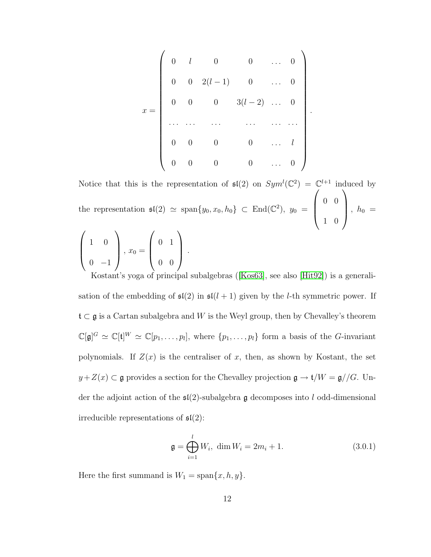$$
x = \begin{pmatrix} 0 & l & 0 & 0 & \dots & 0 \\ 0 & 0 & 2(l-1) & 0 & \dots & 0 \\ 0 & 0 & 0 & 3(l-2) & \dots & 0 \\ \dots & \dots & \dots & \dots & \dots & \dots \\ 0 & 0 & 0 & 0 & \dots & l \\ 0 & 0 & 0 & 0 & \dots & 0 \end{pmatrix}
$$

.

Notice that this is the representation of  $\mathfrak{sl}(2)$  on  $Sym^l(\mathbb{C}^2) = \mathbb{C}^{l+1}$  induced by the representation  $\mathfrak{sl}(2) \simeq \text{span}\{y_0, x_0, h_0\} \subset \text{End}(\mathbb{C}^2), y_0 =$  $\sqrt{ }$  $\overline{\phantom{a}}$ 0 0 1 0  $\setminus$  $\Bigg\}$ ,  $h_0 =$  $\sqrt{ }$  $\vert$ 1 0  $0 -1$  $\setminus$  $\Bigg\}$ ,  $x_0 =$  $\sqrt{ }$  $\overline{\phantom{a}}$ 0 1 0 0  $\setminus$  $\Big\}$ .

Kostant's yoga of principal subalgebras([\[Kos63\]](#page-98-1), see also [\[Hit92\]](#page-98-0)) is a generalisation of the embedding of  $\mathfrak{sl}(2)$  in  $\mathfrak{sl}(l + 1)$  given by the *l*-th symmetric power. If  $\mathfrak{t}\subset\mathfrak{g}$  is a Cartan subalgebra and  $W$  is the Weyl group, then by Chevalley's theorem  $\mathbb{C}[\mathfrak{g}]^G \simeq \mathbb{C}[\mathfrak{t}]^W \simeq \mathbb{C}[p_1,\ldots,p_l],$  where  $\{p_1,\ldots,p_l\}$  form a basis of the G-invariant polynomials. If  $Z(x)$  is the centraliser of x, then, as shown by Kostant, the set  $y+Z(x) \subset \mathfrak{g}$  provides a section for the Chevalley projection  $\mathfrak{g} \to \mathfrak{t}/W = \mathfrak{g} // G$ . Under the adjoint action of the  $\mathfrak{sl}(2)$ -subalgebra g decomposes into l odd-dimensional irreducible representations of  $\mathfrak{sl}(2)$ :

$$
\mathfrak{g} = \bigoplus_{i=1}^{l} W_i, \dim W_i = 2m_i + 1. \tag{3.0.1}
$$

Here the first summand is  $W_1 = \text{span}\{x, h, y\}.$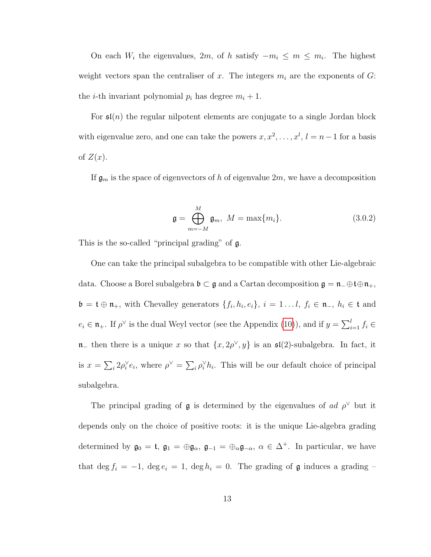On each  $W_i$  the eigenvalues, 2m, of h satisfy  $-m_i \leq m \leq m_i$ . The highest weight vectors span the centraliser of x. The integers  $m_i$  are the exponents of G: the *i*-th invariant polynomial  $p_i$  has degree  $m_i + 1$ .

For  $\mathfrak{sl}(n)$  the regular nilpotent elements are conjugate to a single Jordan block with eigenvalue zero, and one can take the powers  $x, x^2, \ldots, x^l, l = n-1$  for a basis of  $Z(x)$ .

If  $\mathfrak{g}_m$  is the space of eigenvectors of h of eigenvalue  $2m$ , we have a decomposition

$$
\mathfrak{g} = \bigoplus_{m=-M}^{M} \mathfrak{g}_m, \ M = \max\{m_i\}.
$$
 (3.0.2)

This is the so-called "principal grading" of g.

One can take the principal subalgebra to be compatible with other Lie-algebraic data. Choose a Borel subalgebra  $\mathfrak{b} \subset \mathfrak{g}$  and a Cartan decomposition  $\mathfrak{g} = \mathfrak{n}_-\oplus \mathfrak{t} \oplus \mathfrak{n}_+,$  $\mathfrak{b} = \mathfrak{t} \oplus \mathfrak{n}_+$ , with Chevalley generators  $\{f_i, h_i, e_i\}, i = 1...l, f_i \in \mathfrak{n}_-, h_i \in \mathfrak{t}$  and  $e_i \in \mathfrak{n}_+$ . If  $\rho^{\vee}$  is the dual Weyl vector (see the Appendix [\(10\)](#page-91-0)), and if  $y = \sum_{i=1}^{l} f_i \in$  $\mathfrak{n}_-$  then there is a unique x so that  $\{x, 2\rho^\vee, y\}$  is an  $\mathfrak{sl}(2)$ -subalgebra. In fact, it is  $x = \sum_i 2\rho_i^{\vee} e_i$ , where  $\rho^{\vee} = \sum_i \rho_i^{\vee} h_i$ . This will be our default choice of principal subalgebra.

The principal grading of  $\mathfrak g$  is determined by the eigenvalues of ad  $\rho^{\vee}$  but it depends only on the choice of positive roots: it is the unique Lie-algebra grading determined by  $\mathfrak{g}_0 = \mathfrak{t}$ ,  $\mathfrak{g}_1 = \oplus \mathfrak{g}_\alpha$ ,  $\mathfrak{g}_{-1} = \oplus_\alpha \mathfrak{g}_{-\alpha}$ ,  $\alpha \in \Delta^+$ . In particular, we have that deg  $f_i = -1$ , deg  $e_i = 1$ , deg  $h_i = 0$ . The grading of **g** induces a grading –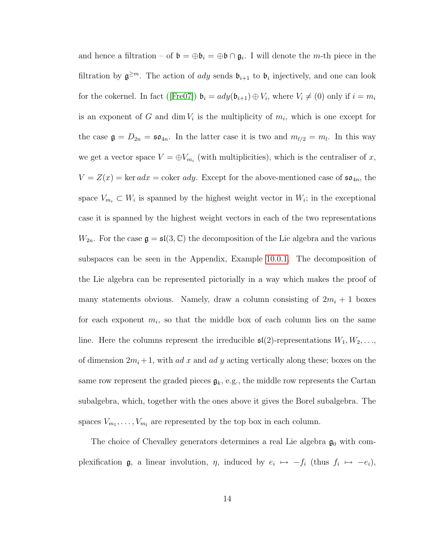and hence a filtration – of  $\mathfrak{b} = \oplus \mathfrak{b}_i = \oplus \mathfrak{b} \cap \mathfrak{g}_i$ . I will denote the *m*-th piece in the filtration by  $\mathfrak{g}^{\geq m}$ . The action of *ady* sends  $\mathfrak{b}_{i+1}$  to  $\mathfrak{b}_i$  injectively, and one can look forthe cokernel. In fact ([\[Fre07\]](#page-96-0))  $\mathfrak{b}_i = ady(\mathfrak{b}_{i+1}) \oplus V_i$ , where  $V_i \neq (0)$  only if  $i = m_i$ is an exponent of G and  $\dim V_i$  is the multiplicity of  $m_i$ , which is one except for the case  $\mathfrak{g} = D_{2n} = \mathfrak{so}_{4n}$ . In the latter case it is two and  $m_{l/2} = m_l$ . In this way we get a vector space  $V = \bigoplus V_{m_i}$  (with multiplicities), which is the centraliser of x,  $V = Z(x) = \ker adx = \text{coker } ady$ . Except for the above-mentioned case of  $\mathfrak{so}_{4n}$ , the space  $V_{m_i} \subset W_i$  is spanned by the highest weight vector in  $W_i$ ; in the exceptional case it is spanned by the highest weight vectors in each of the two representations  $W_{2n}$ . For the case  $\mathfrak{g} = \mathfrak{sl}(3, \mathbb{C})$  the decomposition of the Lie algebra and the various subspaces can be seen in the Appendix, Example [10.0.1.](#page-90-0) The decomposition of the Lie algebra can be represented pictorially in a way which makes the proof of many statements obvious. Namely, draw a column consisting of  $2m_i + 1$  boxes for each exponent  $m_i$ , so that the middle box of each column lies on the same line. Here the columns represent the irreducible  $\mathfrak{sl}(2)$ -representations  $W_1, W_2, \ldots,$ of dimension  $2m_i + 1$ , with ad x and ad y acting vertically along these; boxes on the same row represent the graded pieces  $\mathfrak{g}_k$ , e.g., the middle row represents the Cartan subalgebra, which, together with the ones above it gives the Borel subalgebra. The spaces  $V_{m_1}, \ldots, V_{m_l}$  are represented by the top box in each column.

The choice of Chevalley generators determines a real Lie algebra  $\mathfrak{g}_0$  with complexification **g**, a linear involution,  $\eta$ , induced by  $e_i \mapsto -f_i$  (thus  $f_i \mapsto -e_i$ ),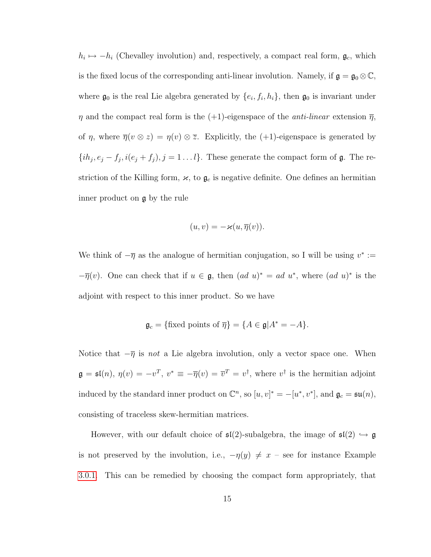$h_i \mapsto -h_i$  (Chevalley involution) and, respectively, a compact real form,  $\mathfrak{g}_c$ , which is the fixed locus of the corresponding anti-linear involution. Namely, if  $\mathfrak{g} = \mathfrak{g}_0 \otimes \mathbb{C}$ , where  $\mathfrak{g}_0$  is the real Lie algebra generated by  $\{e_i, f_i, h_i\}$ , then  $\mathfrak{g}_0$  is invariant under  $\eta$  and the compact real form is the (+1)-eigenspace of the *anti-linear* extension  $\overline{\eta}$ , of  $\eta$ , where  $\overline{\eta}(v \otimes z) = \eta(v) \otimes \overline{z}$ . Explicitly, the (+1)-eigenspace is generated by  $\{ih_j, e_j - f_j, i(e_j + f_j), j = 1...l\}$ . These generate the compact form of  $\mathfrak{g}$ . The restriction of the Killing form,  $\varkappa$ , to  $\mathfrak{g}_c$  is negative definite. One defines an hermitian inner product on g by the rule

$$
(u, v) = -\varkappa(u, \overline{\eta}(v)).
$$

We think of  $-\overline{\eta}$  as the analogue of hermitian conjugation, so I will be using  $v^* :=$  $-\overline{\eta}(v)$ . One can check that if  $u \in \mathfrak{g}$ , then  $(ad u)^* = ad u^*$ , where  $(ad u)^*$  is the adjoint with respect to this inner product. So we have

$$
\mathfrak{g}_c = \{\text{fixed points of } \overline{\eta}\} = \{A \in \mathfrak{g} | A^* = -A\}.
$$

Notice that  $-\bar{\eta}$  is *not* a Lie algebra involution, only a vector space one. When  $\mathfrak{g} = \mathfrak{sl}(n)$ ,  $\eta(v) = -v^T$ ,  $v^* \equiv -\overline{\eta}(v) = \overline{v}^T = v^{\dagger}$ , where  $v^{\dagger}$  is the hermitian adjoint induced by the standard inner product on  $\mathbb{C}^n$ , so  $[u, v]^* = -[u^*, v^*]$ , and  $\mathfrak{g}_c = \mathfrak{su}(n)$ , consisting of traceless skew-hermitian matrices.

However, with our default choice of  $\mathfrak{sl}(2)$ -subalgebra, the image of  $\mathfrak{sl}(2) \hookrightarrow \mathfrak{g}$ is not preserved by the involution, i.e.,  $-\eta(y) \neq x$  – see for instance Example [3.0.1.](#page-16-1) This can be remedied by choosing the compact form appropriately, that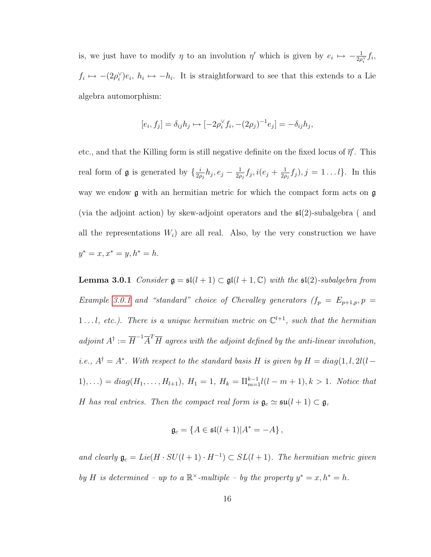is, we just have to modify  $\eta$  to an involution  $\eta'$  which is given by  $e_i \mapsto -\frac{1}{2\rho_i^{\vee}} f_i$ ,  $f_i \mapsto -(2\rho_i^{\vee})e_i, h_i \mapsto -h_i$ . It is straightforward to see that this extends to a Lie algebra automorphism:

$$
[e_i, f_j] = \delta_{ij} h_j \mapsto [-2\rho_i^{\vee} f_i, -(2\rho_j)^{-1} e_j] = -\delta_{ij} h_j,
$$

etc., and that the Killing form is still negative definite on the fixed locus of  $\bar{\eta}'$ . This real form of **g** is generated by  $\{\frac{i}{2}$  $\frac{i}{2\rho_j}h_j,e_j-\frac{1}{2\rho_j}$  $\frac{1}{2\rho_j}f_j, i(e_j+\frac{1}{2\rho_j})$  $\frac{1}{2\rho_j} f_j$ ,  $j = 1...l$ . In this way we endow **g** with an hermitian metric for which the compact form acts on **g** (via the adjoint action) by skew-adjoint operators and the  $\mathfrak{sl}(2)$ -subalgebra ( and all the representations  $W_i$ ) are all real. Also, by the very construction we have  $y^* = x, x^* = y, h^* = h.$ 

<span id="page-21-0"></span>**Lemma 3.0.1** Consider  $\mathfrak{g} = \mathfrak{sl}(l + 1) \subset \mathfrak{gl}(l + 1, \mathbb{C})$  with the  $\mathfrak{sl}(2)$ -subalgebra from Example [3.0.1](#page-16-1) and "standard" choice of Chevalley generators  $(f_p = E_{p+1,p}, p =$ 1..., etc.). There is a unique hermitian metric on  $\mathbb{C}^{l+1}$ , such that the hermitian adjoint  $A^{\dagger} := \overline{H}^{-1} \overline{A}^T \overline{H}$  agrees with the adjoint defined by the anti-linear involution, *i.e.*,  $A^{\dagger} = A^*$ . With respect to the standard basis H is given by  $H = diag(1, l, 2l(l 1), \ldots$ ) =  $diag(H_1, \ldots, H_{l+1}), H_1 = 1, H_k = \prod_{m=1}^{k-1} l(l-m+1), k > 1$ . Notice that H has real entries. Then the compact real form is  $\mathfrak{g}_c \simeq \mathfrak{su}(l + 1) \subset \mathfrak{g}$ ,

$$
\mathfrak{g}_c = \{ A \in \mathfrak{sl}(l+1) | A^* = -A \},
$$

and clearly  $\mathfrak{g}_c = Lie(H \cdot SU(l+1) \cdot H^{-1}) \subset SL(l+1)$ . The hermitian metric given by H is determined – up to a  $\mathbb{R}^{\times}$ -multiple – by the property  $y^* = x, h^* = h$ .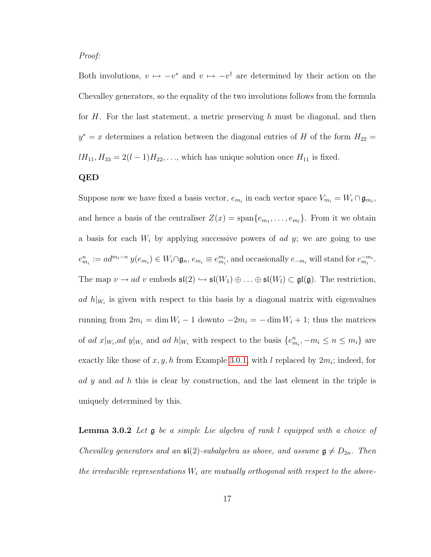Proof:

Both involutions,  $v \mapsto -v^*$  and  $v \mapsto -v^{\dagger}$  are determined by their action on the Chevalley generators, so the equality of the two involutions follows from the formula for H. For the last statement, a metric preserving h must be diagonal, and then  $y^* = x$  determines a relation between the diagonal entries of H of the form  $H_{22} = x$  $lH_{11}, H_{33} = 2(l-1)H_{22}, \ldots$ , which has unique solution once  $H_{11}$  is fixed.

#### QED

Suppose now we have fixed a basis vector,  $e_{m_i}$  in each vector space  $V_{m_i} = W_i \cap \mathfrak{g}_{m_i}$ , and hence a basis of the centraliser  $Z(x) = \text{span}\{e_{m_1}, \ldots, e_{m_l}\}\$ . From it we obtain a basis for each  $W_i$  by applying successive powers of ad y; we are going to use  $e_{m_i}^n := ad^{m_i-n} y(e_{m_i}) \in W_i \cap \mathfrak{g}_n, e_{m_i} \equiv e_{m_i}^{m_i}$ , and occasionally  $e_{-m_i}$  will stand for  $e_{m_i}^{-m_i}$ . The map  $v \to ad \ v$  embeds  $\mathfrak{sl}(2) \hookrightarrow \mathfrak{sl}(W_1) \oplus \ldots \oplus \mathfrak{sl}(W_l) \subset \mathfrak{gl}(\mathfrak{g})$ . The restriction, ad  $h|_{W_i}$  is given with respect to this basis by a diagonal matrix with eigenvalues running from  $2m_i = \dim W_i - 1$  downto  $-2m_i = -\dim W_i + 1$ ; thus the matrices of ad  $x|_{W_i}$ , ad  $y|_{W_i}$  and ad  $h|_{W_i}$  with respect to the basis  $\{e_{m_i}^n, -m_i \leq n \leq m_i\}$  are exactly like those of  $x, y, h$  from Example [3.0.1,](#page-16-1) with l replaced by  $2m_i$ ; indeed, for ad y and ad h this is clear by construction, and the last element in the triple is uniquely determined by this.

**Lemma 3.0.2** Let  $\mathfrak{g}$  be a simple Lie algebra of rank l equipped with a choice of Chevalley generators and an  $\mathfrak{sl}(2)$ -subalgebra as above, and assume  $\mathfrak{g} \neq D_{2n}$ . Then the irreducible representations  $W_i$  are mutually orthogonal with respect to the above-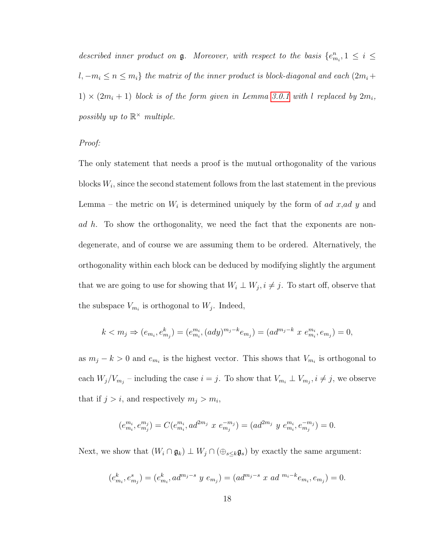described inner product on  $\mathfrak g$ . Moreover, with respect to the basis  $\{e_{m_i}^n, 1 \leq i \leq n\}$  $l, -m_i \leq n \leq m_i$ } the matrix of the inner product is block-diagonal and each  $(2m_i +$ 1)  $\times$  (2m<sub>i</sub> + 1) block is of the form given in Lemma [3.0.1](#page-21-0) with l replaced by 2m<sub>i</sub>, possibly up to  $\mathbb{R}^{\times}$  multiple.

Proof:

The only statement that needs a proof is the mutual orthogonality of the various blocks  $W_i$ , since the second statement follows from the last statement in the previous Lemma – the metric on  $W_i$  is determined uniquely by the form of ad x, ad y and ad h. To show the orthogonality, we need the fact that the exponents are nondegenerate, and of course we are assuming them to be ordered. Alternatively, the orthogonality within each block can be deduced by modifying slightly the argument that we are going to use for showing that  $W_i \perp W_j$ ,  $i \neq j$ . To start off, observe that the subspace  $V_{m_i}$  is orthogonal to  $W_j$ . Indeed,

$$
k < m_j \Rightarrow (e_{m_i}, e_{m_j}^k) = (e_{m_i}^{m_i}, (ady)^{m_j - k} e_{m_j}) = (ad^{m_j - k} \ x \ e_{m_i}^{m_i}, e_{m_j}) = 0,
$$

as  $m_j - k > 0$  and  $e_{m_i}$  is the highest vector. This shows that  $V_{m_i}$  is orthogonal to each  $W_j/V_{m_j}$  – including the case  $i = j$ . To show that  $V_{m_i} \perp V_{m_j}$ ,  $i \neq j$ , we observe that if  $j > i$ , and respectively  $m_j > m_i$ ,

$$
(e_{m_i}^{m_i}, e_{m_j}^{m_j}) = C(e_{m_i}^{m_i}, ad^{2m_j} x e_{m_j}^{-m_j}) = (ad^{2m_j} y e_{m_i}^{m_i}, e_{m_j}^{-m_j}) = 0.
$$

Next, we show that  $(W_i \cap \mathfrak{g}_k) \perp W_j \cap (\bigoplus_{s \leq k} \mathfrak{g}_s)$  by exactly the same argument:

$$
(e_{m_i}^k, e_{m_j}^s) = (e_{m_i}^k, ad^{m_j-s} y e_{m_j}) = (ad^{m_j-s} x ad^{m_i-k} e_{m_i}, e_{m_j}) = 0.
$$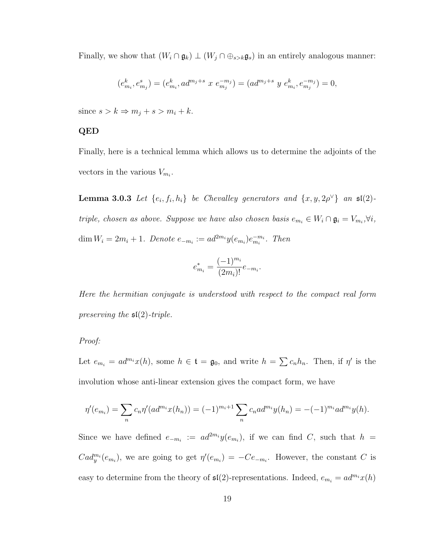Finally, we show that  $(W_i \cap \mathfrak{g}_k) \perp (W_j \cap \bigoplus_{s>k} \mathfrak{g}_s)$  in an entirely analogous manner:

$$
(e_{m_i}^k, e_{m_j}^s) = (e_{m_i}^k, ad^{m_j+s}\ x\ e_{m_j}^{-m_j}) = (ad^{m_j+s}\ y\ e_{m_i}^k, e_{m_j}^{-m_j}) = 0,
$$

since  $s > k \Rightarrow m_j + s > m_i + k$ .

#### QED

Finally, here is a technical lemma which allows us to determine the adjoints of the vectors in the various  $V_{m_i}$ .

**Lemma 3.0.3** Let  $\{e_i, f_i, h_i\}$  be Chevalley generators and  $\{x, y, 2\rho^{\vee}\}\$ an  $\mathfrak{sl}(2)$ triple, chosen as above. Suppose we have also chosen basis  $e_{m_i} \in W_i \cap \mathfrak{g}_i = V_{m_i}, \forall i$ , dim  $W_i = 2m_i + 1$ . Denote  $e_{-m_i} := ad^{2m_i}y(e_{m_i})e_{m_i}^{-m_i}$ . Then

$$
e_{m_i}^* = \frac{(-1)^{m_i}}{(2m_i)!} e_{-m_i}.
$$

Here the hermitian conjugate is understood with respect to the compact real form preserving the  $\mathfrak{sl}(2)$ -triple.

#### Proof:

Let  $e_{m_i} = ad^{m_i}x(h)$ , some  $h \in \mathfrak{t} = \mathfrak{g}_0$ , and write  $h = \sum c_n h_n$ . Then, if  $\eta'$  is the involution whose anti-linear extension gives the compact form, we have

$$
\eta'(e_{m_i}) = \sum_n c_n \eta'(ad^{m_i}x(h_n)) = (-1)^{m_i+1} \sum_n c_n ad^{m_i}y(h_n) = -(-1)^{m_i} ad^{m_i}y(h).
$$

Since we have defined  $e_{-m_i} := ad^{2m_i} y(e_{m_i})$ , if we can find C, such that  $h =$  $Cad_y^{m_i}(e_{m_i})$ , we are going to get  $\eta'(e_{m_i}) = -Ce_{-m_i}$ . However, the constant C is easy to determine from the theory of  $\mathfrak{sl}(2)$ -representations. Indeed,  $e_{m_i} = ad^{m_i}x(h)$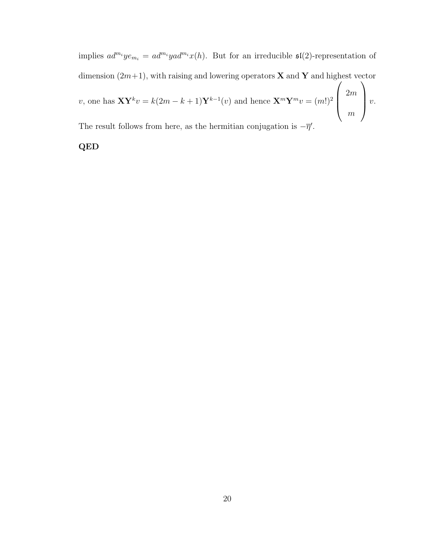implies  $ad^{m_i}ye_{m_i} = ad^{m_i}yad^{m_i}x(h)$ . But for an irreducible  $\mathfrak{sl}(2)$ -representation of dimension  $(2m+1)$ , with raising and lowering operators **X** and **Y** and highest vector v, one has  $XY^k v = k(2m - k + 1)Y^{k-1}(v)$  and hence  $X^m Y^m v = (m!)^2$  $\sqrt{ }$  $\overline{\phantom{a}}$ 2m m  $\setminus$  $\bigg\}$  v. The result follows from here, as the hermitian conjugation is  $-\overline{\eta}'$ .

QED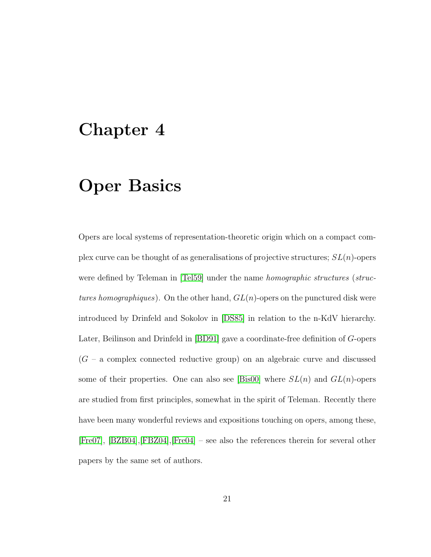### <span id="page-26-0"></span>Chapter 4

### Oper Basics

Opers are local systems of representation-theoretic origin which on a compact complex curve can be thought of as generalisations of projective structures;  $SL(n)$ -opers were defined by Teleman in [\[Tel59\]](#page-100-0) under the name *homographic structures* (structures homographiques). On the other hand,  $GL(n)$ -opers on the punctured disk were introduced by Drinfeld and Sokolov in [\[DS85\]](#page-96-1) in relation to the n-KdV hierarchy. Later, Beilinson and Drinfeld in [\[BD91\]](#page-95-1) gave a coordinate-free definition of G-opers  $(G - a$  complex connected reductive group) on an algebraic curve and discussed some of their properties. One can also see [\[Bis00\]](#page-95-2) where  $SL(n)$  and  $GL(n)$ -opers are studied from first principles, somewhat in the spirit of Teleman. Recently there have been many wonderful reviews and expositions touching on opers, among these, [\[Fre07\]](#page-96-0), [\[BZB04\]](#page-95-3),[\[FBZ04\]](#page-96-2),[\[Fre04\]](#page-96-3) – see also the references therein for several other papers by the same set of authors.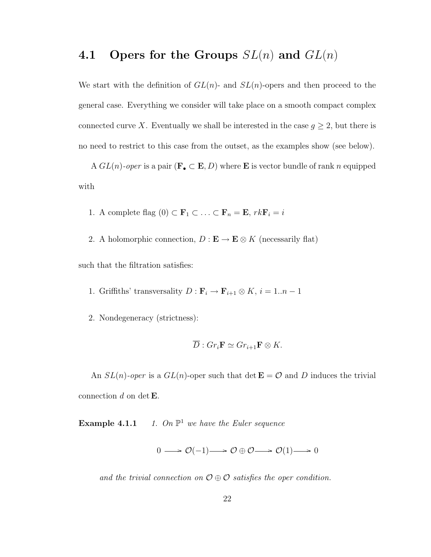### <span id="page-27-0"></span>4.1 Opers for the Groups  $SL(n)$  and  $GL(n)$

We start with the definition of  $GL(n)$ - and  $SL(n)$ -opers and then proceed to the general case. Everything we consider will take place on a smooth compact complex connected curve X. Eventually we shall be interested in the case  $g \geq 2$ , but there is no need to restrict to this case from the outset, as the examples show (see below).

A  $GL(n)$ -oper is a pair  $(\mathbf{F}_{\bullet} \subset \mathbf{E}, D)$  where **E** is vector bundle of rank n equipped with

- 1. A complete flag  $(0) \subset \mathbf{F}_1 \subset \ldots \subset \mathbf{F}_n = \mathbf{E}, rk\mathbf{F}_i = i$
- 2. A holomorphic connection,  $D : E \to E \otimes K$  (necessarily flat)

such that the filtration satisfies:

- 1. Griffiths' transversality  $D : \mathbf{F}_i \to \mathbf{F}_{i+1} \otimes K$ ,  $i = 1..n 1$
- 2. Nondegeneracy (strictness):

$$
\overline{D}: Gr_i \mathbf{F} \simeq Gr_{i+1} \mathbf{F} \otimes K.
$$

An  $SL(n)$ -oper is a  $GL(n)$ -oper such that  $\det \mathbf{E} = \mathcal{O}$  and D induces the trivial connection  $d$  on det **E**.

Example 4.1.1 1. On  $\mathbb{P}^1$  we have the Euler sequence

$$
0 \longrightarrow \mathcal{O}(-1) \longrightarrow \mathcal{O} \oplus \mathcal{O} \longrightarrow \mathcal{O}(1) \longrightarrow 0
$$

and the trivial connection on  $\mathcal{O} \oplus \mathcal{O}$  satisfies the oper condition.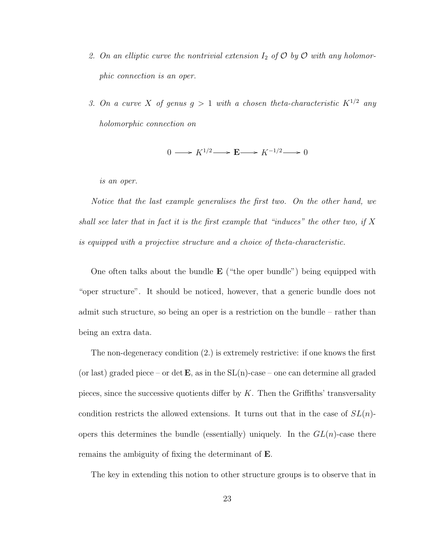- 2. On an elliptic curve the nontrivial extension  $I_2$  of  $\mathcal O$  by  $\mathcal O$  with any holomorphic connection is an oper.
- 3. On a curve X of genus  $g > 1$  with a chosen theta-characteristic  $K^{1/2}$  any holomorphic connection on

$$
0 \longrightarrow K^{1/2} \longrightarrow \mathbf{E} \longrightarrow K^{-1/2} \longrightarrow 0
$$

is an oper.

Notice that the last example generalises the first two. On the other hand, we shall see later that in fact it is the first example that "induces" the other two, if  $X$ is equipped with a projective structure and a choice of theta-characteristic.

One often talks about the bundle  $E$  ("the oper bundle") being equipped with "oper structure". It should be noticed, however, that a generic bundle does not admit such structure, so being an oper is a restriction on the bundle – rather than being an extra data.

The non-degeneracy condition (2.) is extremely restrictive: if one knows the first (or last) graded piece – or det  $\mathbf{E}$ , as in the  $SL(n)$ -case – one can determine all graded pieces, since the successive quotients differ by  $K$ . Then the Griffiths' transversality condition restricts the allowed extensions. It turns out that in the case of  $SL(n)$ opers this determines the bundle (essentially) uniquely. In the  $GL(n)$ -case there remains the ambiguity of fixing the determinant of E.

The key in extending this notion to other structure groups is to observe that in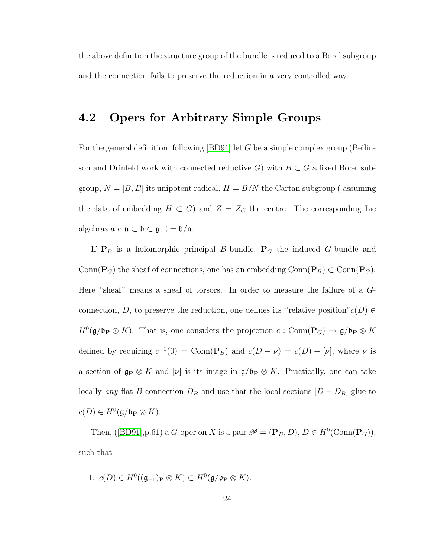the above definition the structure group of the bundle is reduced to a Borel subgroup and the connection fails to preserve the reduction in a very controlled way.

#### <span id="page-29-0"></span>4.2 Opers for Arbitrary Simple Groups

For the general definition, following  $[BD91]$  let G be a simple complex group (Beilinson and Drinfeld work with connected reductive G) with  $B \subset G$  a fixed Borel subgroup,  $N = [B, B]$  its unipotent radical,  $H = B/N$  the Cartan subgroup (assuming the data of embedding  $H \subset G$ ) and  $Z = Z_G$  the centre. The corresponding Lie algebras are  $\mathfrak{n} \subset \mathfrak{b} \subset \mathfrak{g}, \mathfrak{t} = \mathfrak{b}/\mathfrak{n}.$ 

If  $P_B$  is a holomorphic principal B-bundle,  $P_G$  the induced G-bundle and Conn( $P_G$ ) the sheaf of connections, one has an embedding Conn( $P_B$ ) ⊂ Conn( $P_G$ ). Here "sheaf" means a sheaf of torsors. In order to measure the failure of a Gconnection, D, to preserve the reduction, one defines its "relative position" $c(D) \in$  $H^0(\mathfrak{g}/\mathfrak{b}_P \otimes K)$ . That is, one considers the projection  $c: \text{Conn}(\mathbf{P}_G) \to \mathfrak{g}/\mathfrak{b}_P \otimes K$ defined by requiring  $c^{-1}(0) = \text{Conn}(\mathbf{P}_B)$  and  $c(D + \nu) = c(D) + [\nu]$ , where  $\nu$  is a section of  $\mathfrak{g}_P \otimes K$  and  $[\nu]$  is its image in  $\mathfrak{g}/\mathfrak{b}_P \otimes K$ . Practically, one can take locally any flat B-connection  $D_B$  and use that the local sections  $[D - D_B]$  glue to  $c(D) \in H^0(\mathfrak{g}/\mathfrak{b}_P \otimes K).$ 

Then,([\[BD91\]](#page-95-1), p.61) a *G*-oper on *X* is a pair  $\mathscr{P} = (\mathbf{P}_B, D)$ ,  $D \in H^0(\text{Conn}(\mathbf{P}_G))$ , such that

1. 
$$
c(D) \in H^0((\mathfrak{g}_{-1})_\mathbf{P} \otimes K) \subset H^0(\mathfrak{g}/\mathfrak{b}_\mathbf{P} \otimes K).
$$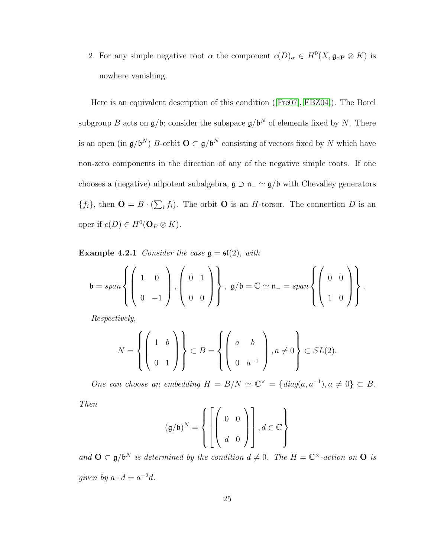2. For any simple negative root  $\alpha$  the component  $c(D)_{\alpha} \in H^0(X, \mathfrak{g}_{\alpha P} \otimes K)$  is nowhere vanishing.

Here is an equivalent description of this condition([\[Fre07\]](#page-96-0),[\[FBZ04\]](#page-96-2)). The Borel subgroup B acts on  $\mathfrak{g}/\mathfrak{b}$ ; consider the subspace  $\mathfrak{g}/\mathfrak{b}^N$  of elements fixed by N. There is an open (in  $\mathfrak{g}/\mathfrak{b}^N$ ) B-orbit  $\mathbf{O} \subset \mathfrak{g}/\mathfrak{b}^N$  consisting of vectors fixed by N which have non-zero components in the direction of any of the negative simple roots. If one chooses a (negative) nilpotent subalgebra,  $\mathfrak{g} \supset \mathfrak{n}$  –  $\simeq \mathfrak{g}/\mathfrak{b}$  with Chevalley generators  $\{f_i\}$ , then  $\mathbf{O} = B \cdot (\sum_i f_i)$ . The orbit  $\mathbf{O}$  is an *H*-torsor. The connection *D* is an oper if  $c(D) \in H^0(\mathbf{O}_P \otimes K)$ .

**Example 4.2.1** Consider the case  $\mathfrak{g} = \mathfrak{sl}(2)$ , with

$$
\mathfrak{b} = span \left\{ \left( \begin{array}{cc} 1 & 0 \\ 0 & -1 \end{array} \right), \left( \begin{array}{c} 0 & 1 \\ 0 & 0 \end{array} \right) \right\}, \ \mathfrak{g}/\mathfrak{b} = \mathbb{C} \simeq \mathfrak{n}_{-} = span \left\{ \left( \begin{array}{cc} 0 & 0 \\ 1 & 0 \end{array} \right) \right\}.
$$

Respectively,

$$
N = \left\{ \left( \begin{array}{cc} 1 & b \\ 0 & 1 \end{array} \right) \right\} \subset B = \left\{ \left( \begin{array}{cc} a & b \\ 0 & a^{-1} \end{array} \right) \right\}, a \neq 0 \right\} \subset SL(2).
$$

One can choose an embedding  $H = B/N \simeq \mathbb{C}^{\times} = \{diag(a, a^{-1}), a \neq 0\} \subset B$ .

Then

$$
(\mathfrak{g}/\mathfrak{b})^N = \left\{ \left[ \left( \begin{array}{cc} 0 & 0 \\ 0 & 0 \\ d & 0 \end{array} \right) \right], d \in \mathbb{C} \right\}
$$

and  $\mathbf{O} \subset \mathfrak{g}/\mathfrak{b}^N$  is determined by the condition  $d \neq 0$ . The  $H = \mathbb{C}^{\times}$ -action on  $\mathbf{O}$  is given by  $a \cdot d = a^{-2}d$ .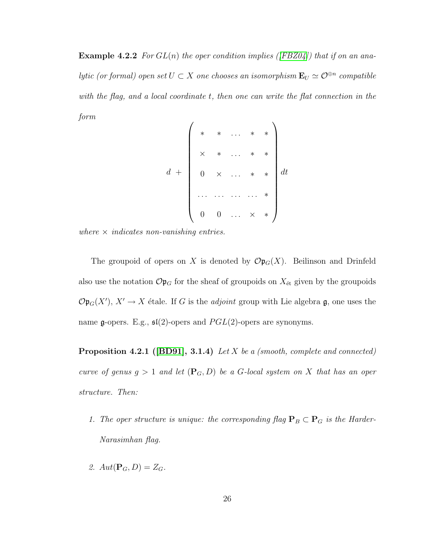**Example 4.2.2** For  $GL(n)$  the oper condition implies ([\[FBZ04\]](#page-96-2)) that if on an analytic (or formal) open set  $U \subset X$  one chooses an isomorphism  $\mathbf{E}_U \simeq \mathcal{O}^{\oplus n}$  compatible with the flag, and a local coordinate t, then one can write the flat connection in the form

$$
d + \left(\begin{array}{cccc} * & * & \dots & * & * \\ * & * & \dots & * & * \\ * & * & \dots & * & * \\ 0 & \times & \dots & * & * \\ \dots & \dots & \dots & \dots & * \\ 0 & 0 & \dots & * & * \end{array}\right) dt
$$

where  $\times$  indicates non-vanishing entries.

The groupoid of opers on X is denoted by  $\mathcal{O}(\mathfrak{p}_G(X))$ . Beilinson and Drinfeld also use the notation  $\mathcal{O} \mathfrak{p}_G$  for the sheaf of groupoids on  $X_{\text{\'et}}$  given by the groupoids  $\mathcal{O}(\mathfrak{p}_G(X'), X' \to X$  étale. If G is the *adjoint* group with Lie algebra  $\mathfrak{g}$ , one uses the name g-opers. E.g.,  $\mathfrak{sl}(2)$ -opers and  $PGL(2)$ -opers are synonyms.

Proposition 4.2.1 ([\[BD91\]](#page-95-1), 3.1.4) Let X be a (smooth, complete and connected) curve of genus  $g > 1$  and let  $(\mathbf{P}_G, D)$  be a G-local system on X that has an oper structure. Then:

- 1. The oper structure is unique: the corresponding flag  $\mathbf{P}_B \subset \mathbf{P}_G$  is the Harder-Narasimhan flag.
- 2.  $Aut(\mathbf{P}_G, D) = Z_G$ .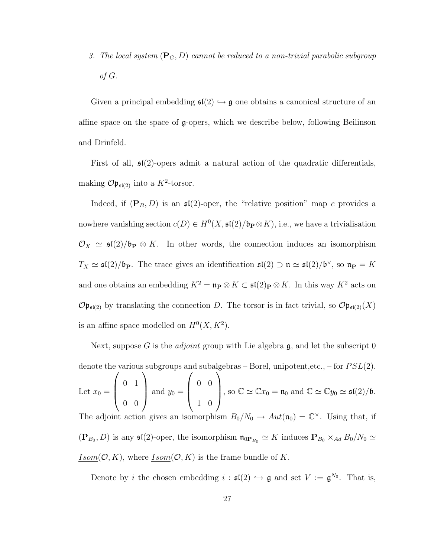3. The local system  $(\mathbf{P}_G, D)$  cannot be reduced to a non-trivial parabolic subgroup of  $G$ .

Given a principal embedding  $\mathfrak{sl}(2) \hookrightarrow \mathfrak{g}$  one obtains a canonical structure of an affine space on the space of g-opers, which we describe below, following Beilinson and Drinfeld.

First of all,  $\mathfrak{sl}(2)$ -opers admit a natural action of the quadratic differentials, making  $\mathcal{O} \mathfrak{p}_{\mathfrak{sl}(2)}$  into a  $K^2$ -torsor.

Indeed, if  $(\mathbf{P}_B, D)$  is an  $\mathfrak{sl}(2)$ -oper, the "relative position" map c provides a nowhere vanishing section  $c(D) \in H^0(X, \mathfrak{sl}(2)/\mathfrak{b}_P \otimes K)$ , i.e., we have a trivialisation  $\mathcal{O}_X \simeq \mathfrak{sl}(2)/\mathfrak{b}_P \otimes K$ . In other words, the connection induces an isomorphism  $T_X \simeq \mathfrak{sl}(2)/\mathfrak{b}_P$ . The trace gives an identification  $\mathfrak{sl}(2) \supset \mathfrak{n} \simeq \mathfrak{sl}(2)/\mathfrak{b}^{\vee}$ , so  $\mathfrak{n}_P = K$ and one obtains an embedding  $K^2 = \mathfrak{n}_{\mathbf{P}} \otimes K \subset \mathfrak{sl}(2)_{\mathbf{P}} \otimes K$ . In this way  $K^2$  acts on  $\mathcal{O} \mathfrak{p}_{\mathfrak{sl}(2)}$  by translating the connection D. The torsor is in fact trivial, so  $\mathcal{O} \mathfrak{p}_{\mathfrak{sl}(2)}(X)$ is an affine space modelled on  $H^0(X, K^2)$ .

Next, suppose G is the *adjoint* group with Lie algebra  $\mathfrak{g}$ , and let the subscript 0 denote the various subgroups and subalgebras – Borel, unipotent, etc., – for  $PSL(2)$ . Let  $x_0 =$  $\sqrt{ }$  $\overline{\phantom{a}}$ 0 1 0 0  $\setminus$ and  $y_0 =$  $\sqrt{ }$  $\overline{\phantom{a}}$ 0 0 1 0  $\setminus$ , so  $\mathbb{C} \simeq \mathbb{C} x_0 = \mathfrak{n}_0$  and  $\mathbb{C} \simeq \mathbb{C} y_0 \simeq \mathfrak{sl}(2)/\mathfrak{b}.$ The adjoint action gives an isomorphism  $B_0/N_0 \to Aut(\mathfrak{n}_0) = \mathbb{C}^{\times}$ . Using that, if  $(\mathbf{P}_{B_0}, D)$  is any  $\mathfrak{sl}(2)$ -oper, the isomorphism  $\mathfrak{n}_{0\mathbf{P}_{B_0}} \simeq K$  induces  $\mathbf{P}_{B_0} \times_{Ad} B_0/N_0 \simeq$  $Isom(\mathcal{O}, K)$ , where  $Isom(\mathcal{O}, K)$  is the frame bundle of K.

Denote by *i* the chosen embedding  $i : \mathfrak{sl}(2) \hookrightarrow \mathfrak{g}$  and set  $V := \mathfrak{g}^{N_0}$ . That is,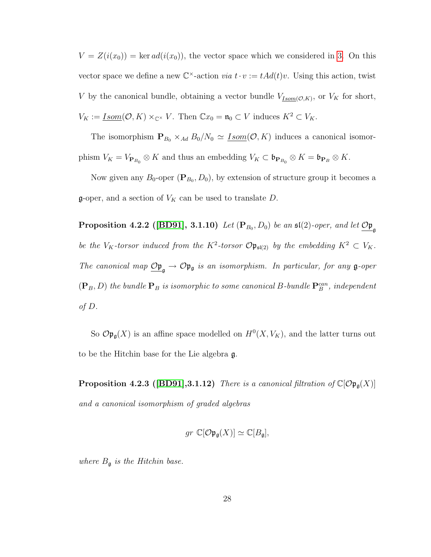$V = Z(i(x_0)) = \text{ker } ad(i(x_0))$ , the vector space which we considered in [3.](#page-16-0) On this vector space we define a new  $\mathbb{C}^{\times}$ -action *via*  $t \cdot v := t \cdot Ad(t)v$ . Using this action, twist V by the canonical bundle, obtaining a vector bundle  $V_{Isom(\mathcal{O}, K)}$ , or  $V_K$  for short,  $V_K := \underline{Isom}(\mathcal{O}, K) \times_{\mathbb{C}^\times} V$ . Then  $\mathbb{C}x_0 = \mathfrak{n}_0 \subset V$  induces  $K^2 \subset V_K$ .

The isomorphism  $\mathbf{P}_{B_0} \times_{Ad} B_0/N_0 \simeq \underline{Isom}(\mathcal{O}, K)$  induces a canonical isomorphism  $V_K = V_{\mathbf{P}_{B_0}} \otimes K$  and thus an embedding  $V_K \subset \mathfrak{b}_{\mathbf{P}_{B_0}} \otimes K = \mathfrak{b}_{\mathbf{P}_B} \otimes K$ .

Now given any  $B_0$ -oper  $(\mathbf{P}_{B_0}, D_0)$ , by extension of structure group it becomes a  $\mathfrak{g}$ -oper, and a section of  $V_K$  can be used to translate D.

Proposition 4.2.2 ([\[BD91\]](#page-95-1), 3.1.10) Let  $(\mathbf{P}_{B_0},D_0)$  be an  $\mathfrak{sl}(2)$ -oper, and let  $\mathcal{O}\mathfrak{p}_{\mathfrak{g}}$ be the  $V_K$ -torsor induced from the  $K^2$ -torsor  $\mathcal{O} \mathfrak{p}_{\mathfrak{sl}(2)}$  by the embedding  $K^2 \subset V_K$ . The canonical map  $\mathcal{O}_{\mathfrak{p}_{\mathfrak{g}}}\to \mathcal{O}_{\mathfrak{p}_{\mathfrak{g}}}$  is an isomorphism. In particular, for any  $\mathfrak{g}$ -oper  $(\mathbf{P}_B, D)$  the bundle  $\mathbf{P}_B$  is isomorphic to some canonical B-bundle  $\mathbf{P}_B^{can}$ , independent of D.

So  $\mathcal{O}(\mathfrak{p}_{\mathfrak{g}}(X))$  is an affine space modelled on  $H^0(X, V_K)$ , and the latter turns out to be the Hitchin base for the Lie algebra g.

**Proposition 4.2.3 ([\[BD91\]](#page-95-1),3.1.12)** There is a canonical filtration of  $\mathbb{C}[\mathcal{O}p_{\mathfrak{g}}(X)]$ and a canonical isomorphism of graded algebras

$$
gr \mathbb{C}[\mathcal{O} \mathfrak{p}_{\mathfrak{g}}(X)] \simeq \mathbb{C}[B_{\mathfrak{g}}],
$$

where  $B_{\mathfrak{g}}$  is the Hitchin base.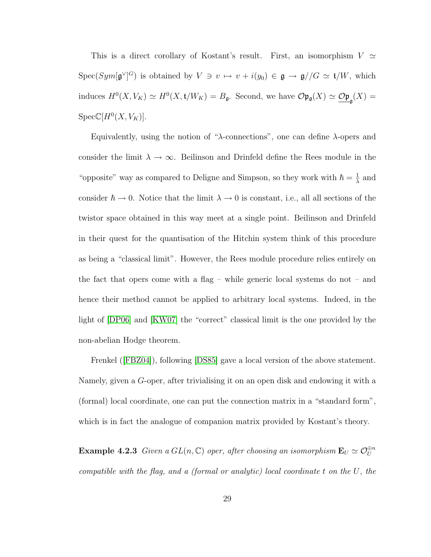This is a direct corollary of Kostant's result. First, an isomorphism  $V \simeq$  $Spec(Sym[\mathfrak{g}^\vee]^G)$  is obtained by  $V \ni v \mapsto v + i(y_0) \in \mathfrak{g} \to \mathfrak{g}//G \simeq \mathfrak{t}/W$ , which induces  $H^0(X, V_K) \simeq H^0(X, t/W_K) = B_{\mathfrak{g}}$ . Second, we have  $\mathcal{O} \mathfrak{p}_{\mathfrak{g}}(X) \simeq \underline{\mathcal{O} \mathfrak{p}}_{\mathfrak{g}}(X) =$  $Spec \mathbb{C}[H^0(X, V_K)].$ 

Equivalently, using the notion of " $\lambda$ -connections", one can define  $\lambda$ -opers and consider the limit  $\lambda \to \infty$ . Beilinson and Drinfeld define the Rees module in the "opposite" way as compared to Deligne and Simpson, so they work with  $\hbar = \frac{1}{\lambda}$  $\frac{1}{\lambda}$  and consider  $\hbar \to 0$ . Notice that the limit  $\lambda \to 0$  is constant, i.e., all all sections of the twistor space obtained in this way meet at a single point. Beilinson and Drinfeld in their quest for the quantisation of the Hitchin system think of this procedure as being a "classical limit". However, the Rees module procedure relies entirely on the fact that opers come with a flag – while generic local systems do not – and hence their method cannot be applied to arbitrary local systems. Indeed, in the light of [\[DP06\]](#page-95-4) and [\[KW07\]](#page-99-3) the "correct" classical limit is the one provided by the non-abelian Hodge theorem.

Frenkel([\[FBZ04\]](#page-96-2)), following [\[DS85\]](#page-96-1) gave a local version of the above statement. Namely, given a G-oper, after trivialising it on an open disk and endowing it with a (formal) local coordinate, one can put the connection matrix in a "standard form", which is in fact the analogue of companion matrix provided by Kostant's theory.

**Example 4.2.3** Given a  $GL(n, \mathbb{C})$  oper, after choosing an isomorphism  $\mathbf{E}_U \simeq \mathcal{O}_U^{\oplus n}$ compatible with the flag, and a (formal or analytic) local coordinate t on the U, the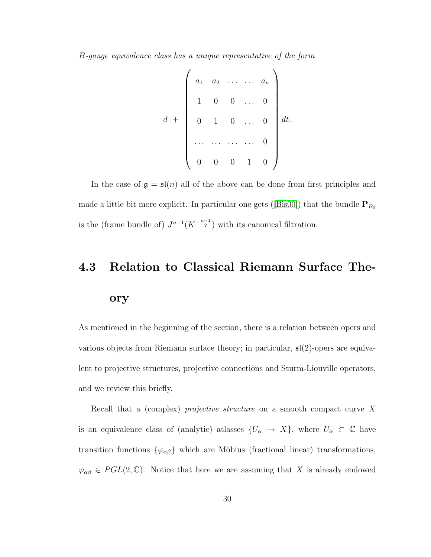B-gauge equivalence class has a unique representative of the form

$$
d + \left(\begin{array}{cccc} a_1 & a_2 & \dots & \dots & a_n \\ 1 & 0 & 0 & \dots & 0 \\ 0 & 1 & 0 & \dots & 0 \\ \dots & \dots & \dots & \dots & 0 \\ 0 & 0 & 0 & 1 & 0 \end{array}\right) dt.
$$

In the case of  $\mathfrak{g} = \mathfrak{sl}(n)$  all of the above can be done from first principles and madea little bit more explicit. In particular one gets ([\[Bis00\]](#page-95-2)) that the bundle  $\mathbf{P}_{B_0}$ is the (frame bundle of)  $J^{n-1}(K^{-\frac{n-1}{2}})$  with its canonical filtration.

## <span id="page-35-0"></span>4.3 Relation to Classical Riemann Surface Theory

As mentioned in the beginning of the section, there is a relation between opers and various objects from Riemann surface theory; in particular,  $\mathfrak{sl}(2)$ -opers are equivalent to projective structures, projective connections and Sturm-Liouville operators, and we review this briefly.

Recall that a (complex) *projective structure* on a smooth compact curve X is an equivalence class of (analytic) atlasses  $\{U_\alpha \to X\}$ , where  $U_\alpha \subset \mathbb{C}$  have transition functions  $\{\varphi_{\alpha\beta}\}\$  which are Möbius (fractional linear) transformations,  $\varphi_{\alpha\beta} \in \text{PGL}(2,\mathbb{C})$ . Notice that here we are assuming that X is already endowed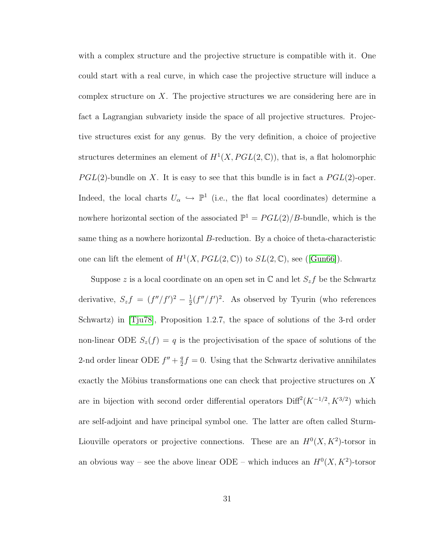with a complex structure and the projective structure is compatible with it. One could start with a real curve, in which case the projective structure will induce a complex structure on X. The projective structures we are considering here are in fact a Lagrangian subvariety inside the space of all projective structures. Projective structures exist for any genus. By the very definition, a choice of projective structures determines an element of  $H^1(X, PGL(2, \mathbb{C}))$ , that is, a flat holomorphic  $PGL(2)$ -bundle on X. It is easy to see that this bundle is in fact a  $PGL(2)$ -oper. Indeed, the local charts  $U_{\alpha} \hookrightarrow \mathbb{P}^{1}$  (i.e., the flat local coordinates) determine a nowhere horizontal section of the associated  $\mathbb{P}^1 = PGL(2)/B$ -bundle, which is the same thing as a nowhere horizontal B-reduction. By a choice of theta-characteristic one can lift the element of  $H^1(X, PGL(2, \mathbb{C}))$  to  $SL(2, \mathbb{C})$ , see ([\[Gun66\]](#page-97-0)).

Suppose z is a local coordinate on an open set in  $\mathbb C$  and let  $S_z f$  be the Schwartz derivative,  $S_z f = (f''/f')^2 - \frac{1}{2}$  $\frac{1}{2}(f''/f')^2$ . As observed by Tyurin (who references Schwartz) in [\[Tju78\]](#page-100-0), Proposition 1.2.7, the space of solutions of the 3-rd order non-linear ODE  $S_z(f) = q$  is the projectivisation of the space of solutions of the 2-nd order linear ODE  $f'' + \frac{q}{2}$  $\frac{q}{2}f = 0$ . Using that the Schwartz derivative annihilates exactly the Möbius transformations one can check that projective structures on  $X$ are in bijection with second order differential operators  $Diff<sup>2</sup>(K<sup>-1/2</sup>, K<sup>3/2</sup>)$  which are self-adjoint and have principal symbol one. The latter are often called Sturm-Liouville operators or projective connections. These are an  $H^0(X, K^2)$ -torsor in an obvious way – see the above linear ODE – which induces an  $H^0(X, K^2)$ -torsor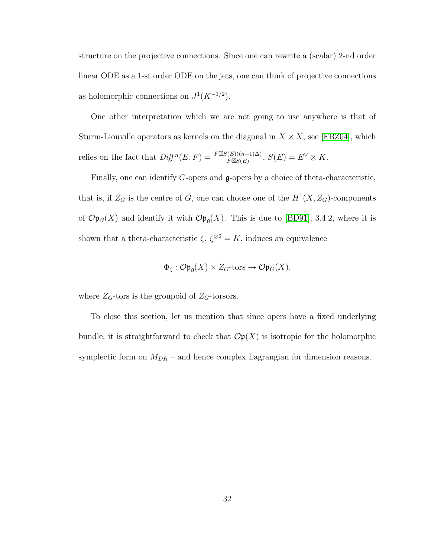structure on the projective connections. Since one can rewrite a (scalar) 2-nd order linear ODE as a 1-st order ODE on the jets, one can think of projective connections as holomorphic connections on  $J^1(K^{-1/2})$ .

One other interpretation which we are not going to use anywhere is that of Sturm-Liouville operators as kernels on the diagonal in  $X \times X$ , see [\[FBZ04\]](#page-96-0), which relies on the fact that  $Diff^n(E, F) = \frac{F \boxtimes S(E)((n+1)\Delta)}{F \boxtimes S(E)}$  $\frac{E(E)((n+1)\Delta)}{F\boxtimes S(E)}, S(E)=E^\vee\otimes K.$ 

Finally, one can identify G-opers and g-opers by a choice of theta-characteristic, that is, if  $Z_G$  is the centre of G, one can choose one of the  $H^1(X, Z_G)$ -components of  $\mathcal{O}(\mathfrak{p}_G(X))$  and identify it with  $\mathcal{O}(\mathfrak{p}_\mathfrak{g}(X))$ . This is due to [\[BD91\]](#page-95-0), 3.4.2, where it is shown that a theta-characteristic  $\zeta$ ,  $\zeta^{\otimes 2} = K$ , induces an equivalence

$$
\Phi_{\zeta}: \mathcal{O} \mathfrak{p}_{\mathfrak{g}}(X) \times Z_G\text{-tors} \to \mathcal{O} \mathfrak{p}_G(X),
$$

where  $Z_G\mbox{-tors}$  is the groupoid of<br>  $Z_G\mbox{-torsors}.$ 

To close this section, let us mention that since opers have a fixed underlying bundle, it is straightforward to check that  $\mathcal{O}_p(X)$  is isotropic for the holomorphic symplectic form on  $M_{DR}$  – and hence complex Lagrangian for dimension reasons.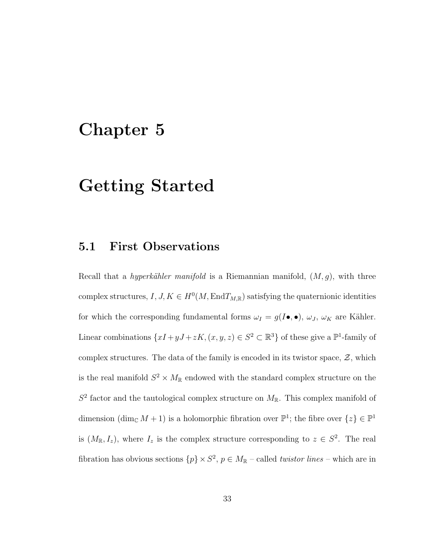## Chapter 5

## Getting Started

## 5.1 First Observations

Recall that a *hyperkähler manifold* is a Riemannian manifold,  $(M, g)$ , with three complex structures,  $I, J, K \in H^0(M, \text{End}T_{M,\mathbb{R}})$  satisfying the quaternionic identities for which the corresponding fundamental forms  $\omega_I = g(I \bullet, \bullet)$ ,  $\omega_J$ ,  $\omega_K$  are Kähler. Linear combinations  $\{xI + yJ + zK, (x, y, z) \in S^2 \subset \mathbb{R}^3\}$  of these give a  $\mathbb{P}^1$ -family of complex structures. The data of the family is encoded in its twistor space,  $\mathcal{Z}$ , which is the real manifold  $S^2 \times M_{\mathbb{R}}$  endowed with the standard complex structure on the  $S<sup>2</sup>$  factor and the tautological complex structure on  $M_{\mathbb{R}}$ . This complex manifold of dimension  $(\dim_{\mathbb{C}} M + 1)$  is a holomorphic fibration over  $\mathbb{P}^1$ ; the fibre over  $\{z\} \in \mathbb{P}^1$ is  $(M_{\mathbb{R}}, I_z)$ , where  $I_z$  is the complex structure corresponding to  $z \in S^2$ . The real fibration has obvious sections  $\{p\} \times S^2$ ,  $p \in M_{\mathbb{R}}$  – called *twistor lines* – which are in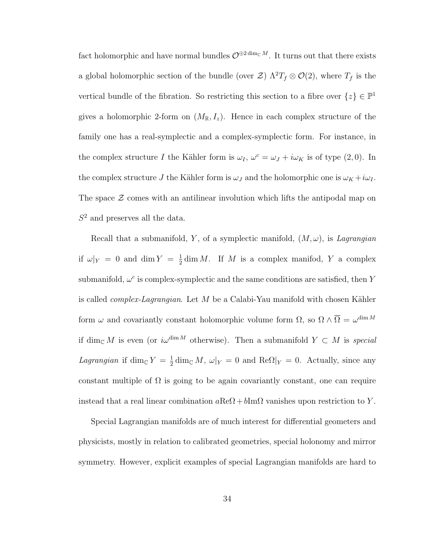fact holomorphic and have normal bundles  $\mathcal{O}^{\oplus 2 \dim_{\mathbb{C}} M}$ . It turns out that there exists a global holomorphic section of the bundle (over  $\mathcal{Z}$ )  $\Lambda^2 T_f \otimes \mathcal{O}(2)$ , where  $T_f$  is the vertical bundle of the fibration. So restricting this section to a fibre over  $\{z\} \in \mathbb{P}^1$ gives a holomorphic 2-form on  $(M_{\mathbb{R}}, I_z)$ . Hence in each complex structure of the family one has a real-symplectic and a complex-symplectic form. For instance, in the complex structure I the Kähler form is  $\omega_I$ ,  $\omega^c = \omega_J + i\omega_K$  is of type (2,0). In the complex structure J the Kähler form is  $\omega_J$  and the holomorphic one is  $\omega_K + i\omega_I$ . The space  $\mathcal Z$  comes with an antilinear involution which lifts the antipodal map on  $S<sup>2</sup>$  and preserves all the data.

Recall that a submanifold, Y, of a symplectic manifold,  $(M, \omega)$ , is Lagrangian if  $\omega|_Y = 0$  and dim  $Y = \frac{1}{2}$  $\frac{1}{2}$  dim M. If M is a complex manifod, Y a complex submanifold,  $\omega^c$  is complex-symplectic and the same conditions are satisfied, then Y is called *complex-Lagrangian*. Let M be a Calabi-Yau manifold with chosen Kähler form  $\omega$  and covariantly constant holomorphic volume form  $\Omega$ , so  $\Omega \wedge \overline{\Omega} = \omega^{\dim M}$ if dim<sub>C</sub> M is even (or  $i\omega^{\dim M}$  otherwise). Then a submanifold  $Y \subset M$  is special *Lagrangian* if dim<sub>C</sub>  $Y = \frac{1}{2}$  $\frac{1}{2} \dim_{\mathbb{C}} M$ ,  $\omega|_Y = 0$  and  $\text{Re}\Omega|_Y = 0$ . Actually, since any constant multiple of  $\Omega$  is going to be again covariantly constant, one can require instead that a real linear combination  $a\text{Re}\Omega + b\text{Im}\Omega$  vanishes upon restriction to Y.

Special Lagrangian manifolds are of much interest for differential geometers and physicists, mostly in relation to calibrated geometries, special holonomy and mirror symmetry. However, explicit examples of special Lagrangian manifolds are hard to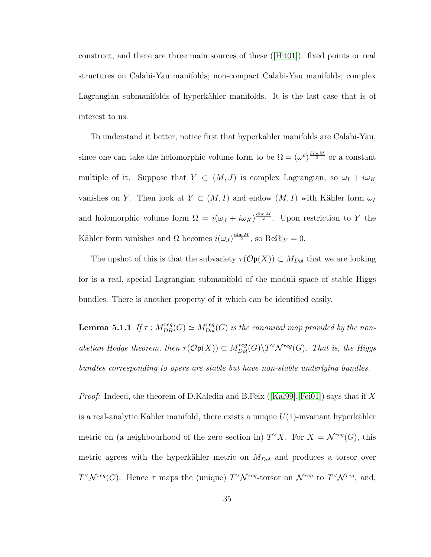construct, and there are three main sources of these([\[Hit01\]](#page-98-0)): fixed points or real structures on Calabi-Yau manifolds; non-compact Calabi-Yau manifolds; complex Lagrangian submanifolds of hyperkähler manifolds. It is the last case that is of interest to us.

To understand it better, notice first that hyperkähler manifolds are Calabi-Yau, since one can take the holomorphic volume form to be  $\Omega = (\omega^c)^{\frac{\dim M}{2}}$  or a constant multiple of it. Suppose that  $Y \subset (M, J)$  is complex Lagrangian, so  $\omega_I + i\omega_K$ vanishes on Y. Then look at  $Y \subset (M, I)$  and endow  $(M, I)$  with Kähler form  $\omega_I$ and holomorphic volume form  $\Omega = i(\omega_J + i\omega_K)^{\frac{\dim M}{2}}$ . Upon restriction to Y the Kähler form vanishes and  $\Omega$  becomes  $i(\omega_J)^{\frac{\dim M}{2}}$ , so  $\text{Re}\Omega|_Y=0$ .

The upshot of this is that the subvariety  $\tau(\mathcal{O}(\mathfrak{p}(X))) \subset M_{Dol}$  that we are looking for is a real, special Lagrangian submanifold of the moduli space of stable Higgs bundles. There is another property of it which can be identified easily.

**Lemma 5.1.1** If  $\tau : M_{DR}^{reg}(G) \simeq M_{Dol}^{reg}(G)$  is the canonical map provided by the nonabelian Hodge theorem, then  $\tau(\mathcal{O}(\mathfrak{p}(X))) \subset M_{Dol}^{reg}(G) \backslash T^{\vee} \mathcal{N}^{reg}(G)$ . That is, the Higgs bundles corresponding to opers are stable but have non-stable underlying bundles.

*Proof:*Indeed, the theorem of D.Kaledin and B.Feix ([\[Kal99\]](#page-98-1), [\[Fei01\]](#page-96-1)) says that if X is a real-analytic Kähler manifold, there exists a unique  $U(1)$ -invariant hyperkähler metric on (a neighbourhood of the zero section in)  $T^{\vee}X$ . For  $X = \mathcal{N}^{reg}(G)$ , this metric agrees with the hyperkähler metric on  $M_{Dol}$  and produces a torsor over  $T^{\vee} \mathcal{N}^{reg}(G)$ . Hence  $\tau$  maps the (unique)  $T^{\vee} \mathcal{N}^{reg}$ -torsor on  $\mathcal{N}^{reg}$  to  $T^{\vee} \mathcal{N}^{reg}$ , and,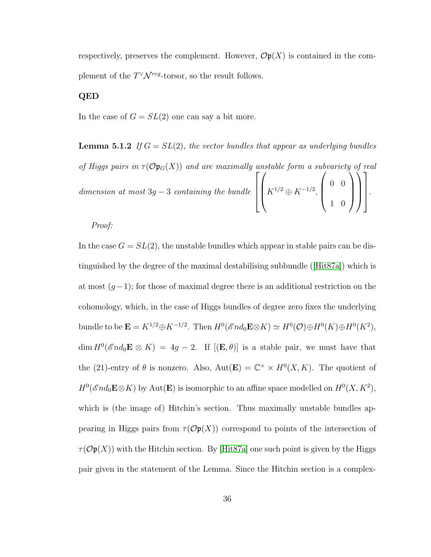respectively, preserves the complement. However,  $\mathcal{O}p(X)$  is contained in the complement of the  $T^{\vee} \mathcal{N}^{reg}\text{-torsor}$ , so the result follows.

#### QED

<span id="page-41-0"></span>In the case of  $G = SL(2)$  one can say a bit more.

**Lemma 5.1.2** If  $G = SL(2)$ , the vector bundles that appear as underlying bundles of Higgs pairs in  $\tau(\mathcal{O} \mathfrak{p}_G(X))$  and are maximally unstable form a subvariety of real dimension at most  $3g - 3$  containing the bundle  $\sqrt{ }$  $\begin{matrix} \phantom{-} \end{matrix}$  $\sqrt{ }$  $K^{1/2} \oplus K^{-1/2},$  $\sqrt{ }$  $\vert$ 0 0 1 0  $\setminus$  $\Bigg\}$  $\setminus$  $\Bigg\}$ 1  $\begin{matrix} \phantom{-} \end{matrix}$ .

#### Proof:

In the case  $G = SL(2)$ , the unstable bundles which appear in stable pairs can be distinguished by the degree of the maximal destabilising subbundle([\[Hit87a\]](#page-97-1)) which is at most  $(g-1)$ ; for those of maximal degree there is an additional restriction on the cohomology, which, in the case of Higgs bundles of degree zero fixes the underlying bundle to be  $\mathbf{E} = K^{1/2} \oplus K^{-1/2}$ . Then  $H^0(\mathscr{E}nd_0\mathbf{E}\otimes K) \simeq H^0(\mathcal{O}) \oplus H^0(K) \oplus H^0(K^2)$ ,  $\dim H^0(\mathscr{E}nd_0\mathbf{E}\otimes K) = 4g-2$ . If  $[(\mathbf{E},\theta)]$  is a stable pair, we must have that the (21)-entry of  $\theta$  is nonzero. Also,  $Aut(\mathbf{E}) = \mathbb{C}^{\times} \times H^{0}(X,K)$ . The quotient of  $H^0(\mathscr{E}nd_0\mathbf{E}\otimes K)$  by  $\mathrm{Aut}(\mathbf{E})$  is isomorphic to an affine space modelled on  $H^0(X,K^2)$ , which is (the image of) Hitchin's section. Thus maximally unstable bundles appearing in Higgs pairs from  $\tau(\mathcal{O}p(X))$  correspond to points of the intersection of  $\tau(\mathcal{O}(\mathfrak{p}(X))$  with the Hitchin section. By [\[Hit87a\]](#page-97-1) one such point is given by the Higgs pair given in the statement of the Lemma. Since the Hitchin section is a complex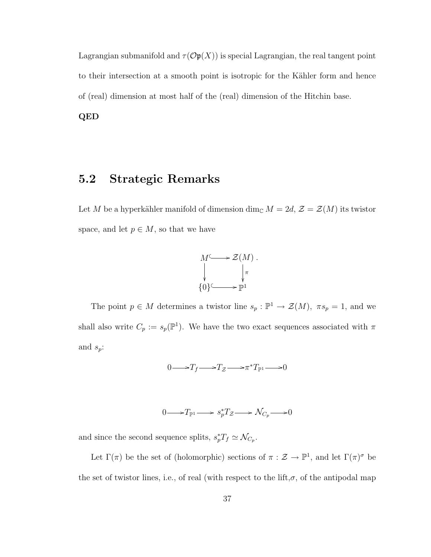Lagrangian submanifold and  $\tau(\mathcal{O}(\mathfrak{p}(X)))$  is special Lagrangian, the real tangent point to their intersection at a smooth point is isotropic for the Kähler form and hence of (real) dimension at most half of the (real) dimension of the Hitchin base.

QED

## 5.2 Strategic Remarks

Let  $M$  be a hyperkähler manifold of dimension  $\dim_{\mathbb{C}} M = 2d,$   $\mathcal{Z} = \mathcal{Z}(M)$  its twistor space, and let  $p \in M$ , so that we have



The point  $p \in M$  determines a twistor line  $s_p : \mathbb{P}^1 \to \mathcal{Z}(M)$ ,  $\pi s_p = 1$ , and we shall also write  $C_p := s_p(\mathbb{P}^1)$ . We have the two exact sequences associated with  $\pi$ and  $s_p$ :

$$
0 \longrightarrow T_f \longrightarrow T_{\mathcal{Z}} \longrightarrow \pi^* T_{\mathbb{P}^1} \longrightarrow 0
$$

$$
0 \longrightarrow T_{\mathbb{P}^1} \longrightarrow s_p^* T_{\mathcal{Z}} \longrightarrow \mathcal{N}_{C_p} \longrightarrow 0
$$

and since the second sequence splits,  $s_p^*T_f \simeq \mathcal{N}_{C_p}$ .

Let  $\Gamma(\pi)$  be the set of (holomorphic) sections of  $\pi : \mathcal{Z} \to \mathbb{P}^1$ , and let  $\Gamma(\pi)^\sigma$  be the set of twistor lines, i.e., of real (with respect to the lift, $\sigma$ , of the antipodal map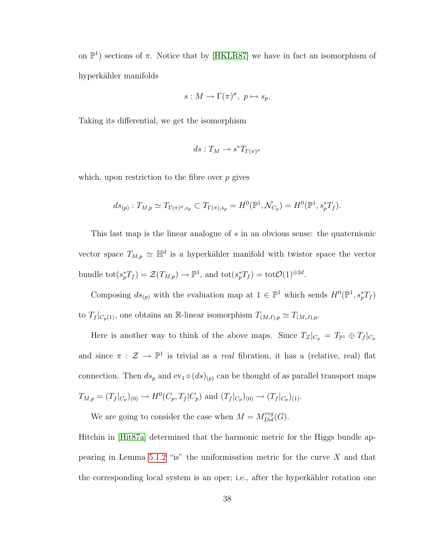on  $\mathbb{P}^1$ ) sections of  $\pi$ . Notice that by [\[HKLR87\]](#page-98-2) we have in fact an isomorphism of hyperkähler manifolds

$$
s: M \to \Gamma(\pi)^{\sigma}, \ p \mapsto s_p.
$$

Taking its differential, we get the isomorphism

$$
ds: T_M \to s^*T_{\Gamma(\pi)^{\sigma}}
$$

which, upon restriction to the fibre over  $p$  gives

$$
ds_{(p)}: T_{M,p} \simeq T_{\Gamma(\pi)^{\sigma},s_p} \subset T_{\Gamma(\pi),s_p} = H^0(\mathbb{P}^1, \mathcal{N}_{C_p}) = H^0(\mathbb{P}^1, s_p^*T_f).
$$

This last map is the linear analogue of s in an obvious sense: the quaternionic vector space  $T_{M,p} \simeq \mathbb{H}^d$  is a hyperkähler manifold with twistor space the vector bundle  $\text{tot}(s_p^*T_f) = \mathcal{Z}(T_{M,p}) \to \mathbb{P}^1$ , and  $\text{tot}(s_p^*T_f) = \text{tot}\mathcal{O}(1)^{\oplus 2d}$ .

Composing  $ds_{(p)}$  with the evaluation map at  $1 \in \mathbb{P}^1$  which sends  $H^0(\mathbb{P}^1, s_p^*T_f)$ to  $T_f|_{C_p(1)}$ , one obtains an R-linear isomorphism  $T_{(M,I),p} \simeq T_{(M,J),p}$ .

Here is another way to think of the above maps. Since  $T_z|_{C_p} = T_{\mathbb{P}^1} \oplus T_f|_{C_p}$ and since  $\pi : \mathcal{Z} \to \mathbb{P}^1$  is trivial as a *real* fibration, it has a (relative, real) flat connection. Then  $ds_p$  and  $ev_1 \circ (ds)_{(p)}$  can be thought of as parallel transport maps  $T_{M,p} = (T_f|_{C_p})_{(0)} \to H^0(C_p, T_f|_{C_p})$  and  $(T_f|_{C_p})_{(0)} \to (T_f|_{C_p})_{(1)}$ .

We are going to consider the case when  $M = M_{Dol}^{reg}(G)$ .

Hitchin in [\[Hit87a\]](#page-97-1) determined that the harmonic metric for the Higgs bundle ap-pearing in Lemma [5.1.2](#page-41-0) "is" the uniformisation metric for the curve  $X$  and that the corresponding local system is an oper; i.e., after the hyperkähler rotation one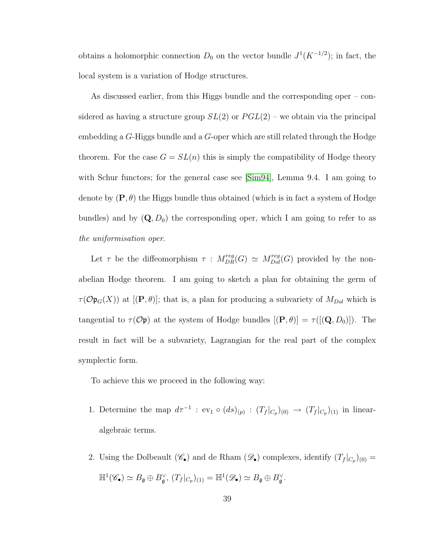obtains a holomorphic connection  $D_0$  on the vector bundle  $J^1(K^{-1/2})$ ; in fact, the local system is a variation of Hodge structures.

As discussed earlier, from this Higgs bundle and the corresponding oper – considered as having a structure group  $SL(2)$  or  $PGL(2)$  – we obtain via the principal embedding a G-Higgs bundle and a G-oper which are still related through the Hodge theorem. For the case  $G = SL(n)$  this is simply the compatibility of Hodge theory with Schur functors; for the general case see [\[Sim94\]](#page-99-0), Lemma 9.4. I am going to denote by  $(\mathbf{P}, \theta)$  the Higgs bundle thus obtained (which is in fact a system of Hodge bundles) and by  $(Q, D_0)$  the corresponding oper, which I am going to refer to as the uniformisation oper.

Let  $\tau$  be the diffeomorphism  $\tau$  :  $M^{reg}_{DR}(G) \simeq M^{reg}_{Dol}(G)$  provided by the nonabelian Hodge theorem. I am going to sketch a plan for obtaining the germ of  $\tau(\mathcal{O} \mathfrak{p}_G(X))$  at  $[(\mathbf{P}, \theta)]$ ; that is, a plan for producing a subvariety of  $M_{Dol}$  which is tangential to  $\tau(\mathcal{O}\mathfrak{p})$  at the system of Hodge bundles  $[(\mathbf{P}, \theta)] = \tau([[Q, D_0)])$ . The result in fact will be a subvariety, Lagrangian for the real part of the complex symplectic form.

To achieve this we proceed in the following way:

- 1. Determine the map  $d\tau^{-1}$ :  $ev_1 \circ (ds)_{(p)} : (T_f|_{C_p})_{(0)} \to (T_f|_{C_p})_{(1)}$  in linearalgebraic terms.
- 2. Using the Dolbeault  $(\mathscr{C}_{\bullet})$  and de Rham  $(\mathscr{D}_{\bullet})$  complexes, identify  $(T_f|_{C_p})_{(0)} =$  $\mathbb{H}^1(\mathscr{C}_\bullet) \simeq B_{\mathfrak{g}} \oplus B_{\mathfrak{g}}^{\vee}, (T_f|_{C_p})_{(1)} = \mathbb{H}^1(\mathscr{D}_\bullet) \simeq B_{\mathfrak{g}} \oplus B_{\mathfrak{g}}^{\vee}.$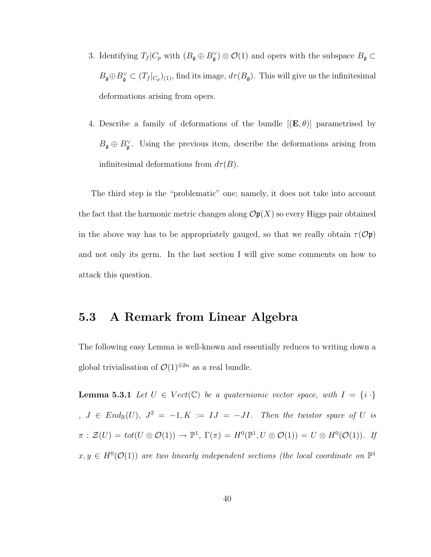- 3. Identifying  $T_f | C_p$  with  $(B_{\mathfrak{g}} \oplus B_{\mathfrak{g}}^{\vee}) \otimes \mathcal{O}(1)$  and opers with the subspace  $B_{\mathfrak{g}} \subset$  $B_{\mathfrak{g}} \oplus B_{\mathfrak{g}}^{\vee} \subset (T_f|_{C_p})_{(1)}$ , find its image,  $d\tau(B_{\mathfrak{g}})$ . This will give us the infinitesimal deformations arising from opers.
- 4. Describe a family of deformations of the bundle  $[(E, \theta)]$  parametrised by  $B_{\mathfrak{g}} \oplus B_{\mathfrak{g}}^{\vee}$ . Using the previous item, describe the deformations arising from infinitesimal deformations from  $d\tau(B)$ .

The third step is the "problematic" one; namely, it does not take into account the fact that the harmonic metric changes along  $\mathcal{O}p(X)$  so every Higgs pair obtained in the above way has to be appropriately gauged, so that we really obtain  $\tau(\mathcal{O} \mathfrak{p})$ and not only its germ. In the last section I will give some comments on how to attack this question.

## 5.3 A Remark from Linear Algebra

<span id="page-45-0"></span>The following easy Lemma is well-known and essentially reduces to writing down a global trivialisation of  $\mathcal{O}(1)^{\oplus 2n}$  as a real bundle.

**Lemma 5.3.1** Let  $U \in Vect(\mathbb{C})$  be a quaternionic vector space, with  $I = \{i \cdot\}$  $J \in End_{\mathbb{R}}(U)$ ,  $J^2 = -1, K := IJ = -JI$ . Then the twistor space of U is  $\pi : \mathcal{Z}(U) = tot(U \otimes \mathcal{O}(1)) \to \mathbb{P}^1$ ,  $\Gamma(\pi) = H^0(\mathbb{P}^1, U \otimes \mathcal{O}(1)) = U \otimes H^0(\mathcal{O}(1)).$  If  $x, y \in H^0(\mathcal{O}(1))$  are two linearly independent sections (the local coordinate on  $\mathbb{P}^1$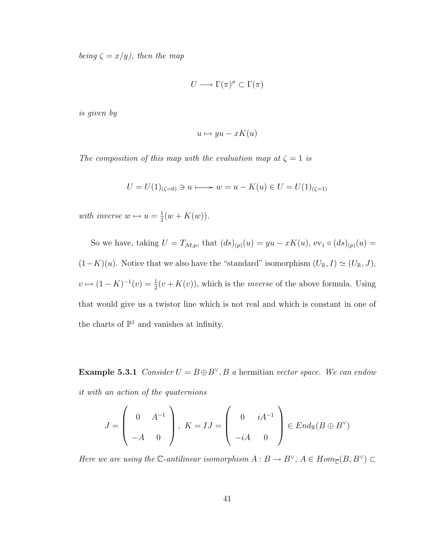being  $\zeta = x/y$ , then the map

$$
U \longrightarrow \Gamma(\pi)^{\sigma} \subset \Gamma(\pi)
$$

is given by

$$
u \mapsto yu - xK(u)
$$

The composition of this map with the evaluation map at  $\zeta = 1$  is

$$
U = U(1)_{(\zeta=0)} \ni u \longmapsto w = u - K(u) \in U = U(1)_{(\zeta=1)}
$$

with inverse  $w \mapsto u = \frac{1}{2}$  $\frac{1}{2}(w + K(w)).$ 

So we have, taking  $U = T_{\mathcal{M},p}$ , that  $(ds)_{(p)}(u) = yu - xK(u)$ , ev<sub>1</sub>  $\circ$   $(ds)_{(p)}(u) =$  $(1-K)(u)$ . Notice that we also have the "standard" isomorphism  $(U_{\mathbb{R}}, I) \simeq (U_{\mathbb{R}}, J)$ ,  $v \mapsto (1 - K)^{-1}(v) = \frac{1}{2}(v + K(v))$ , which is the *inverse* of the above formula. Using that would give us a twistor line which is not real and which is constant in one of the charts of  $\mathbb{P}^1$  and vanishes at infinity.

**Example 5.3.1** Consider  $U = B \oplus B^{\vee}$ , B a hermitian vector space. We can endow it with an action of the quaternions

$$
J = \begin{pmatrix} 0 & A^{-1} \\ -A & 0 \end{pmatrix}, K = IJ = \begin{pmatrix} 0 & iA^{-1} \\ -iA & 0 \end{pmatrix} \in End_{\mathbb{R}}(B \oplus B^{\vee})
$$

Here we are using the C-antilinear isomorphism  $A: B \to B^{\vee}$ ,  $A \in Hom_{\overline{C}}(B, B^{\vee}) \subset$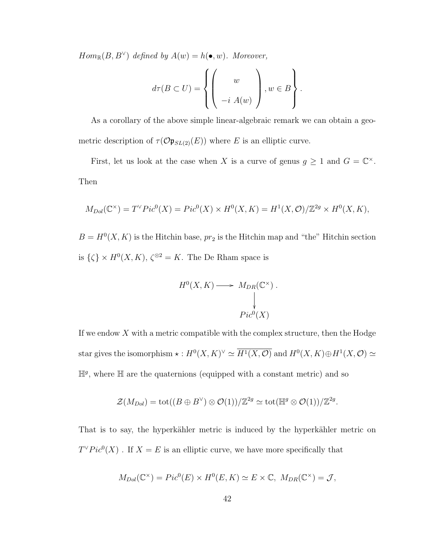$Hom_{\mathbb{R}}(B, B^{\vee})$  defined by  $A(w) = h(\bullet, w)$ . Moreover,

$$
d\tau(B\subset U) = \left\{ \left(\begin{array}{c} w \\ w \\ -i A(w) \end{array}\right), w \in B \right\}.
$$

As a corollary of the above simple linear-algebraic remark we can obtain a geometric description of  $\tau(\mathcal{O} \mathfrak{p}_{SL(2)}(E))$  where E is an elliptic curve.

First, let us look at the case when X is a curve of genus  $g \geq 1$  and  $G = \mathbb{C}^{\times}$ . Then

$$
M_{Dol}(\mathbb{C}^{\times}) = T^{\vee} Pic^{0}(X) = Pic^{0}(X) \times H^{0}(X, K) = H^{1}(X, \mathcal{O})/\mathbb{Z}^{2g} \times H^{0}(X, K),
$$

 $B = H^{0}(X, K)$  is the Hitchin base,  $pr_2$  is the Hitchin map and "the" Hitchin section is  $\{\zeta\} \times H^0(X,K)$ ,  $\zeta^{\otimes 2} = K$ . The De Rham space is

$$
H^{0}(X, K) \longrightarrow M_{DR}(\mathbb{C}^{\times}).
$$
  
\n
$$
\downarrow
$$
  
\n
$$
Pic^{0}(X)
$$

If we endow  $X$  with a metric compatible with the complex structure, then the Hodge star gives the isomorphism  $\star : H^0(X,K)^{\vee} \simeq \overline{H^1(X,\mathcal{O})}$  and  $H^0(X,K) \oplus H^1(X,\mathcal{O}) \simeq$  $\mathbb{H}^g$ , where  $\mathbb H$  are the quaternions (equipped with a constant metric) and so

$$
\mathcal{Z}(M_{Dol}) = \text{tot}((B \oplus B^{\vee}) \otimes \mathcal{O}(1))/\mathbb{Z}^{2g} \simeq \text{tot}(\mathbb{H}^{g} \otimes \mathcal{O}(1))/\mathbb{Z}^{2g}.
$$

That is to say, the hyperkähler metric is induced by the hyperkähler metric on  $T^{\vee}Pic^{0}(X)$ . If  $X = E$  is an elliptic curve, we have more specifically that

$$
M_{Dol}(\mathbb{C}^{\times}) = Pic^{0}(E) \times H^{0}(E, K) \simeq E \times \mathbb{C}, M_{DR}(\mathbb{C}^{\times}) = \mathcal{J},
$$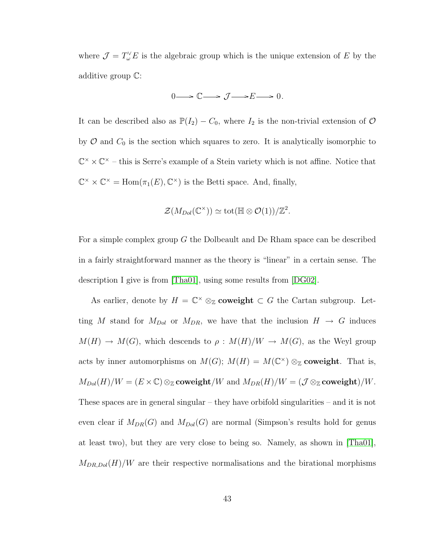where  $\mathcal{J} = T_{\omega}^{\vee} E$  is the algebraic group which is the unique extension of E by the additive group C:

$$
0 \longrightarrow \mathbb{C} \longrightarrow \mathcal{J} \longrightarrow E \longrightarrow 0.
$$

It can be described also as  $\mathbb{P}(I_2) - C_0$ , where  $I_2$  is the non-trivial extension of  $\mathcal{O}$ by  $\mathcal O$  and  $C_0$  is the section which squares to zero. It is analytically isomorphic to  $\mathbb{C}^{\times} \times \mathbb{C}^{\times}$  – this is Serre's example of a Stein variety which is not affine. Notice that  $\mathbb{C}^{\times} \times \mathbb{C}^{\times} = \text{Hom}(\pi_1(E), \mathbb{C}^{\times})$  is the Betti space. And, finally,

$$
\mathcal{Z}(M_{Dol}(\mathbb{C}^{\times})) \simeq \text{tot}(\mathbb{H} \otimes \mathcal{O}(1))/\mathbb{Z}^{2}.
$$

For a simple complex group G the Dolbeault and De Rham space can be described in a fairly straightforward manner as the theory is "linear" in a certain sense. The description I give is from [\[Tha01\]](#page-100-1), using some results from [\[DG02\]](#page-95-1).

As earlier, denote by  $H = \mathbb{C}^\times \otimes_{\mathbb{Z}} \mathbf{coveight} \subset G$  the Cartan subgroup. Letting M stand for  $M_{Dol}$  or  $M_{DR}$ , we have that the inclusion  $H \rightarrow G$  induces  $M(H) \to M(G)$ , which descends to  $\rho : M(H)/W \to M(G)$ , as the Weyl group acts by inner automorphisms on  $M(G)$ ;  $M(H) = M(\mathbb{C}^{\times}) \otimes_{\mathbb{Z}} \mathbf{coveight}$ . That is,  $M_{Dol}(H)/W = (E \times \mathbb{C}) \otimes_{\mathbb{Z}} \mathbf{coveight}/W$  and  $M_{DR}(H)/W = (\mathcal{J} \otimes_{\mathbb{Z}} \mathbf{coveight})/W$ . These spaces are in general singular – they have orbifold singularities – and it is not even clear if  $M_{DR}(G)$  and  $M_{Dol}(G)$  are normal (Simpson's results hold for genus at least two), but they are very close to being so. Namely, as shown in [\[Tha01\]](#page-100-1),  $M_{DR, Dol}(H)/W$  are their respective normalisations and the birational morphisms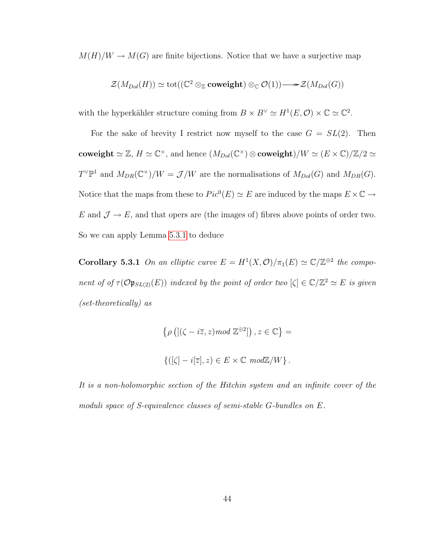$M(H)/W \to M(G)$  are finite bijections. Notice that we have a surjective map

$$
\mathcal{Z}(M_{Dol}(H)) \simeq \operatorname{tot}((\mathbb{C}^2 \otimes_{\mathbb{Z}} \mathbf{coveight}) \otimes_{\mathbb{C}} \mathcal{O}(1)) \longrightarrow \mathcal{Z}(M_{Dol}(G))
$$

with the hyperkähler structure coming from  $B \times B^{\vee} \simeq H^1(E, \mathcal{O}) \times \mathbb{C} \simeq \mathbb{C}^2$ .

For the sake of brevity I restrict now myself to the case  $G = SL(2)$ . Then coweight  $\simeq \mathbb{Z}$ ,  $H \simeq \mathbb{C}^{\times}$ , and hence  $(M_{Dol}(\mathbb{C}^{\times}) \otimes$  coweight)/ $W \simeq (E \times \mathbb{C})/\mathbb{Z}/2 \simeq$  $T^{\vee} \mathbb{P}^1$  and  $M_{DR}(\mathbb{C}^{\times})/W = \mathcal{J}/W$  are the normalisations of  $M_{Dol}(G)$  and  $M_{DR}(G)$ . Notice that the maps from these to  $Pic^{0}(E) \simeq E$  are induced by the maps  $E \times \mathbb{C} \rightarrow$ E and  $\mathcal{J} \to E$ , and that opers are (the images of) fibres above points of order two. So we can apply Lemma [5.3.1](#page-45-0) to deduce

**Corollary 5.3.1** On an elliptic curve  $E = H^1(X, \mathcal{O})/\pi_1(E) \simeq \mathbb{C}/\mathbb{Z}^{\oplus 2}$  the component of of  $\tau(\mathcal{O} \mathfrak{p}_{SL(2)}(E))$  indexed by the point of order two  $[\zeta] \in \mathbb{C}/\mathbb{Z}^2 \simeq E$  is given (set-theoretically) as

$$
\{\rho\left([\zeta - i\overline{z}, z) \mod \mathbb{Z}^{\oplus 2}]\right), z \in \mathbb{C}\} =
$$
  

$$
\{([\zeta] - i|\overline{z}|, z) \in E \times \mathbb{C} \mod \mathbb{Z}/W\}.
$$

It is a non-holomorphic section of the Hitchin system and an infinite cover of the moduli space of S-equivalence classes of semi-stable G-bundles on E.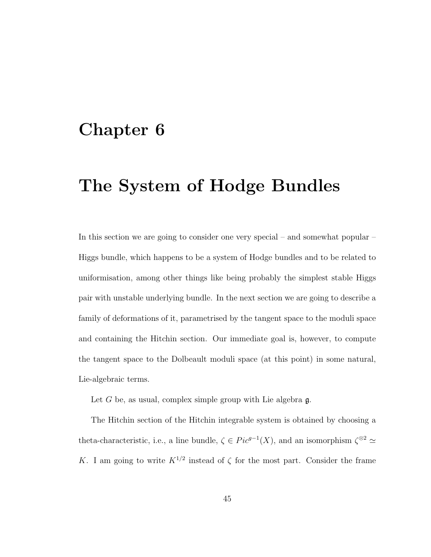# Chapter 6

# The System of Hodge Bundles

In this section we are going to consider one very special – and somewhat popular – Higgs bundle, which happens to be a system of Hodge bundles and to be related to uniformisation, among other things like being probably the simplest stable Higgs pair with unstable underlying bundle. In the next section we are going to describe a family of deformations of it, parametrised by the tangent space to the moduli space and containing the Hitchin section. Our immediate goal is, however, to compute the tangent space to the Dolbeault moduli space (at this point) in some natural, Lie-algebraic terms.

Let  $G$  be, as usual, complex simple group with Lie algebra  $\mathfrak{g}$ .

The Hitchin section of the Hitchin integrable system is obtained by choosing a theta-characteristic, i.e., a line bundle,  $\zeta \in Pic^{g-1}(X)$ , and an isomorphism  $\zeta^{\otimes 2} \simeq$ K. I am going to write  $K^{1/2}$  instead of  $\zeta$  for the most part. Consider the frame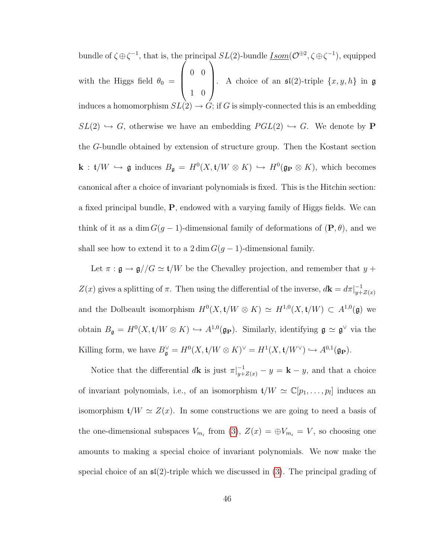bundle of  $\zeta \oplus \zeta^{-1}$ , that is, the principal  $SL(2)$ -bundle  $\underline{Isom}(\mathcal{O}^{\oplus 2}, \zeta \oplus \zeta^{-1})$ , equipped with the Higgs field  $\theta_0 =$  $\sqrt{ }$  $\overline{\phantom{a}}$ 0 0 1 0  $\setminus$ . A choice of an  $\mathfrak{sl}(2)$ -triple  $\{x, y, h\}$  in  $\mathfrak g$ induces a homomorphism  $SL(2) \to G$ ; if G is simply-connected this is an embedding  $SL(2) \hookrightarrow G$ , otherwise we have an embedding  $PGL(2) \hookrightarrow G$ . We denote by P the G-bundle obtained by extension of structure group. Then the Kostant section  $\mathbf{k} : \mathfrak{t}/W \hookrightarrow \mathfrak{g}$  induces  $B_{\mathfrak{g}} = H^0(X, \mathfrak{t}/W \otimes K) \hookrightarrow H^0(\mathfrak{g}_P \otimes K)$ , which becomes canonical after a choice of invariant polynomials is fixed. This is the Hitchin section: a fixed principal bundle, P, endowed with a varying family of Higgs fields. We can think of it as a dim  $G(g-1)$ -dimensional family of deformations of  $(\mathbf{P}, \theta)$ , and we shall see how to extend it to a  $2 \dim G(g-1)$ -dimensional family.

Let  $\pi : \mathfrak{g} \rightarrow \mathfrak{g}//G \simeq \mathfrak{t}/W$  be the Chevalley projection, and remember that  $y$  +  $Z(x)$  gives a splitting of  $\pi$ . Then using the differential of the inverse,  $d\mathbf{k} = d\pi|_{u+1}^{-1}$  $y+\mathcal{Z}(x)$ and the Dolbeault isomorphism  $H^0(X, t/W \otimes K) \simeq H^{1,0}(X, t/W) \subset A^{1,0}(\mathfrak{g})$  we obtain  $B_{\mathfrak{g}} = H^0(X, \mathfrak{t}/W \otimes K) \hookrightarrow A^{1,0}(\mathfrak{g}_{\mathbf{P}})$ . Similarly, identifying  $\mathfrak{g} \simeq \mathfrak{g}^{\vee}$  via the Killing form, we have  $B_{\mathfrak{g}}^{\vee} = H^0(X, \mathfrak{t}/W \otimes K)^{\vee} = H^1(X, \mathfrak{t}/W^{\vee}) \hookrightarrow A^{0,1}(\mathfrak{g}_{\mathbf{P}}).$ 

Notice that the differential  $d\mathbf{k}$  is just  $\pi|_{y+Z(x)}^{-1} - y = \mathbf{k} - y$ , and that a choice of invariant polynomials, i.e., of an isomorphism  $\mathfrak{t}/W \simeq \mathbb{C}[p_1, \ldots, p_l]$  induces an isomorphism  $t/W \simeq Z(x)$ . In some constructions we are going to need a basis of the one-dimensional subspaces  $V_{m_i}$  from [\(3\)](#page-16-0),  $Z(x) = \bigoplus V_{m_i} = V$ , so choosing one amounts to making a special choice of invariant polynomials. We now make the special choice of an  $\mathfrak{sl}(2)$ -triple which we discussed in [\(3\)](#page-16-0). The principal grading of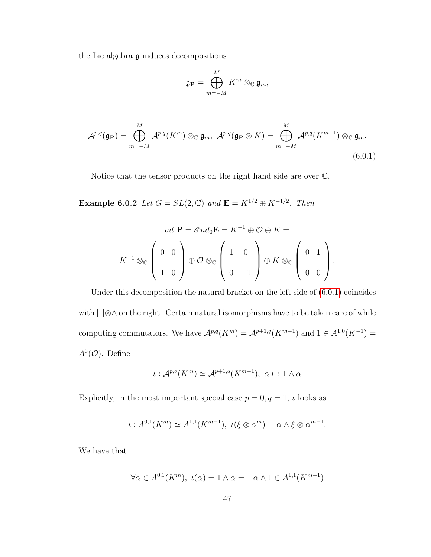the Lie algebra  $\mathfrak g$  induces decompositions

$$
\mathfrak{g}_{\mathbf{P}}=\bigoplus_{m=-M}^M K^m\otimes_{\mathbb{C}}\mathfrak{g}_m,
$$

<span id="page-52-0"></span>
$$
\mathcal{A}^{p,q}(\mathfrak{g}_{\mathbf{P}}) = \bigoplus_{m=-M}^{M} \mathcal{A}^{p,q}(K^m) \otimes_{\mathbb{C}} \mathfrak{g}_m, \ \mathcal{A}^{p,q}(\mathfrak{g}_{\mathbf{P}} \otimes K) = \bigoplus_{m=-M}^{M} \mathcal{A}^{p,q}(K^{m+1}) \otimes_{\mathbb{C}} \mathfrak{g}_m.
$$
\n(6.0.1)

Notice that the tensor products on the right hand side are over C.

**Example 6.0.2** Let  $G = SL(2, \mathbb{C})$  and  $\mathbf{E} = K^{1/2} \oplus K^{-1/2}$ . Then

$$
ad \mathbf{P} = \mathscr{E}nd_0 \mathbf{E} = K^{-1} \oplus \mathcal{O} \oplus K =
$$
  

$$
K^{-1} \otimes_{\mathbb{C}} \left( \begin{array}{cc} 0 & 0 \\ 1 & 0 \end{array} \right) \oplus \mathcal{O} \otimes_{\mathbb{C}} \left( \begin{array}{cc} 1 & 0 \\ 0 & -1 \end{array} \right) \oplus K \otimes_{\mathbb{C}} \left( \begin{array}{cc} 0 & 1 \\ 0 & 0 \end{array} \right).
$$

Under this decomposition the natural bracket on the left side of [\(6.0.1\)](#page-52-0) coincides with [, ]⊗∧ on the right. Certain natural isomorphisms have to be taken care of while computing commutators. We have  $\mathcal{A}^{p,q}(K^m) = \mathcal{A}^{p+1,q}(K^{m-1})$  and  $1 \in A^{1,0}(K^{-1}) =$  $A^0(\mathcal{O})$ . Define

$$
\iota: \mathcal{A}^{p,q}(K^m) \simeq \mathcal{A}^{p+1,q}(K^{m-1}), \ \alpha \mapsto 1 \wedge \alpha
$$

Explicitly, in the most important special case  $p=0, q=1, \, \iota$  looks as

$$
\iota: A^{0,1}(K^m) \simeq A^{1,1}(K^{m-1}), \ \iota(\overline{\xi} \otimes \alpha^m) = \alpha \wedge \overline{\xi} \otimes \alpha^{m-1}.
$$

We have that

$$
\forall \alpha \in A^{0,1}(K^m), \ \iota(\alpha) = 1 \land \alpha = -\alpha \land 1 \in A^{1,1}(K^{m-1})
$$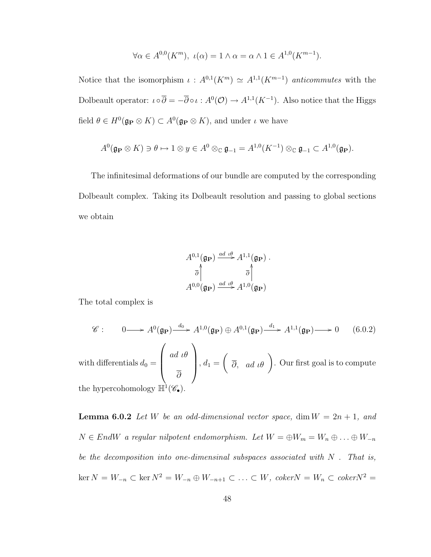$$
\forall \alpha \in A^{0,0}(K^m), \ \iota(\alpha) = 1 \land \alpha = \alpha \land 1 \in A^{1,0}(K^{m-1}).
$$

Notice that the isomorphism  $\iota: A^{0,1}(K^m) \simeq A^{1,1}(K^{m-1})$  anticommutes with the Dolbeault operator:  $\iota \circ \overline{\partial} = -\overline{\partial} \circ \iota : A^0(\mathcal{O}) \to A^{1,1}(K^{-1})$ . Also notice that the Higgs field  $\theta \in H^0(\mathfrak{g}_P \otimes K) \subset A^0(\mathfrak{g}_P \otimes K)$ , and under  $\iota$  we have

$$
A^0(\mathfrak{g}_{\mathbf{P}} \otimes K) \ni \theta \mapsto 1 \otimes y \in A^0 \otimes_{\mathbb{C}} \mathfrak{g}_{-1} = A^{1,0}(K^{-1}) \otimes_{\mathbb{C}} \mathfrak{g}_{-1} \subset A^{1,0}(\mathfrak{g}_{\mathbf{P}}).
$$

The infinitesimal deformations of our bundle are computed by the corresponding Dolbeault complex. Taking its Dolbeault resolution and passing to global sections we obtain

<span id="page-53-0"></span>
$$
A^{0,1}(\mathfrak{g}_{\mathbf{P}}) \xrightarrow{ad \theta} A^{1,1}(\mathfrak{g}_{\mathbf{P}}) .
$$

$$
\overline{\partial} \uparrow \qquad \overline{\partial} \uparrow
$$

$$
A^{0,0}(\mathfrak{g}_{\mathbf{P}}) \xrightarrow{ad \theta} A^{1,0}(\mathfrak{g}_{\mathbf{P}})
$$

The total complex is

$$
\mathscr{C}: \qquad 0 \longrightarrow A^{0}(\mathfrak{g}_{\mathbf{P}}) \xrightarrow{d_{0}} A^{1,0}(\mathfrak{g}_{\mathbf{P}}) \oplus A^{0,1}(\mathfrak{g}_{\mathbf{P}}) \xrightarrow{d_{1}} A^{1,1}(\mathfrak{g}_{\mathbf{P}}) \longrightarrow 0 \qquad (6.0.2)
$$
\nwith differentials  $d_{0} = \begin{pmatrix} ad \ u\theta \\ \overline{\partial} \end{pmatrix}$ ,  $d_{1} = \begin{pmatrix} \overline{\partial}, ad \ u\theta \end{pmatrix}$ . Our first goal is to compute

<span id="page-53-1"></span>the hypercohomology  $\mathbb{H}^{\mathfrak{l}}(\mathscr{C}_{\bullet}).$ 

**Lemma 6.0.2** Let W be an odd-dimensional vector space, dim  $W = 2n + 1$ , and  $N \in EndW$  a regular nilpotent endomorphism. Let  $W = \bigoplus W_m = W_n \oplus \ldots \oplus W_{-n}$ be the decomposition into one-dimensinal subspaces associated with  $N$ . That is,  $\ker N = W_{-n}$  ⊂  $\ker N^2 = W_{-n} \oplus W_{-n+1}$  ⊂ ... ⊂  $W$ ,  $\operatorname{coker} N = W_n$  ⊂  $\operatorname{coker} N^2 =$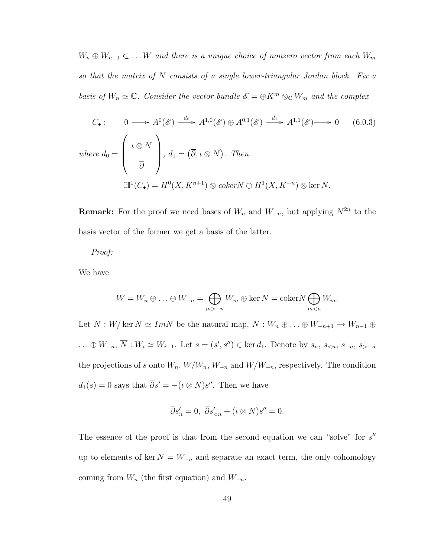$W_n \oplus W_{n-1} \subset \ldots W$  and there is a unique choice of nonzero vector from each  $W_m$ so that the matrix of N consists of a single lower-triangular Jordan block. Fix a basis of  $W_n \simeq \mathbb{C}$ . Consider the vector bundle  $\mathscr{E} = \oplus K^m \otimes_{\mathbb{C}} W_m$  and the complex

$$
C_{\bullet}: \qquad 0 \longrightarrow A^{0}(\mathscr{E}) \xrightarrow{d_{0}} A^{1,0}(\mathscr{E}) \oplus A^{0,1}(\mathscr{E}) \xrightarrow{d_{1}} A^{1,1}(\mathscr{E}) \longrightarrow 0 \qquad (6.0.3)
$$
  
\nwhere  $d_{0} = \begin{pmatrix} \iota \otimes N \\ \overline{\partial} \end{pmatrix}$ ,  $d_{1} = (\overline{\partial}, \iota \otimes N)$ . Then  
\n
$$
\mathbb{H}^{1}(C_{\bullet}) = H^{0}(X, K^{n+1}) \otimes coker N \oplus H^{1}(X, K^{-n}) \otimes \ker N.
$$

**Remark:** For the proof we need bases of  $W_n$  and  $W_{-n}$ , but applying  $N^{2n}$  to the basis vector of the former we get a basis of the latter.

#### Proof:

We have

$$
W = W_n \oplus \ldots \oplus W_{-n} = \bigoplus_{m > -n} W_m \oplus \ker N = \operatorname{coker} N \bigoplus_{m < n} W_m.
$$

Let  $\overline{N} : W/\ker N \simeq ImN$  be the natural map,  $\overline{N} : W_n \oplus \ldots \oplus W_{-n+1} \to W_{n-1} \oplus$ ... ⊕  $W_{-n}$ ,  $\overline{N}$ :  $W_i \simeq W_{i-1}$ . Let  $s = (s', s'') \in \text{ker } d_1$ . Denote by  $s_n$ ,  $s_{\lt n}$ ,  $s_{\gt n}$ ,  $s_{\gt -n}$ the projections of s onto  $W_n$ ,  $W/W_n$ ,  $W_{-n}$  and  $W/W_{-n}$ , respectively. The condition  $d_1(s) = 0$  says that  $\overline{\partial}s' = -(\iota \otimes N)s''$ . Then we have

$$
\overline{\partial} s_n' = 0, \ \overline{\partial} s_{\leq n}' + (\iota \otimes N)s'' = 0.
$$

The essence of the proof is that from the second equation we can "solve" for  $s''$ up to elements of ker  $N = W_{-n}$  and separate an exact term, the only cohomology coming from  $W_n$  (the first equation) and  $W_{-n}$ .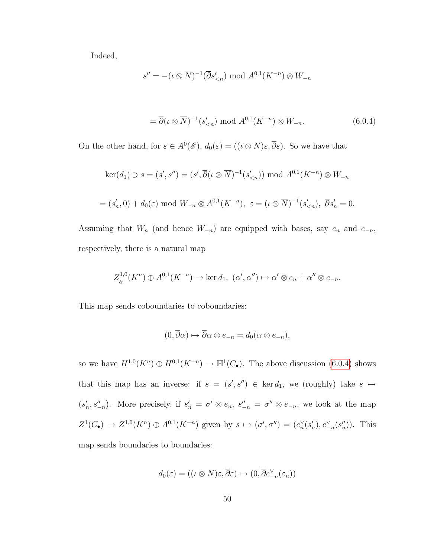<span id="page-55-0"></span>Indeed,

$$
s'' = -(\iota \otimes \overline{N})^{-1}(\overline{\partial} s'_{\leq n}) \mod A^{0,1}(K^{-n}) \otimes W_{-n}
$$
  

$$
= \overline{\partial}(\iota \otimes \overline{N})^{-1}(s'_{\leq n}) \mod A^{0,1}(K^{-n}) \otimes W_{-n}.
$$
 (6.0.4)

On the other hand, for  $\varepsilon \in A^0(\mathscr{E})$ ,  $d_0(\varepsilon) = ((\iota \otimes N)\varepsilon, \overline{\partial}\varepsilon)$ . So we have that

$$
\ker(d_1) \ni s = (s', s'') = (s', \overline{\partial}(\iota \otimes \overline{N})^{-1}(s'_{\leq n})) \text{ mod } A^{0,1}(K^{-n}) \otimes W_{-n}
$$
  
=  $(s'_n, 0) + d_0(\varepsilon) \text{ mod } W_{-n} \otimes A^{0,1}(K^{-n}), \ \varepsilon = (\iota \otimes \overline{N})^{-1}(s'_{\leq n}), \ \overline{\partial} s'_n = 0.$ 

Assuming that  $W_n$  (and hence  $W_{-n}$ ) are equipped with bases, say  $e_n$  and  $e_{-n}$ , respectively, there is a natural map

$$
Z_{\overline{\partial}}^{1,0}(K^n) \oplus A^{0,1}(K^{-n}) \to \ker d_1, \ (\alpha', \alpha'') \mapsto \alpha' \otimes e_n + \alpha'' \otimes e_{-n}.
$$

This map sends coboundaries to coboundaries:

$$
(0, \overline{\partial}\alpha) \mapsto \overline{\partial}\alpha \otimes e_{-n} = d_0(\alpha \otimes e_{-n}),
$$

so we have  $H^{1,0}(K^n) \oplus H^{0,1}(K^{-n}) \to \mathbb{H}^1(C_{\bullet})$ . The above discussion [\(6.0.4\)](#page-55-0) shows that this map has an inverse: if  $s = (s', s'') \in \text{ker } d_1$ , we (roughly) take  $s \mapsto$  $(s'_n, s''_{-n})$ . More precisely, if  $s'_n = \sigma' \otimes e_n$ ,  $s''_{-n} = \sigma'' \otimes e_{-n}$ , we look at the map  $Z^1(C_\bullet) \to Z^{1,0}(K^n) \oplus A^{0,1}(K^{-n})$  given by  $s \mapsto (\sigma', \sigma'') = (e_n^{\vee}(s_n'), e_{-n}^{\vee}(s_n'))$ . This map sends boundaries to boundaries:

$$
d_0(\varepsilon) = ((\iota \otimes N)\varepsilon, \overline{\partial}\varepsilon) \mapsto (0, \overline{\partial} e_{-n}^{\vee}(\varepsilon_n))
$$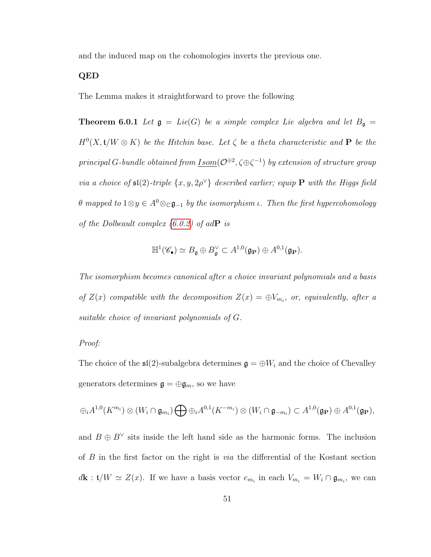and the induced map on the cohomologies inverts the previous one.

#### <span id="page-56-0"></span>QED

The Lemma makes it straightforward to prove the following

**Theorem 6.0.1** Let  $\mathfrak{g} = Lie(G)$  be a simple complex Lie algebra and let  $B_{\mathfrak{g}} =$  $H^0(X, t/W \otimes K)$  be the Hitchin base. Let  $\zeta$  be a theta characteristic and **P** be the principal G-bundle obtained from <u>Isom</u>( $\mathcal{O}^{\oplus 2}$ ,  $\zeta \oplus \zeta^{-1}$ ) by extension of structure group via a choice of  $\mathfrak{sl}(2)$ -triple  $\{x, y, 2\rho^{\vee}\}\)$  described earlier; equip **P** with the Higgs field θ mapped to  $1 ⊗ y ∈ A<sup>0</sup> ⊗ c$ **g**<sub>-1</sub> by the isomorphism *ι*. Then the first hypercohomology of the Dolbeault complex  $(6.0.2)$  of ad $\bf{P}$  is

$$
\mathbb{H}^1(\mathscr{C}_\bullet) \simeq B_{\mathfrak{g}} \oplus B_{\mathfrak{g}}^{\vee} \subset A^{1,0}(\mathfrak{g}_{\mathbf{P}}) \oplus A^{0,1}(\mathfrak{g}_{\mathbf{P}}).
$$

The isomorphism becomes canonical after a choice invariant polynomials and a basis of  $Z(x)$  compatible with the decomposition  $Z(x) = \bigoplus V_{m_i}$ , or, equivalently, after a suitable choice of invariant polynomials of G.

#### Proof:

The choice of the  $\mathfrak{sl}(2)$ -subalgebra determines  $\mathfrak{g} = \bigoplus W_i$  and the choice of Chevalley generators determines  $\mathfrak{g}=\oplus \mathfrak{g}_m,$  so we have

$$
\oplus_i A^{1,0}(K^{m_i}) \otimes (W_i \cap \mathfrak{g}_{m_i}) \bigoplus \oplus_i A^{0,1}(K^{-m_i}) \otimes (W_i \cap \mathfrak{g}_{-m_i}) \subset A^{1,0}(\mathfrak{g}_{\mathbf{P}}) \oplus A^{0,1}(\mathfrak{g}_{\mathbf{P}}),
$$

and  $B \oplus B^{\vee}$  sits inside the left hand side as the harmonic forms. The inclusion of  $B$  in the first factor on the right is *via* the differential of the Kostant section  $d\mathbf{k} : \mathbf{t}/W \simeq Z(x)$ . If we have a basis vector  $e_{m_i}$  in each  $V_{m_i} = W_i \cap \mathfrak{g}_{m_i}$ , we can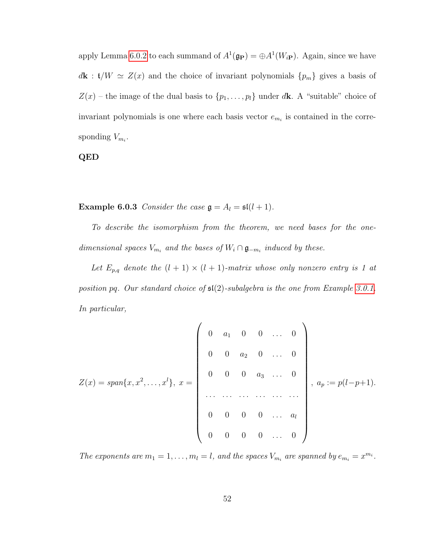apply Lemma [6.0.2](#page-53-1) to each summand of  $A^1(\mathfrak{g}_{\mathbf{P}}) = \bigoplus A^1(W_{i\mathbf{P}})$ . Again, since we have  $d\mathbf{k} : \mathfrak{t}/W \simeq Z(x)$  and the choice of invariant polynomials  $\{p_m\}$  gives a basis of  $Z(x)$  – the image of the dual basis to  $\{p_1, \ldots, p_l\}$  under dk. A "suitable" choice of invariant polynomials is one where each basis vector  $e_{m_i}$  is contained in the corresponding  $V_{m_i}$ .

QED

**Example 6.0.3** Consider the case  $\mathfrak{g} = A_l = \mathfrak{sl}(l + 1)$ .

To describe the isomorphism from the theorem, we need bases for the onedimensional spaces  $V_{m_i}$  and the bases of  $W_i \cap \mathfrak{g}_{-m_i}$  induced by these.

Let  $E_{p,q}$  denote the  $(l + 1) \times (l + 1)$ -matrix whose only nonzero entry is 1 at position pq. Our standard choice of  $\mathfrak{sl}(2)$ -subalgebra is the one from Example [3.0.1.](#page-16-1) In particular,

$$
Z(x) = span\{x, x^{2}, \ldots, x^{l}\}, x = \begin{pmatrix} 0 & a_{1} & 0 & 0 & \ldots & 0 \\ 0 & 0 & a_{2} & 0 & \ldots & 0 \\ 0 & 0 & 0 & a_{3} & \ldots & 0 \\ \vdots & \vdots & \vdots & \ddots & \vdots & \vdots \\ 0 & 0 & 0 & 0 & \ldots & a_{l} \\ 0 & 0 & 0 & 0 & \ldots & 0 \end{pmatrix}, a_{p} := p(l-p+1).
$$

The exponents are  $m_1 = 1, \ldots, m_l = l$ , and the spaces  $V_{m_i}$  are spanned by  $e_{m_i} = x^{m_i}$ .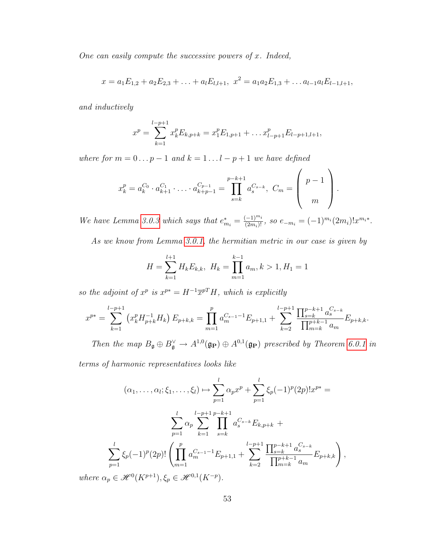One can easily compute the successive powers of  $x$ . Indeed,

$$
x = a_1E_{1,2} + a_2E_{2,3} + \ldots + a_lE_{l,l+1}, \ x^2 = a_1a_2E_{1,3} + \ldots a_{l-1}a_lE_{l-1,l+1},
$$

and inductively

$$
x^{p} = \sum_{k=1}^{l-p+1} x_{k}^{p} E_{k,p+k} = x_{1}^{p} E_{1,p+1} + \dots x_{l-p+1}^{p} E_{l-p+1,l+1},
$$

where for  $m = 0 \dots p - 1$  and  $k = 1 \dots l - p + 1$  we have defined

$$
x_k^p = a_k^{C_0} \cdot a_{k+1}^{C_1} \cdot \ldots \cdot a_{k+p-1}^{C_{p-1}} = \prod_{s=k}^{p-k+1} a_s^{C_{s-k}}, \quad C_m = \left(\begin{array}{c} p-1 \\ m \end{array}\right).
$$

We have Lemma [3.0.3](#page-24-0) which says that  $e_{m_i}^* = \frac{(-1)^{m_i}}{(2m_i)!}$ , so  $e_{-m_i} = (-1)^{m_i} (2m_i)! x^{m_i *}$ .

As we know from Lemma [3.0.1,](#page-21-0) the hermitian metric in our case is given by

$$
H = \sum_{k=1}^{l+1} H_k E_{k,k}, \ H_k = \prod_{m=1}^{k-1} a_m, k > 1, H_1 = 1
$$

so the adjoint of  $x^p$  is  $x^{p*} = H^{-1} \overline{x}^{pT} H$ , which is explicitly

$$
x^{p*} = \sum_{k=1}^{l-p+1} \left( x_k^p H_{p+k}^{-1} H_k \right) E_{p+k,k} = \prod_{m=1}^p a_m^{C_{s-1}-1} E_{p+1,1} + \sum_{k=2}^{l-p+1} \frac{\prod_{s=k}^{p-k+1} a_s^{C_{s-k}}}{\prod_{m=k}^{p+k-1} a_m} E_{p+k,k}.
$$

Then the map  $B_{\mathfrak{g}} \oplus B_{\mathfrak{g}}^{\vee} \to A^{1,0}(\mathfrak{g}_{\mathbf{P}}) \oplus A^{0,1}(\mathfrak{g}_{\mathbf{P}})$  prescribed by Theorem [6.0.1](#page-56-0) in

terms of harmonic representatives looks like

$$
(\alpha_1, \ldots, \alpha_l; \xi_1, \ldots, \xi_l) \mapsto \sum_{p=1}^l \alpha_p x^p + \sum_{p=1}^l \xi_p (-1)^p (2p)! x^{p*} =
$$
  

$$
\sum_{p=1}^l \alpha_p \sum_{k=1}^{l-p+1} \prod_{s=k}^{p-k+1} a_s^{C_{s-k}} E_{k, p+k} +
$$
  

$$
\sum_{p=1}^l \xi_p (-1)^p (2p)! \left( \prod_{m=1}^p a_m^{C_{s-1}-1} E_{p+1, 1} + \sum_{k=2}^{l-p+1} \frac{\prod_{s=k}^{p-k+1} a_s^{C_{s-k}}}{\prod_{m=k}^{p+k-1} a_m} E_{p+k, k} \right),
$$

where  $\alpha_p \in \mathcal{H}^0(K^{p+1}), \xi_p \in \mathcal{H}^{0,1}(K^{-p}).$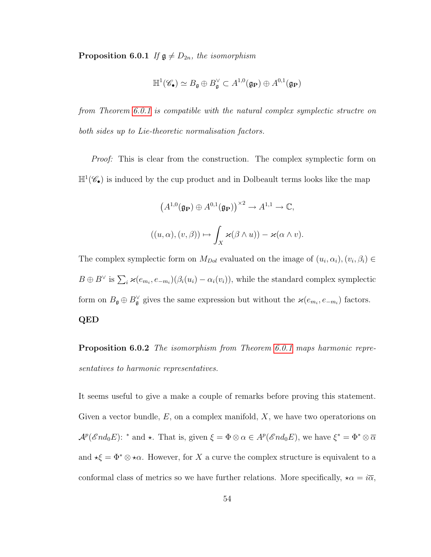**Proposition 6.0.1** If  $\mathfrak{g} \neq D_{2n}$ , the isomorphism

$$
\mathbb{H}^1(\mathscr{C}_\bullet) \simeq B_{\mathfrak{g}} \oplus B^\vee_{\mathfrak{g}} \subset A^{1,0}(\mathfrak{g}_\mathbf{P}) \oplus A^{0,1}(\mathfrak{g}_\mathbf{P})
$$

from Theorem [6.0.1](#page-56-0) is compatible with the natural complex symplectic structre on both sides up to Lie-theoretic normalisation factors.

*Proof:* This is clear from the construction. The complex symplectic form on  $\mathbb{H}^1(\mathscr{C}_{\bullet})$  is induced by the cup product and in Dolbeault terms looks like the map

$$
(A^{1,0}(\mathfrak{g}_{\mathbf{P}}) \oplus A^{0,1}(\mathfrak{g}_{\mathbf{P}}))^{\times 2} \to A^{1,1} \to \mathbb{C},
$$
  

$$
((u,\alpha),(v,\beta)) \mapsto \int_X \varkappa(\beta \wedge u)) - \varkappa(\alpha \wedge v).
$$

The complex symplectic form on  $M_{Dol}$  evaluated on the image of  $(u_i, \alpha_i), (v_i, \beta_i) \in$  $B \oplus B^{\vee}$  is  $\sum_i \varkappa(e_{m_i}, e_{-m_i})(\beta_i(u_i) - \alpha_i(v_i)),$  while the standard complex symplectic form on  $B_{\mathfrak{g}} \oplus B_{\mathfrak{g}}^{\vee}$  gives the same expression but without the  $\varkappa(e_{m_i}, e_{-m_i})$  factors. QED

Proposition 6.0.2 The isomorphism from Theorem [6.0.1](#page-56-0) maps harmonic representatives to harmonic representatives.

It seems useful to give a make a couple of remarks before proving this statement. Given a vector bundle,  $E$ , on a complex manifold,  $X$ , we have two operatorions on  $\mathcal{A}^p(\mathcal{E} nd_0 E)$ : \* and \*. That is, given  $\xi = \Phi \otimes \alpha \in \mathcal{A}^p(\mathcal{E} nd_0 E)$ , we have  $\xi^* = \Phi^* \otimes \overline{\alpha}$ and  $\star \xi = \Phi^* \otimes \star \alpha$ . However, for X a curve the complex structure is equivalent to a conformal class of metrics so we have further relations. More specifically,  $\star \alpha = i\overline{\alpha}$ ,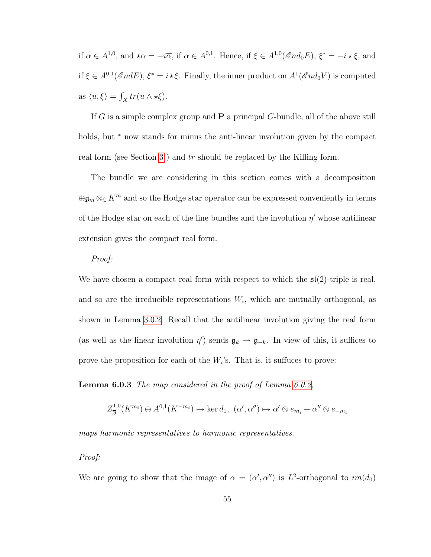if  $\alpha \in A^{1,0}$ , and  $\star \alpha = -i\overline{\alpha}$ , if  $\alpha \in A^{0,1}$ . Hence, if  $\xi \in A^{1,0}(\mathscr{E}nd_0E)$ ,  $\xi^* = -i\star \xi$ , and if  $\xi \in A^{0,1}(\mathscr{E}ndE), \xi^* = i \star \xi$ . Finally, the inner product on  $A^1(\mathscr{E}nd_0V)$  is computed as  $\langle u, \xi \rangle = \int_X tr(u \wedge \star \xi).$ 

If G is a simple complex group and  $P$  a principal G-bundle, all of the above still holds, but <sup>∗</sup> now stands for minus the anti-linear involution given by the compact real form (see Section [3](#page-16-0)) and tr should be replaced by the Killing form.

The bundle we are considering in this section comes with a decomposition  $\oplus\mathfrak{g}_m\otimes_\mathbb{C} K^m$  and so the Hodge star operator can be expressed conveniently in terms of the Hodge star on each of the line bundles and the involution  $\eta'$  whose antilinear extension gives the compact real form.

#### Proof:

We have chosen a compact real form with respect to which the  $\mathfrak{sl}(2)$ -triple is real, and so are the irreducible representations  $W_i$ , which are mutually orthogonal, as shown in Lemma [3.0.2.](#page-22-0) Recall that the antilinear involution giving the real form (as well as the linear involution  $\eta'$ ) sends  $\mathfrak{g}_k \to \mathfrak{g}_{-k}$ . In view of this, it suffices to prove the proposition for each of the  $W_i$ 's. That is, it suffuces to prove:

Lemma 6.0.3 The map considered in the proof of Lemma [6.0.2,](#page-53-1)

$$
Z_{\overline{\partial}}^{1,0}(K^{m_i}) \oplus A^{0,1}(K^{-m_i}) \longrightarrow \ker d_1, \ (\alpha', \alpha'') \mapsto \alpha' \otimes e_{m_i} + \alpha'' \otimes e_{-m_i}
$$

maps harmonic representatives to harmonic representatives.

#### Proof:

We are going to show that the image of  $\alpha = (\alpha', \alpha'')$  is L<sup>2</sup>-orthogonal to  $im(d_0)$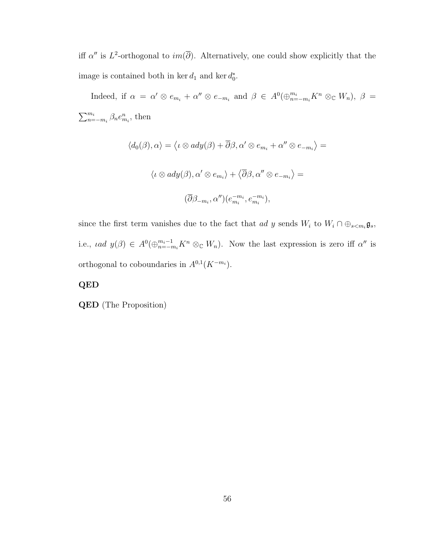iff  $\alpha''$  is L<sup>2</sup>-orthogonal to  $im(\overline{\partial})$ . Alternatively, one could show explicitly that the image is contained both in ker  $d_1$  and ker  $d_0^*$ .

Indeed, if  $\alpha = \alpha' \otimes e_{m_i} + \alpha'' \otimes e_{-m_i}$  and  $\beta \in A^0(\bigoplus_{n=-m_i}^{m_i} K^n \otimes_{\mathbb{C}} W_n)$ ,  $\beta =$  $\sum_{n=-m_i}^{m_i} \beta_n e_{m_i}^n$ , then

$$
\langle d_0(\beta), \alpha \rangle = \langle \iota \otimes ady(\beta) + \overline{\partial}\beta, \alpha' \otimes e_{m_i} + \alpha'' \otimes e_{-m_i} \rangle =
$$
  

$$
\langle \iota \otimes ady(\beta), \alpha' \otimes e_{m_i} \rangle + \langle \overline{\partial}\beta, \alpha'' \otimes e_{-m_i} \rangle =
$$
  

$$
(\overline{\partial}\beta_{-m_i}, \alpha'') (e_{m_i}^{-m_i}, e_{m_i}^{-m_i}),
$$

since the first term vanishes due to the fact that ad y sends  $W_i$  to  $W_i \cap \bigoplus_{s \leq m_i} \mathfrak{g}_s$ , i.e., *iad*  $y(\beta) \in A^0(\bigoplus_{n=-m_i}^{m_i-1} K^n \otimes_{\mathbb{C}} W_n)$ . Now the last expression is zero iff  $\alpha''$  is orthogonal to coboundaries in  $A^{0,1}(K^{-m_i})$ .

#### QED

QED (The Proposition)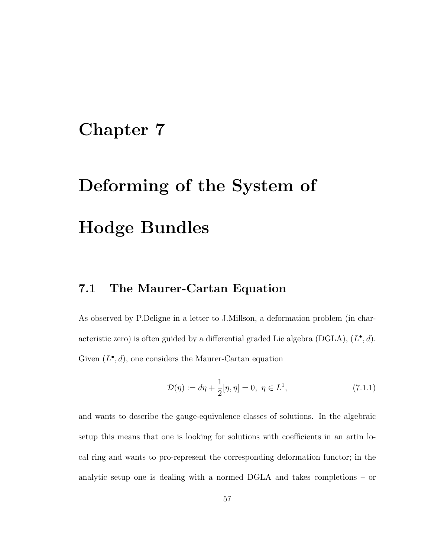# Chapter 7

# Deforming of the System of Hodge Bundles

## 7.1 The Maurer-Cartan Equation

As observed by P.Deligne in a letter to J.Millson, a deformation problem (in characteristic zero) is often guided by a differential graded Lie algebra (DGLA),  $(L^{\bullet}, d)$ . Given  $(L^{\bullet}, d)$ , one considers the Maurer-Cartan equation

$$
\mathcal{D}(\eta) := d\eta + \frac{1}{2} [\eta, \eta] = 0, \ \eta \in L^1,
$$
\n(7.1.1)

and wants to describe the gauge-equivalence classes of solutions. In the algebraic setup this means that one is looking for solutions with coefficients in an artin local ring and wants to pro-represent the corresponding deformation functor; in the analytic setup one is dealing with a normed DGLA and takes completions – or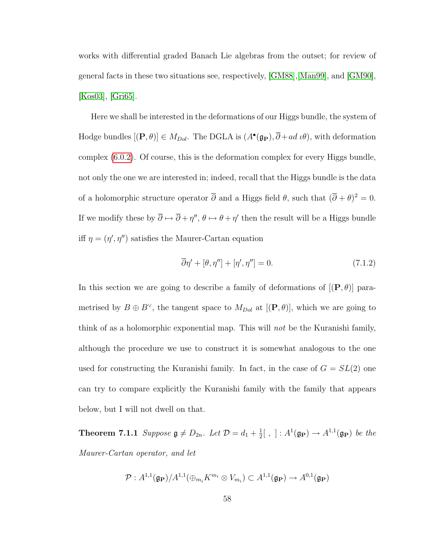works with differential graded Banach Lie algebras from the outset; for review of general facts in these two situations see, respectively, [\[GM88\]](#page-97-2),[\[Man99\]](#page-99-1), and [\[GM90\]](#page-97-3), [\[Kos03\]](#page-99-2), [\[Gri65\]](#page-97-4).

Here we shall be interested in the deformations of our Higgs bundle, the system of Hodge bundles  $[(\mathbf{P}, \theta)] \in M_{Dol}$ . The DGLA is  $(A^{\bullet}(\mathfrak{g}_{\mathbf{P}}), \overline{\partial} + ad \,\iota \theta)$ , with deformation complex [\(6.0.2\)](#page-53-0). Of course, this is the deformation complex for every Higgs bundle, not only the one we are interested in; indeed, recall that the Higgs bundle is the data of a holomorphic structure operator  $\overline{\partial}$  and a Higgs field  $\theta$ , such that  $(\overline{\partial} + \theta)^2 = 0$ . If we modify these by  $\overline{\partial} \mapsto \overline{\partial} + \eta''$ ,  $\theta \mapsto \theta + \eta'$  then the result will be a Higgs bundle iff  $\eta = (\eta', \eta'')$  satisfies the Maurer-Cartan equation

<span id="page-63-0"></span>
$$
\overline{\partial}\eta' + [\theta, \eta''] + [\eta', \eta''] = 0. \tag{7.1.2}
$$

In this section we are going to describe a family of deformations of  $[(P, \theta)]$  parametrised by  $B \oplus B^{\vee}$ , the tangent space to  $M_{Dol}$  at  $[(\mathbf{P}, \theta)]$ , which we are going to think of as a holomorphic exponential map. This will *not* be the Kuranishi family, although the procedure we use to construct it is somewhat analogous to the one used for constructing the Kuranishi family. In fact, in the case of  $G = SL(2)$  one can try to compare explicitly the Kuranishi family with the family that appears below, but I will not dwell on that.

**Theorem 7.1.1** Suppose  $\mathfrak{g} \neq D_{2n}$ . Let  $\mathcal{D} = d_1 + \frac{1}{2}$  $\frac{1}{2}$ [, ]:  $A^1(\mathfrak{g}_{\mathbf{P}}) \rightarrow A^{1,1}(\mathfrak{g}_{\mathbf{P}})$  be the Maurer-Cartan operator, and let

<span id="page-63-1"></span>
$$
\mathcal{P}: A^{1,1}(\mathfrak{g}_{\mathbf{P}})/A^{1,1}(\bigoplus_{m_i} K^{m_i} \otimes V_{m_i}) \subset A^{1,1}(\mathfrak{g}_{\mathbf{P}}) \to A^{0,1}(\mathfrak{g}_{\mathbf{P}})
$$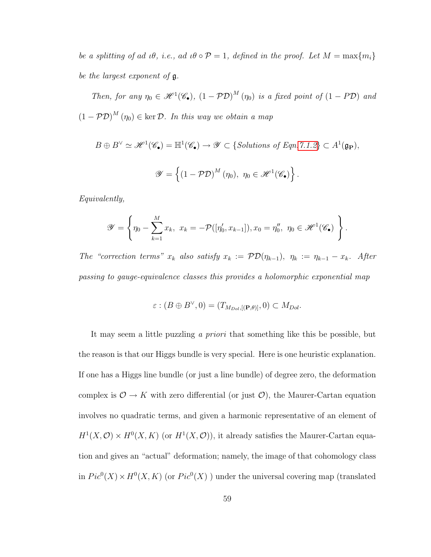be a splitting of ad  $u\theta$ , i.e., ad  $u\theta \circ \mathcal{P} = 1$ , defined in the proof. Let  $M = \max\{m_i\}$ be the largest exponent of g.

Then, for any  $\eta_0 \in \mathcal{H}^1(\mathscr{C}_{\bullet}), (1 - \mathcal{P} \mathcal{D})^M(\eta_0)$  is a fixed point of  $(1 - P \mathcal{D})$  and  $(1 - \mathcal{PD})^M(\eta_0) \in \text{ker } \mathcal{D}$ . In this way we obtain a map

$$
B \oplus B^{\vee} \simeq \mathscr{H}^{1}(\mathscr{C}_{\bullet}) = \mathbb{H}^{1}(\mathscr{C}_{\bullet}) \to \mathscr{Y} \subset \{Solutions \text{ of Eqn. 7.1.2}\} \subset A^{1}(\mathfrak{g}_{\mathbf{P}}),
$$
  

$$
\mathscr{Y} = \left\{ (1 - \mathcal{P}\mathcal{D})^{M}(\eta_{0}), \ \eta_{0} \in \mathscr{H}^{1}(\mathscr{C}_{\bullet}) \right\}.
$$

Equivalently,

$$
\mathscr{Y} = \left\{ \eta_0 - \sum_{k=1}^M x_k, \ x_k = -\mathcal{P}([\eta'_0, x_{k-1}]), x_0 = \eta''_0, \ \eta_0 \in \mathscr{H}^1(\mathscr{C}_\bullet) \right\}.
$$

The "correction terms"  $x_k$  also satisfy  $x_k := \mathcal{PD}(\eta_{k-1}), \ \eta_k := \eta_{k-1} - x_k$ . After passing to gauge-equivalence classes this provides a holomorphic exponential map

$$
\varepsilon : (B \oplus B^{\vee}, 0) = (T_{M_{Dol}, [(\mathbf{P}, \theta)], 0) \subset M_{Dol}.
$$

It may seem a little puzzling a priori that something like this be possible, but the reason is that our Higgs bundle is very special. Here is one heuristic explanation. If one has a Higgs line bundle (or just a line bundle) of degree zero, the deformation complex is  $\mathcal{O} \to K$  with zero differential (or just  $\mathcal{O}$ ), the Maurer-Cartan equation involves no quadratic terms, and given a harmonic representative of an element of  $H^1(X, \mathcal{O}) \times H^0(X, K)$  (or  $H^1(X, \mathcal{O})$ ), it already satisfies the Maurer-Cartan equation and gives an "actual" deformation; namely, the image of that cohomology class in  $Pic^0(X) \times H^0(X,K)$  (or  $Pic^0(X)$ ) under the universal covering map (translated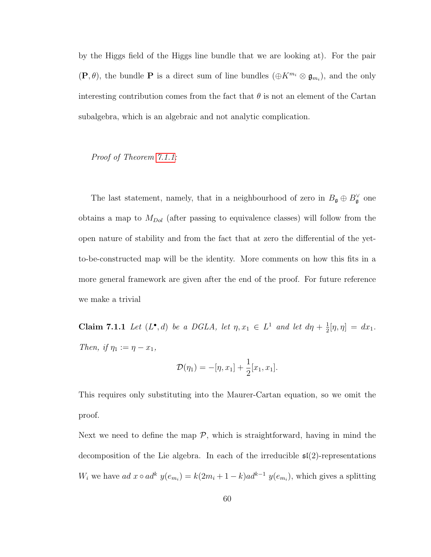by the Higgs field of the Higgs line bundle that we are looking at). For the pair  $(\mathbf{P}, \theta)$ , the bundle **P** is a direct sum of line bundles  $(\oplus K^{m_i} \otimes \mathfrak{g}_{m_i})$ , and the only interesting contribution comes from the fact that  $\theta$  is not an element of the Cartan subalgebra, which is an algebraic and not analytic complication.

Proof of Theorem [7.1.1:](#page-63-1)

The last statement, namely, that in a neighbourhood of zero in  $B_{\mathfrak{g}} \oplus B_{\mathfrak{g}}^{\vee}$  one obtains a map to  $M_{Dol}$  (after passing to equivalence classes) will follow from the open nature of stability and from the fact that at zero the differential of the yetto-be-constructed map will be the identity. More comments on how this fits in a more general framework are given after the end of the proof. For future reference we make a trivial

<span id="page-65-0"></span>**Claim 7.1.1** Let  $(L^{\bullet}, d)$  be a DGLA, let  $\eta, x_1 \in L^1$  and let  $d\eta + \frac{1}{2}$  $\frac{1}{2} [\eta, \eta] = dx_1.$ Then, if  $\eta_1 := \eta - x_1$ ,

$$
\mathcal{D}(\eta_1) = -[\eta, x_1] + \frac{1}{2}[x_1, x_1].
$$

This requires only substituting into the Maurer-Cartan equation, so we omit the proof.

Next we need to define the map  $P$ , which is straightforward, having in mind the decomposition of the Lie algebra. In each of the irreducible  $\mathfrak{sl}(2)$ -representations  $W_i$  we have  $ad\ x \circ ad^k\ y(e_{m_i}) = k(2m_i + 1 - k)ad^{k-1}\ y(e_{m_i}),$  which gives a splitting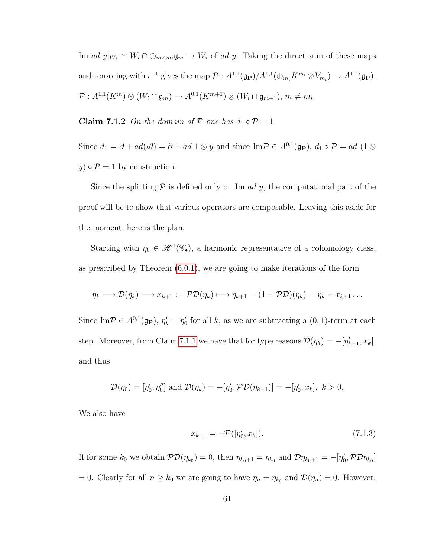Im ad  $y|_{W_i} \simeq W_i \cap \bigoplus_{m < m_i} \mathfrak{g}_m \to W_i$  of ad y. Taking the direct sum of these maps and tensoring with  $\iota^{-1}$  gives the map  $\mathcal{P}: A^{1,1}(\mathfrak{g}_{\mathbf{P}})/A^{1,1}(\bigoplus_{m_i} K^{m_i} \otimes V_{m_i}) \to A^{1,1}(\mathfrak{g}_{\mathbf{P}}),$  $\mathcal{P}: A^{1,1}(K^m)\otimes(W_i\cap \mathfrak{g}_m)\rightarrow A^{0,1}(K^{m+1})\otimes(W_i\cap \mathfrak{g}_{m+1}),\, m\neq m_i.$ 

Claim 7.1.2 On the domain of P one has  $d_1 \circ \mathcal{P} = 1$ .

Since  $d_1 = \overline{\partial} + ad(\iota\theta) = \overline{\partial} + ad\ 1 \otimes y$  and since Im $\mathcal{P} \in A^{0,1}(\mathfrak{g}_{\mathbf{P}}), d_1 \circ \mathcal{P} = ad\ (1 \otimes$  $y) \circ \mathcal{P} = 1$  by construction.

Since the splitting  $\mathcal P$  is defined only on Im *ad y*, the computational part of the proof will be to show that various operators are composable. Leaving this aside for the moment, here is the plan.

Starting with  $\eta_0 \in \mathcal{H}^1(\mathscr{C}_{\bullet}),$  a harmonic representative of a cohomology class, as prescribed by Theorem [\(6.0.1\)](#page-56-0), we are going to make iterations of the form

$$
\eta_k \longmapsto \mathcal{D}(\eta_k) \longmapsto x_{k+1} := \mathcal{P}\mathcal{D}(\eta_k) \longmapsto \eta_{k+1} = (1 - \mathcal{P}\mathcal{D})(\eta_k) = \eta_k - x_{k+1} \dots
$$

Since Im $\mathcal{P} \in A^{0,1}(\mathfrak{g}_{\mathbf{P}}), \eta'_{k} = \eta'_{0}$  for all k, as we are subtracting a  $(0,1)$ -term at each step. Moreover, from Claim [7.1.1](#page-65-0) we have that for type reasons  $\mathcal{D}(\eta_k) = -[\eta'_{k-1}, x_k]$ , and thus

<span id="page-66-0"></span>
$$
\mathcal{D}(\eta_0) = [\eta'_0, \eta''_0] \text{ and } \mathcal{D}(\eta_k) = -[\eta'_0, \mathcal{PD}(\eta_{k-1})] = -[\eta'_0, x_k], \ k > 0.
$$

We also have

$$
x_{k+1} = -\mathcal{P}([\eta'_0, x_k]). \tag{7.1.3}
$$

If for some  $k_0$  we obtain  $\mathcal{PD}(\eta_{k_0})=0$ , then  $\eta_{k_0+1}=\eta_{k_0}$  and  $\mathcal{D}\eta_{k_0+1}=-[\eta'_0,\mathcal{PD}\eta_{k_0}]$ = 0. Clearly for all  $n \geq k_0$  we are going to have  $\eta_n = \eta_{k_0}$  and  $\mathcal{D}(\eta_n) = 0$ . However,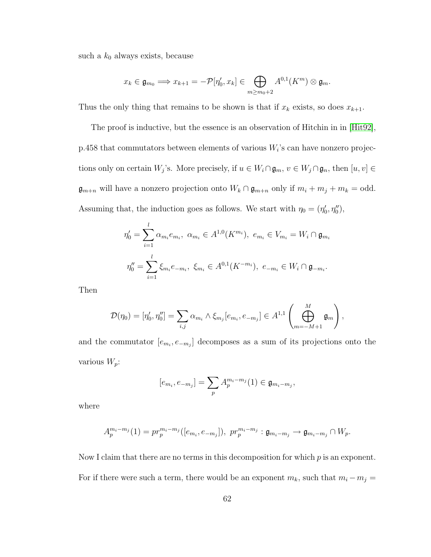such a  $k_0$  always exists, because

$$
x_k \in \mathfrak{g}_{m_0} \Longrightarrow x_{k+1} = -\mathcal{P}[\eta'_0, x_k] \in \bigoplus_{m \ge m_0 + 2} A^{0,1}(K^m) \otimes \mathfrak{g}_m.
$$

Thus the only thing that remains to be shown is that if  $x_k$  exists, so does  $x_{k+1}$ .

The proof is inductive, but the essence is an observation of Hitchin in in [\[Hit92\]](#page-98-3),  $p.458$  that commutators between elements of various  $W<sub>i</sub>$ 's can have nonzero projections only on certain  $W_j$ 's. More precisely, if  $u \in W_i \cap \mathfrak{g}_m$ ,  $v \in W_j \cap \mathfrak{g}_n$ , then  $[u, v] \in$  $\mathfrak{g}_{m+n}$  will have a nonzero projection onto  $W_k \cap \mathfrak{g}_{m+n}$  only if  $m_i + m_j + m_k = \text{odd}$ . Assuming that, the induction goes as follows. We start with  $\eta_0 = (\eta'_0, \eta''_0)$ ,

$$
\eta'_{0} = \sum_{i=1}^{l} \alpha_{m_{i}} e_{m_{i}}, \ \alpha_{m_{i}} \in A^{1,0}(K^{m_{i}}), \ e_{m_{i}} \in V_{m_{i}} = W_{i} \cap \mathfrak{g}_{m_{i}}
$$

$$
\eta''_{0} = \sum_{i=1}^{l} \xi_{m_{i}} e_{-m_{i}}, \ \xi_{m_{i}} \in A^{0,1}(K^{-m_{i}}), \ e_{-m_{i}} \in W_{i} \cap \mathfrak{g}_{-m_{i}}.
$$

Then

$$
\mathcal{D}(\eta_0) = [\eta'_0, \eta''_0] = \sum_{i,j} \alpha_{m_i} \wedge \xi_{m_j} [e_{m_i}, e_{-m_j}] \in A^{1,1} \left( \bigoplus_{m=-M+1}^{M} \mathfrak{g}_m \right),
$$

and the commutator  $[e_{m_i}, e_{-m_j}]$  decomposes as a sum of its projections onto the various  $W_p$ :

$$
[e_{m_i}, e_{-m_j}] = \sum_p A_p^{m_i - m_j}(1) \in \mathfrak{g}_{m_i - m_j},
$$

where

$$
A_p^{m_i-m_j}(1) = pr_p^{m_i-m_j}([e_{m_i}, e_{-m_j}]), pr_p^{m_i-m_j}: \mathfrak{g}_{m_i-m_j} \to \mathfrak{g}_{m_i-m_j} \cap W_p.
$$

Now I claim that there are no terms in this decomposition for which  $p$  is an exponent. For if there were such a term, there would be an exponent  $m_k$ , such that  $m_i - m_j =$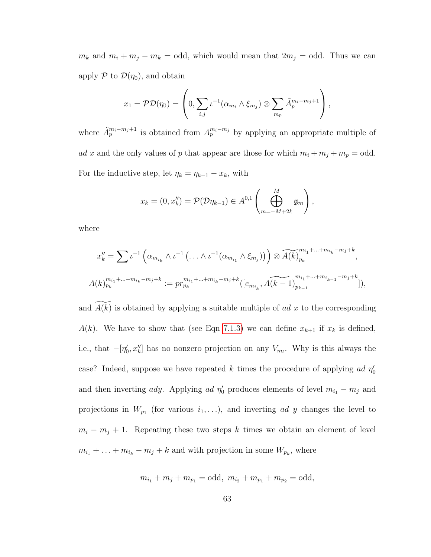$m_k$  and  $m_i + m_j - m_k =$  odd, which would mean that  $2m_j =$  odd. Thus we can apply  $P$  to  $\mathcal{D}(\eta_0)$ , and obtain

$$
x_1 = \mathcal{PD}(\eta_0) = \left(0, \sum_{i,j} \iota^{-1}(\alpha_{m_i} \wedge \xi_{m_j}) \otimes \sum_{m_p} \tilde{A}_p^{m_i - m_j + 1}\right),
$$

where  $\tilde{A}_p^{m_i-m_j+1}$  is obtained from  $A_p^{m_i-m_j}$  by applying an appropriate multiple of ad x and the only values of p that appear are those for which  $m_i + m_j + m_p =$  odd. For the inductive step, let  $\eta_k = \eta_{k-1} - x_k$ , with

$$
x_k = (0, x_k'') = \mathcal{P}(\mathcal{D}\eta_{k-1}) \in A^{0,1}\left(\bigoplus_{m=-M+2k}^{M} \mathfrak{g}_m\right),
$$

where

$$
x''_k = \sum t^{-1} \left( \alpha_{m_{i_k}} \wedge t^{-1} \left( \ldots \wedge t^{-1} (\alpha_{m_{i_1}} \wedge \xi_{m_j}) \right) \right) \otimes \widetilde{A(k)}_{p_k}^{m_{i_1} + \ldots + m_{i_k} - m_j + k},
$$
  

$$
A(k)_{p_k}^{m_{i_1} + \ldots + m_{i_k} - m_j + k} := pr_{p_k}^{m_{i_1} + \ldots + m_{i_k} - m_j + k} \left( \left[ e_{m_{i_k}}, \widetilde{A(k-1)} \right]_{p_{k-1}}^{m_{i_1} + \ldots + m_{i_{k-1}} - m_j + k} \right]),
$$

and  $A(k)$  is obtained by applying a suitable multiple of ad x to the corresponding  $A(k)$ . We have to show that (see Eqn [7.1.3\)](#page-66-0) we can define  $x_{k+1}$  if  $x_k$  is defined, i.e., that  $-[ \eta'_0, x''_k ]$  has no nonzero projection on any  $V_{m_l}$ . Why is this always the case? Indeed, suppose we have repeated k times the procedure of applying ad  $\eta_0$ and then inverting *ady*. Applying *ad*  $\eta'_0$  produces elements of level  $m_{i_1} - m_j$  and projections in  $W_{p_1}$  (for various  $i_1, \ldots$ ), and inverting ad y changes the level to  $m_i - m_j + 1$ . Repeating these two steps k times we obtain an element of level  $m_{i_1} + \ldots + m_{i_k} - m_j + k$  and with projection in some  $W_{p_k}$ , where

$$
m_{i_1} + m_j + m_{p_1} = \text{odd}, m_{i_2} + m_{p_1} + m_{p_2} = \text{odd},
$$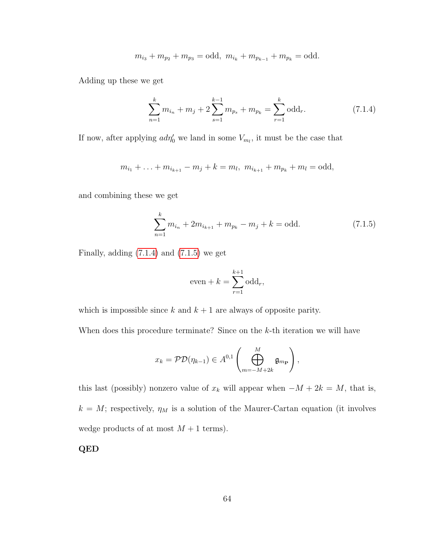<span id="page-69-0"></span>
$$
m_{i_3} + m_{p_2} + m_{p_3} = \text{odd}, m_{i_k} + m_{p_{k-1}} + m_{p_k} = \text{odd}.
$$

Adding up these we get

$$
\sum_{n=1}^{k} m_{i_n} + m_j + 2\sum_{s=1}^{k-1} m_{p_s} + m_{p_k} = \sum_{r=1}^{k} \text{odd}_r.
$$
 (7.1.4)

If now, after applying  $\alpha d\eta_0'$  we land in some  $V_{m_l}$ , it must be the case that

$$
m_{i_1} + \ldots + m_{i_{k+1}} - m_j + k = m_l, \ m_{i_{k+1}} + m_{p_k} + m_l = \text{odd},
$$

and combining these we get

<span id="page-69-1"></span>
$$
\sum_{n=1}^{k} m_{i_n} + 2m_{i_{k+1}} + m_{p_k} - m_j + k = \text{odd.} \tag{7.1.5}
$$

Finally, adding  $(7.1.4)$  and  $(7.1.5)$  we get

$$
even + k = \sum_{r=1}^{k+1} \text{odd}_r,
$$

which is impossible since  $k$  and  $k + 1$  are always of opposite parity.

When does this procedure terminate? Since on the  $k$ -th iteration we will have

$$
x_k = \mathcal{PD}(\eta_{k-1}) \in A^{0,1}\left(\bigoplus_{m=-M+2k}^{M} \mathfrak{g}_{m_{\mathbf{P}}}\right),
$$

this last (possibly) nonzero value of  $x_k$  will appear when  $-M + 2k = M$ , that is,  $k = M$ ; respectively,  $\eta_M$  is a solution of the Maurer-Cartan equation (it involves wedge products of at most  $M + 1$  terms).

QED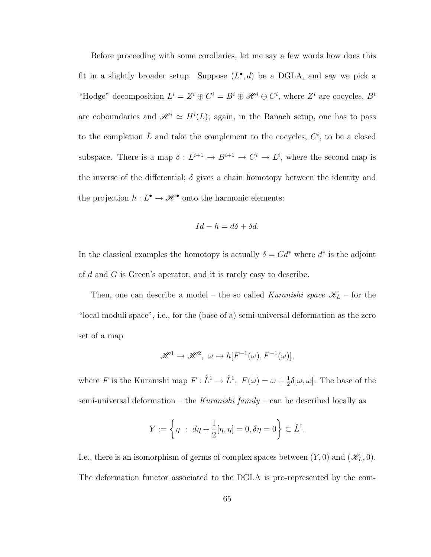Before proceeding with some corollaries, let me say a few words how does this fit in a slightly broader setup. Suppose  $(L^{\bullet}, d)$  be a DGLA, and say we pick a "Hodge" decomposition  $L^i = Z^i \oplus C^i = B^i \oplus \mathcal{H}^i \oplus C^i$ , where  $Z^i$  are cocycles,  $B^i$ are coboundaries and  $\mathscr{H}^i \simeq H^i(L)$ ; again, in the Banach setup, one has to pass to the completion  $\hat{L}$  and take the complement to the cocycles,  $C^i$ , to be a closed subspace. There is a map  $\delta: L^{i+1} \to B^{i+1} \to C^i \to L^i$ , where the second map is the inverse of the differential;  $\delta$  gives a chain homotopy between the identity and the projection  $h: L^{\bullet} \to \mathscr{H}^{\bullet}$  onto the harmonic elements:

$$
Id - h = d\delta + \delta d.
$$

In the classical examples the homotopy is actually  $\delta = G d^*$  where  $d^*$  is the adjoint of d and G is Green's operator, and it is rarely easy to describe.

Then, one can describe a model – the so called Kuranishi space  $\mathscr{K}_L$  – for the "local moduli space", i.e., for the (base of a) semi-universal deformation as the zero set of a map

$$
\mathscr{H}^1 \to \mathscr{H}^2, \ \omega \mapsto h[F^{-1}(\omega), F^{-1}(\omega)],
$$

where F is the Kuranishi map  $F: \hat{L}^1 \to \hat{L}^1$ ,  $F(\omega) = \omega + \frac{1}{2}$  $\frac{1}{2}\delta[\omega,\omega]$ . The base of the semi-universal deformation – the Kuranishi family – can be described locally as

$$
Y := \left\{ \eta \; : \; d\eta + \frac{1}{2} [\eta, \eta] = 0, \delta\eta = 0 \right\} \subset \hat{L}^1.
$$

I.e., there is an isomorphism of germs of complex spaces between  $(Y, 0)$  and  $(\mathscr{K}_L, 0)$ . The deformation functor associated to the DGLA is pro-represented by the com-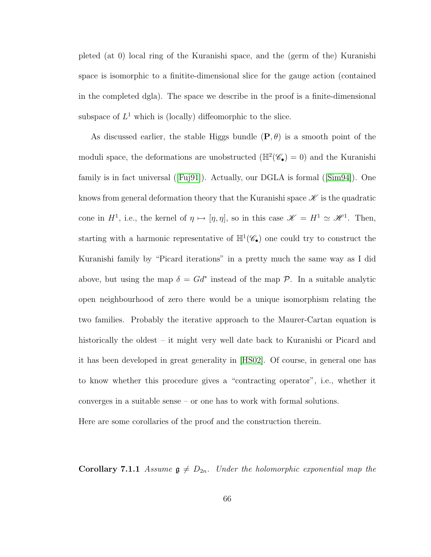pleted (at 0) local ring of the Kuranishi space, and the (germ of the) Kuranishi space is isomorphic to a finitite-dimensional slice for the gauge action (contained in the completed dgla). The space we describe in the proof is a finite-dimensional subspace of  $L^1$  which is (locally) diffeomorphic to the slice.

As discussed earlier, the stable Higgs bundle  $(P, \theta)$  is a smooth point of the moduli space, the deformations are unobstructed  $(\mathbb{H}^2(\mathscr{C}_{\bullet}) = 0)$  and the Kuranishi family is in fact universal([\[Fuj91\]](#page-96-2)). Actually, our DGLA is formal([\[Sim94\]](#page-99-0)). One knows from general deformation theory that the Kuranishi space  $\mathscr K$  is the quadratic cone in  $H^1$ , i.e., the kernel of  $\eta \mapsto [\eta, \eta]$ , so in this case  $\mathscr{K} = H^1 \simeq \mathscr{H}^1$ . Then, starting with a harmonic representative of  $\mathbb{H}^1(\mathscr{C}_{\bullet})$  one could try to construct the Kuranishi family by "Picard iterations" in a pretty much the same way as I did above, but using the map  $\delta = G d^*$  instead of the map  $\mathcal{P}$ . In a suitable analytic open neighbourhood of zero there would be a unique isomorphism relating the two families. Probably the iterative approach to the Maurer-Cartan equation is historically the oldest – it might very well date back to Kuranishi or Picard and it has been developed in great generality in [\[HS02\]](#page-98-4). Of course, in general one has to know whether this procedure gives a "contracting operator", i.e., whether it converges in a suitable sense – or one has to work with formal solutions.

Here are some corollaries of the proof and the construction therein.

**Corollary 7.1.1** Assume  $\mathfrak{g} \neq D_{2n}$ . Under the holomorphic exponential map the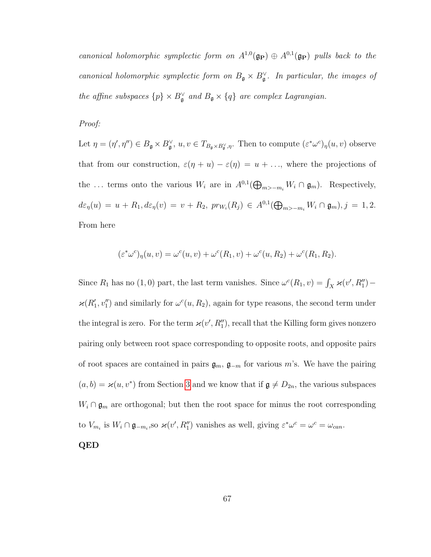canonical holomorphic symplectic form on  $A^{1,0}(\mathfrak{g}_{\mathbf{P}}) \oplus A^{0,1}(\mathfrak{g}_{\mathbf{P}})$  pulls back to the canonical holomorphic symplectic form on  $B_{\mathfrak{g}} \times B_{\mathfrak{g}}^{\vee}$ . In particular, the images of the affine subspaces  $\{p\} \times B_{\mathfrak{g}}^{\vee}$  and  $B_{\mathfrak{g}} \times \{q\}$  are complex Lagrangian.

Proof:

Let  $\eta = (\eta', \eta'') \in B_{\mathfrak{g}} \times B_{\mathfrak{g}}^{\vee}, u, v \in T_{B_{\mathfrak{g}} \times B_{\mathfrak{g}}^{\vee}, \eta}$ . Then to compute  $(\varepsilon^* \omega^c)_{\eta}(u, v)$  observe that from our construction,  $\varepsilon(\eta + u) - \varepsilon(\eta) = u + \dots$ , where the projections of the ... terms onto the various  $W_i$  are in  $A^{0,1}(\bigoplus_{m>-m_i} W_i \cap \mathfrak{g}_m)$ . Respectively,  $d\varepsilon_{\eta}(u) = u + R_1, d\varepsilon_{\eta}(v) = v + R_2, pr_{W_i}(R_j) \in A^{0,1}(\bigoplus_{m > -m_i} W_i \cap \mathfrak{g}_m), j = 1, 2.$ From here

$$
(\varepsilon^*\omega^c)_{\eta}(u,v) = \omega^c(u,v) + \omega^c(R_1,v) + \omega^c(u,R_2) + \omega^c(R_1,R_2).
$$

Since  $R_1$  has no (1,0) part, the last term vanishes. Since  $\omega^c(R_1, v) = \int_X \varkappa(v', R_1'')$  –  $\varkappa(R_1', v_1'')$  and similarly for  $\omega^c(u, R_2)$ , again for type reasons, the second term under the integral is zero. For the term  $\varkappa(v', R''_1)$ , recall that the Killing form gives nonzero pairing only between root space corresponding to opposite roots, and opposite pairs of root spaces are contained in pairs  $\mathfrak{g}_m$ ,  $\mathfrak{g}_{-m}$  for various m's. We have the pairing  $(a, b) = \varkappa(u, v^*)$  from Section [3](#page-16-0) and we know that if  $\mathfrak{g} \neq D_{2n}$ , the various subspaces  $W_i \cap \mathfrak{g}_m$  are orthogonal; but then the root space for minus the root corresponding to  $V_{m_i}$  is  $W_i \cap \mathfrak{g}_{-m_i}$ , so  $\varkappa(v', R''_1)$  vanishes as well, giving  $\varepsilon^*\omega^c = \omega^c = \omega_{can}$ .

QED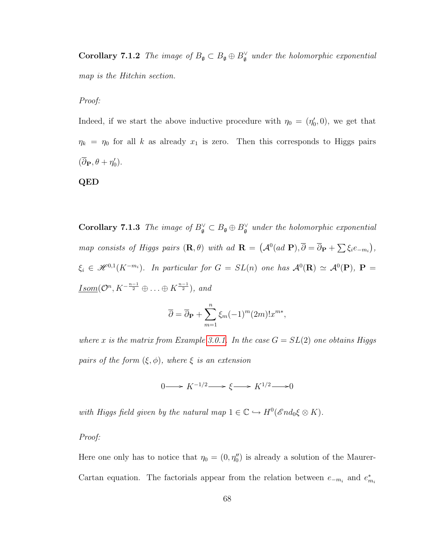**Corollary 7.1.2** The image of  $B_{\mathfrak{g}} \subset B_{\mathfrak{g}} \oplus B_{\mathfrak{g}}^{\vee}$  under the holomorphic exponential map is the Hitchin section.

Proof:

Indeed, if we start the above inductive procedure with  $\eta_0 = (\eta'_0, 0)$ , we get that  $\eta_k = \eta_0$  for all k as already  $x_1$  is zero. Then this corresponds to Higgs pairs  $(\overline{\partial}_{\mathbf{P}}, \theta + \eta'_{0}).$ 

#### QED

**Corollary 7.1.3** The image of  $B_{\mathfrak{g}}^{\vee} \subset B_{\mathfrak{g}} \oplus B_{\mathfrak{g}}^{\vee}$  under the holomorphic exponential map consists of Higgs pairs  $(\mathbf{R}, \theta)$  with ad  $\mathbf{R} = (A^0(ad\ \mathbf{P}), \overline{\partial} = \overline{\partial}_{\mathbf{P}} + \sum \xi_i e_{-m_i}),$  $\xi_i \in \mathscr{H}^{0,1}(K^{-m_i})$ . In particular for  $G = SL(n)$  one has  $\mathcal{A}^0(\mathbf{R}) \simeq \mathcal{A}^0(\mathbf{P})$ ,  $\mathbf{P} =$  $\underline{Isom}(\mathcal{O}^n, K^{-\frac{n-1}{2}} \oplus \ldots \oplus K^{\frac{n-1}{2}}),$  and

$$
\overline{\partial} = \overline{\partial}_{\mathbf{P}} + \sum_{m=1}^{n} \xi_m (-1)^m (2m)! x^{m*},
$$

where x is the matrix from Example [3.0.1.](#page-16-1) In the case  $G = SL(2)$  one obtains Higgs pairs of the form  $(\xi, \phi)$ , where  $\xi$  is an extension

 $0 \longrightarrow K^{-1/2} \longrightarrow \xi \longrightarrow K^{1/2} \longrightarrow 0$ 

with Higgs field given by the natural map  $1 \in \mathbb{C} \hookrightarrow H^0(\mathscr{E}nd_0\xi \otimes K)$ .

Proof:

Here one only has to notice that  $\eta_0 = (0, \eta''_0)$  is already a solution of the Maurer-Cartan equation. The factorials appear from the relation between  $e_{-m_i}$  and  $e_{m_i}^*$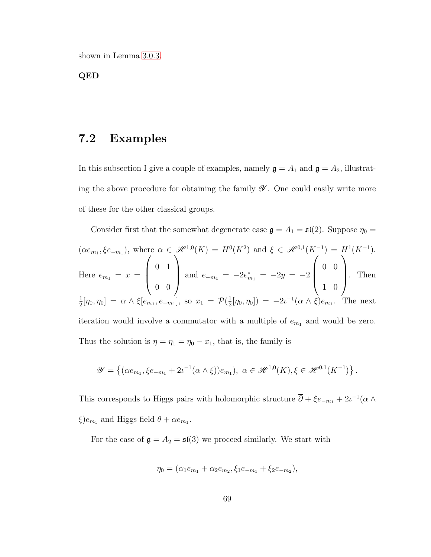shown in Lemma [3.0.3.](#page-24-0)

QED

### 7.2 Examples

In this subsection I give a couple of examples, namely  $\mathfrak{g} = A_1$  and  $\mathfrak{g} = A_2$ , illustrating the above procedure for obtaining the family  $\mathscr Y$ . One could easily write more of these for the other classical groups.

Consider first that the somewhat degenerate case  $\mathfrak{g} = A_1 = \mathfrak{sl}(2)$ . Suppose  $\eta_0 =$  $(\alpha e_{m_1}, \xi e_{-m_1}),$  where  $\alpha \in \mathcal{H}^{1,0}(K) = H^0(K^2)$  and  $\xi \in \mathcal{H}^{0,1}(K^{-1}) = H^1(K^{-1}).$ Here  $e_{m_1} = x =$  $\sqrt{ }$  $\overline{\phantom{a}}$ 0 1 0 0  $\setminus$ and  $e_{-m_1} = -2e_{m_1}^* = -2y = -2$  $\sqrt{ }$  $\overline{\phantom{a}}$ 0 0 1 0  $\setminus$  . Then 1  $\frac{1}{2}[\eta_0, \eta_0] = \alpha \wedge \xi[e_{m_1}, e_{-m_1}],$  so  $x_1 = \mathcal{P}(\frac{1}{2})$  $(\frac{1}{2}[\eta_0, \eta_0]) = -2\iota^{-1}(\alpha \wedge \xi)e_{m_1}$ . The next iteration would involve a commutator with a multiple of  $e_{m_1}$  and would be zero. Thus the solution is  $\eta = \eta_1 = \eta_0 - x_1$ , that is, the family is

$$
\mathscr{Y} = \left\{ (\alpha e_{m_1}, \xi e_{-m_1} + 2\iota^{-1}(\alpha \wedge \xi))e_{m_1}), \ \alpha \in \mathscr{H}^{1,0}(K), \xi \in \mathscr{H}^{0,1}(K^{-1}) \right\}.
$$

This corresponds to Higgs pairs with holomorphic structure  $\overline{\partial} + \xi e_{-m_1} + 2i^{-1}(\alpha \wedge$  $\xi$ ) $e_{m_1}$  and Higgs field  $\theta + \alpha e_{m_1}$ .

For the case of  $\mathfrak{g} = A_2 = \mathfrak{sl}(3)$  we proceed similarly. We start with

$$
\eta_0 = (\alpha_1 e_{m_1} + \alpha_2 e_{m_2}, \xi_1 e_{-m_1} + \xi_2 e_{-m_2}),
$$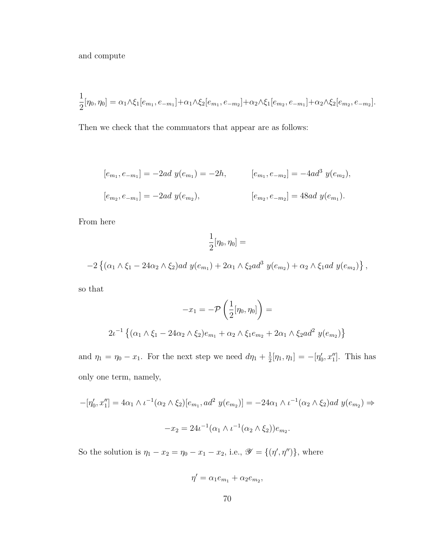and compute

$$
\frac{1}{2}[\eta_0, \eta_0] = \alpha_1 \wedge \xi_1[e_{m_1}, e_{-m_1}] + \alpha_1 \wedge \xi_2[e_{m_1}, e_{-m_2}] + \alpha_2 \wedge \xi_1[e_{m_2}, e_{-m_1}] + \alpha_2 \wedge \xi_2[e_{m_2}, e_{-m_2}].
$$

Then we check that the commuators that appear are as follows:

$$
[e_{m_1}, e_{-m_1}] = -2ad \ y(e_{m_1}) = -2h, \qquad [e_{m_1}, e_{-m_2}] = -4ad^3 \ y(e_{m_2}),
$$
  

$$
[e_{m_2}, e_{-m_1}] = -2ad \ y(e_{m_2}), \qquad [e_{m_2}, e_{-m_2}] = 48ad \ y(e_{m_1}).
$$

From here

$$
\frac{1}{2}[\eta_0, \eta_0] =
$$

$$
-2\left\{(\alpha_1 \wedge \xi_1 - 24\alpha_2 \wedge \xi_2)ad\ y(e_{m_1}) + 2\alpha_1 \wedge \xi_2ad^3\ y(e_{m_2}) + \alpha_2 \wedge \xi_1ad\ y(e_{m_2})\right\},\
$$

so that

$$
-x_1 = -\mathcal{P}\left(\frac{1}{2}[\eta_0, \eta_0]\right) =
$$
  

$$
2\iota^{-1}\left\{(\alpha_1 \wedge \xi_1 - 24\alpha_2 \wedge \xi_2)e_{m_1} + \alpha_2 \wedge \xi_1 e_{m_2} + 2\alpha_1 \wedge \xi_2 ad^2 y(e_{m_2})\right\}
$$

and  $\eta_1 = \eta_0 - x_1$ . For the next step we need  $d\eta_1 + \frac{1}{2}$  $\frac{1}{2}[\eta_1, \eta_1] = -[\eta'_0, x''_1]$ . This has only one term, namely,

$$
-[ \eta'_0, x_1'' ] = 4\alpha_1 \wedge \iota^{-1}(\alpha_2 \wedge \xi_2)[e_{m_1}, ad^2 y(e_{m_2})] = -24\alpha_1 \wedge \iota^{-1}(\alpha_2 \wedge \xi_2)ad y(e_{m_2}) \Rightarrow
$$
  

$$
-x_2 = 24\iota^{-1}(\alpha_1 \wedge \iota^{-1}(\alpha_2 \wedge \xi_2))e_{m_2}.
$$

So the solution is  $\eta_1 - x_2 = \eta_0 - x_1 - x_2$ , i.e.,  $\mathscr{Y} = \{(\eta', \eta'')\}$ , where

$$
\eta' = \alpha_1 e_{m_1} + \alpha_2 e_{m_2},
$$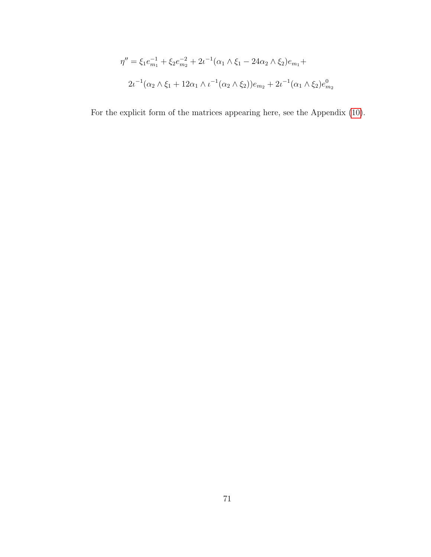$$
\eta'' = \xi_1 e_{m_1}^{-1} + \xi_2 e_{m_2}^{-2} + 2\iota^{-1} (\alpha_1 \wedge \xi_1 - 24\alpha_2 \wedge \xi_2) e_{m_1} +
$$
  

$$
2\iota^{-1} (\alpha_2 \wedge \xi_1 + 12\alpha_1 \wedge \iota^{-1} (\alpha_2 \wedge \xi_2)) e_{m_2} + 2\iota^{-1} (\alpha_1 \wedge \xi_2) e_{m_2}^0
$$

For the explicit form of the matrices appearing here, see the Appendix [\(10\)](#page-89-0).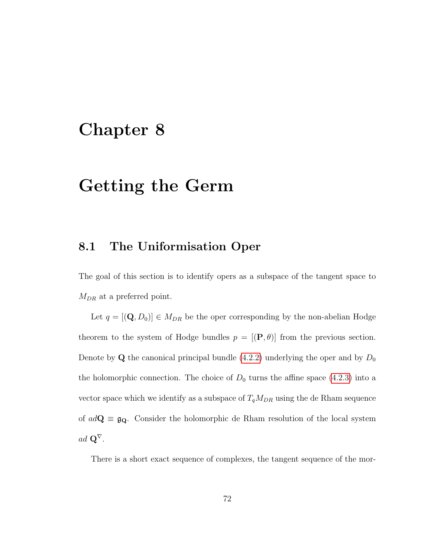### Chapter 8

## Getting the Germ

### 8.1 The Uniformisation Oper

The goal of this section is to identify opers as a subspace of the tangent space to  $M_{DR}$  at a preferred point.

Let  $q = [(\mathbf{Q}, D_0)] \in M_{DR}$  be the oper corresponding by the non-abelian Hodge theorem to the system of Hodge bundles  $p = [(\mathbf{P}, \theta)]$  from the previous section. Denote by **Q** the canonical principal bundle  $(4.2.2)$  underlying the oper and by  $D_0$ the holomorphic connection. The choice of  $D_0$  turns the affine space [\(4.2.3\)](#page-33-1) into a vector space which we identify as a subspace of  $T_qM_{DR}$  using the de Rham sequence of  $ad\mathbf{Q} \equiv \mathfrak{g}_{\mathbf{Q}}$ . Consider the holomorphic de Rham resolution of the local system  $ad$   $\mathbf{Q}^{\nabla}$ .

There is a short exact sequence of complexes, the tangent sequence of the mor-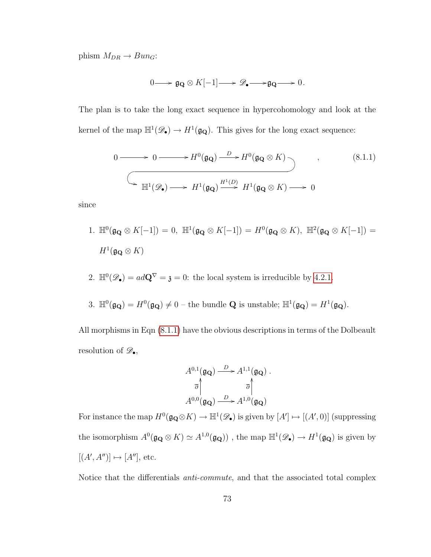phism  $M_{DR} \rightarrow Bun_G$ :

<span id="page-78-0"></span>
$$
0 \longrightarrow \mathfrak{g}_{\mathbf{Q}} \otimes K[-1] \longrightarrow \mathscr{D}_{\bullet} \longrightarrow \mathfrak{g}_{\mathbf{Q}} \longrightarrow 0.
$$

The plan is to take the long exact sequence in hypercohomology and look at the kernel of the map  $\mathbb{H}^1(\mathscr{D}_{\bullet}) \to H^1(\mathfrak{g}_{\mathbf{Q}})$ . This gives for the long exact sequence:

$$
0 \longrightarrow 0 \longrightarrow H^{0}(\mathfrak{g}_{\mathbf{Q}}) \xrightarrow{D} H^{0}(\mathfrak{g}_{\mathbf{Q}} \otimes K) \longrightarrow , \qquad (8.1.1)
$$
\n
$$
\longrightarrow \mathbb{H}^{1}(\mathscr{D}_{\bullet}) \longrightarrow H^{1}(\mathfrak{g}_{\mathbf{Q}}) \xrightarrow{H^{1}(D)} H^{1}(\mathfrak{g}_{\mathbf{Q}} \otimes K) \longrightarrow 0
$$

since

- 1.  $\mathbb{H}^0(\mathfrak{g}_{\mathbf{Q}} \otimes K[-1]) = 0$ ,  $\mathbb{H}^1(\mathfrak{g}_{\mathbf{Q}} \otimes K[-1]) = H^0(\mathfrak{g}_{\mathbf{Q}} \otimes K)$ ,  $\mathbb{H}^2(\mathfrak{g}_{\mathbf{Q}} \otimes K[-1]) =$  $H^1(\mathfrak{g}_{\mathbf{Q}}\otimes K)$
- 2.  $\mathbb{H}^0(\mathscr{D}_{\bullet}) = ad\mathbf{Q}^{\nabla} = \mathfrak{z} = 0$ : the local system is irreducible by [4.2.1.](#page-31-0)
- 3.  $\mathbb{H}^0(\mathfrak{g}_{\mathbf{Q}}) = H^0(\mathfrak{g}_{\mathbf{Q}}) \neq 0$  the bundle **Q** is unstable;  $\mathbb{H}^1(\mathfrak{g}_{\mathbf{Q}}) = H^1(\mathfrak{g}_{\mathbf{Q}})$ .

All morphisms in Eqn [\(8.1.1\)](#page-78-0) have the obvious descriptions in terms of the Dolbeault resolution of  $\mathscr{D}_{\bullet}$ ,

$$
A^{0,1}(\mathfrak{g}_{\mathbf{Q}}) \xrightarrow{D} A^{1,1}(\mathfrak{g}_{\mathbf{Q}}) .
$$

$$
\overline{\partial} \uparrow \qquad \overline{\partial} \uparrow
$$

$$
A^{0,0}(\mathfrak{g}_{\mathbf{Q}}) \xrightarrow{D} A^{1,0}(\mathfrak{g}_{\mathbf{Q}})
$$

For instance the map  $H^0(\mathfrak{g}_{\mathbf{Q}} \otimes K) \to \mathbb{H}^1(\mathscr{D}_{\bullet})$  is given by  $[A'] \mapsto [(A', 0)]$  (suppressing the isomorphism  $A^0(\mathfrak{g}_{\mathbf{Q}} \otimes K) \simeq A^{1,0}(\mathfrak{g}_{\mathbf{Q}}))$ , the map  $\mathbb{H}^1(\mathscr{D}_{\bullet}) \to H^1(\mathfrak{g}_{\mathbf{Q}})$  is given by  $[(A', A'')] \mapsto [A'']$ , etc.

Notice that the differentials anti-commute, and that the associated total complex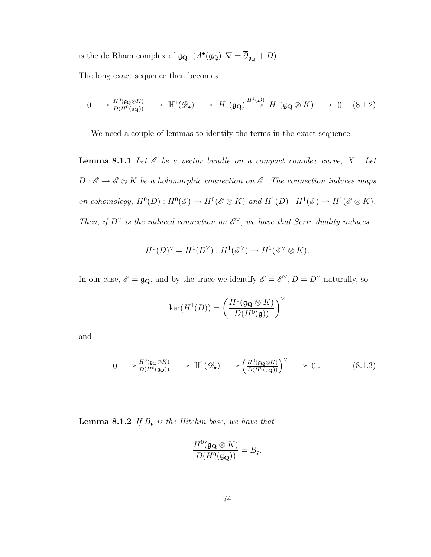is the de Rham complex of  $\mathfrak{g}_{\mathbf{Q}}, (A^{\bullet}(\mathfrak{g}_{\mathbf{Q}}), \nabla = \overline{\partial}_{\mathfrak{g}_{\mathbf{Q}}} + D).$ 

The long exact sequence then becomes

$$
0 \longrightarrow \frac{H^0(\mathfrak{g}_{\mathbf{Q}} \otimes K)}{D(H^0(\mathfrak{g}_{\mathbf{Q}}))} \longrightarrow \mathbb{H}^1(\mathcal{D}_{\bullet}) \longrightarrow H^1(\mathfrak{g}_{\mathbf{Q}}) \xrightarrow{H^1(D)} H^1(\mathfrak{g}_{\mathbf{Q}} \otimes K) \longrightarrow 0. \quad (8.1.2)
$$

We need a couple of lemmas to identify the terms in the exact sequence.

**Lemma 8.1.1** Let  $\mathcal{E}$  be a vector bundle on a compact complex curve, X. Let  $D: \mathscr{E} \to \mathscr{E} \otimes K$  be a holomorphic connection on  $\mathscr{E}$ . The connection induces maps on cohomology,  $H^0(D): H^0(\mathscr{E}) \to H^0(\mathscr{E} \otimes K)$  and  $H^1(D): H^1(\mathscr{E}) \to H^1(\mathscr{E} \otimes K)$ . Then, if  $D^{\vee}$  is the induced connection on  $\mathscr{E}^{\vee}$ , we have that Serre duality induces

$$
H^0(D)^\vee = H^1(D^\vee) : H^1(\mathscr{E}^\vee) \to H^1(\mathscr{E}^\vee \otimes K).
$$

In our case,  $\mathscr{E} = \mathfrak{g}_{\mathbf{Q}},$  and by the trace we identify  $\mathscr{E} = \mathscr{E}^{\vee}, D = D^{\vee}$  naturally, so

$$
\ker(H^1(D)) = \left(\frac{H^0(\mathfrak{g}_{\mathbf{Q}} \otimes K)}{D(H^0(\mathfrak{g}))}\right)^{\vee}
$$

and

$$
0 \longrightarrow \frac{H^0(\mathfrak{g}_{\mathbf{Q}} \otimes K)}{D(H^0(\mathfrak{g}_{\mathbf{Q}}))} \longrightarrow \mathbb{H}^1(\mathscr{D}_{\bullet}) \longrightarrow \left(\frac{H^0(\mathfrak{g}_{\mathbf{Q}} \otimes K)}{D(H^0(\mathfrak{g}_{\mathbf{Q}}))}\right)^{\vee} \longrightarrow 0. \tag{8.1.3}
$$

**Lemma 8.1.2** If  $B_{\mathfrak{g}}$  is the Hitchin base, we have that

$$
\frac{H^0(\mathfrak{g}_{\mathbf{Q}} \otimes K)}{D(H^0(\mathfrak{g}_{\mathbf{Q}}))} = B_{\mathfrak{g}}.
$$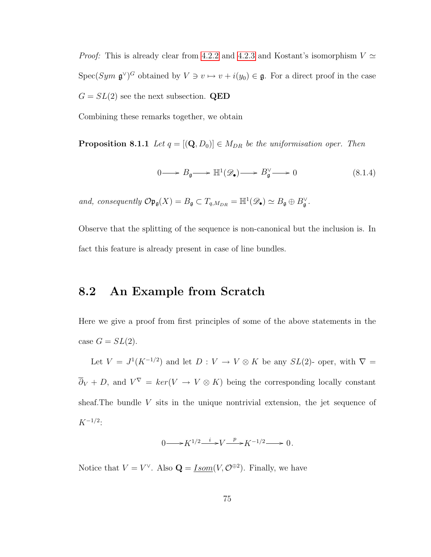*Proof:* This is already clear from [4.2.2](#page-33-0) and [4.2.3](#page-33-1) and Kostant's isomorphism  $V \simeq$ Spec(Sym  $\mathfrak{g}^{\vee}$ )<sup>*G*</sup> obtained by  $V \ni v \mapsto v + i(y_0) \in \mathfrak{g}$ . For a direct proof in the case  $G = SL(2)$  see the next subsection. QED

Combining these remarks together, we obtain

**Proposition 8.1.1** Let  $q = [(\mathbf{Q}, D_0)] \in M_{DR}$  be the uniformisation oper. Then

$$
0 \longrightarrow B_{\mathfrak{g}} \longrightarrow \mathbb{H}^{1}(\mathscr{D}_{\bullet}) \longrightarrow B_{\mathfrak{g}}^{\vee} \longrightarrow 0 \tag{8.1.4}
$$

and, consequently  $\mathcal{O} \mathfrak{p}_{\mathfrak{g}}(X) = B_{\mathfrak{g}} \subset T_{q,M_{DR}} = \mathbb{H}^1(\mathscr{D}_{\bullet}) \simeq B_{\mathfrak{g}} \oplus B_{\mathfrak{g}}^{\vee}$ .

Observe that the splitting of the sequence is non-canonical but the inclusion is. In fact this feature is already present in case of line bundles.

### 8.2 An Example from Scratch

Here we give a proof from first principles of some of the above statements in the case  $G = SL(2)$ .

Let  $V = J^1(K^{-1/2})$  and let  $D : V \to V \otimes K$  be any  $SL(2)$ - oper, with  $\nabla =$  $\overline{\partial}_V + D$ , and  $V^{\nabla} = \ker(V \to V \otimes K)$  being the corresponding locally constant sheaf.The bundle V sits in the unique nontrivial extension, the jet sequence of  $K^{-1/2}$ :

$$
0 \longrightarrow K^{1/2} \xrightarrow{i} V \xrightarrow{p} K^{-1/2} \longrightarrow 0.
$$

Notice that  $V = V^{\vee}$ . Also  $\mathbf{Q} = \underline{Isom}(V, \mathcal{O}^{\oplus 2})$ . Finally, we have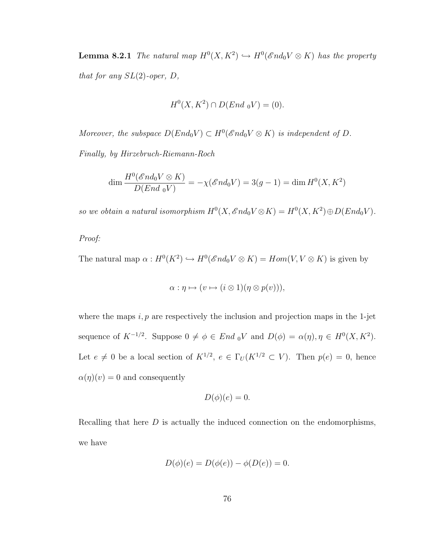**Lemma 8.2.1** The natural map  $H^0(X, K^2) \hookrightarrow H^0(\mathscr{E}nd_0V \otimes K)$  has the property that for any  $SL(2)$ -oper,  $D$ ,

$$
H^0(X, K^2) \cap D(End_0 V) = (0).
$$

Moreover, the subspace  $D(End_0V) \subset H^0(\mathscr{E}nd_0V \otimes K)$  is independent of D.

Finally, by Hirzebruch-Riemann-Roch

$$
\dim \frac{H^0(\mathscr{E} nd_0 V \otimes K)}{D(End_0 V)} = -\chi(\mathscr{E} nd_0 V) = 3(g-1) = \dim H^0(X, K^2)
$$

so we obtain a natural isomorphism  $H^0(X, \mathcal{E} nd_0 V \otimes K) = H^0(X, K^2) \oplus D(End_0 V)$ .

#### Proof:

The natural map  $\alpha: H^0(K^2) \hookrightarrow H^0(\mathscr{E}nd_0V \otimes K) = Hom(V, V \otimes K)$  is given by

$$
\alpha : \eta \mapsto (v \mapsto (i \otimes 1)(\eta \otimes p(v))),
$$

where the maps  $i, p$  are respectively the inclusion and projection maps in the 1-jet sequence of  $K^{-1/2}$ . Suppose  $0 \neq \phi \in End_0 V$  and  $D(\phi) = \alpha(\eta), \eta \in H^0(X, K^2)$ . Let  $e \neq 0$  be a local section of  $K^{1/2}$ ,  $e \in \Gamma_U(K^{1/2} \subset V)$ . Then  $p(e) = 0$ , hence  $\alpha(\eta)(v) = 0$  and consequently

$$
D(\phi)(e) = 0.
$$

Recalling that here  $D$  is actually the induced connection on the endomorphisms, we have

$$
D(\phi)(e) = D(\phi(e)) - \phi(D(e)) = 0.
$$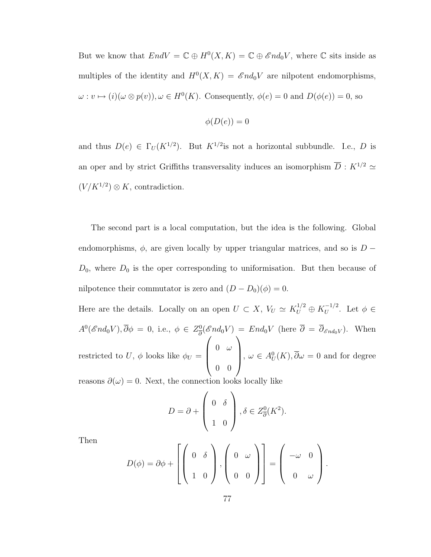But we know that  $EndV = \mathbb{C} \oplus H^0(X,K) = \mathbb{C} \oplus \mathscr{E}nd_0V$ , where  $\mathbb C$  sits inside as multiples of the identity and  $H^0(X, K) = \mathscr{E}nd_0V$  are nilpotent endomorphisms,  $\omega: v \mapsto (i)(\omega \otimes p(v)), \omega \in H^0(K)$ . Consequently,  $\phi(e) = 0$  and  $D(\phi(e)) = 0$ , so

$$
\phi(D(e))=0
$$

and thus  $D(e) \in \Gamma_U(K^{1/2})$ . But  $K^{1/2}$  is not a horizontal subbundle. I.e., D is an oper and by strict Griffiths transversality induces an isomorphism  $\overline{D}$  :  $K^{1/2} \simeq$  $(V/K^{1/2}) \otimes K$ , contradiction.

The second part is a local computation, but the idea is the following. Global endomorphisms,  $\phi$ , are given locally by upper triangular matrices, and so is D −  $D_0$ , where  $D_0$  is the oper corresponding to uniformisation. But then because of nilpotence their commutator is zero and  $(D - D_0)(\phi) = 0$ .

Here are the details. Locally on an open  $U \subset X$ ,  $V_U \simeq K_U^{1/2} \oplus K_U^{-1/2}$  $U^{-1/2}$ . Let  $\phi \in$  $A^0(\mathscr{E}nd_0V), \overline{\partial}\phi = 0$ , i.e.,  $\phi \in Z^0_{\overline{\partial}}$  $\frac{\partial}{\partial \partial \partial \partial \partial \partial \partial} (\mathscr{E}nd_0V) = End_0V$  (here  $\partial = \partial_{\mathscr{E}nd_0V}$ ). When restricted to U,  $\phi$  looks like  $\phi_U =$  $\sqrt{ }$  $\overline{\phantom{a}}$  $0 \t\t\omega$ 0 0  $\setminus$ ,  $\omega \in A_U^0(K), \overline{\partial} \omega = 0$  and for degree

reasons  $\partial(\omega) = 0$ . Next, the connection looks locally like

$$
D = \partial + \begin{pmatrix} 0 & \delta \\ 1 & 0 \end{pmatrix}, \delta \in Z_{\overline{\partial}}^{0}(K^{2}).
$$

Then

$$
D(\phi) = \partial \phi + \left[ \left( \begin{array}{cc} 0 & \delta \\ 1 & 0 \end{array} \right), \left( \begin{array}{cc} 0 & \omega \\ 0 & 0 \end{array} \right) \right] = \left( \begin{array}{cc} -\omega & 0 \\ 0 & \omega \end{array} \right).
$$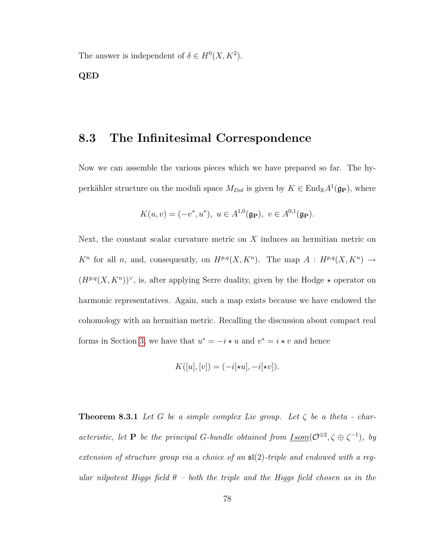The answer is independent of  $\delta \in H^0(X, K^2)$ .

QED

### 8.3 The Infinitesimal Correspondence

Now we can assemble the various pieces which we have prepared so far. The hyperkähler structure on the moduli space  $M_{Dol}$  is given by  $K \in \text{End}_{\mathbb{R}}A^1(\mathfrak{g}_{\mathbf{P}})$ , where

$$
K(u, v) = (-v^*, u^*), \ u \in A^{1,0}(\mathfrak{g}_{\mathbf{P}}), \ v \in A^{0,1}(\mathfrak{g}_{\mathbf{P}}).
$$

Next, the constant scalar curvature metric on X induces an hermitian metric on  $K^n$  for all n, and, consequently, on  $H^{p,q}(X, K^n)$ . The map  $A: H^{p,q}(X, K^n) \to$  $(H^{p,q}(X, K^n))^{\vee}$ , is, after applying Serre duality, given by the Hodge  $\star$  operator on harmonic representatives. Again, such a map exists because we have endowed the cohomology with an hermitian metric. Recalling the discussion about compact real forms in Section [3,](#page-16-0) we have that  $u^* = -i \star u$  and  $v^* = i \star v$  and hence

$$
K([u],[v]) = (-i[*u], -i[*v]).
$$

**Theorem 8.3.1** Let G be a simple complex Lie group. Let  $\zeta$  be a theta - characteristic, let **P** be the principal G-bundle obtained from <u>Isom</u>( $\mathcal{O}^{\oplus 2}$ ,  $\zeta \oplus \zeta^{-1}$ ), by extension of structure group via a choice of an  $\mathfrak{sl}(2)$ -triple and endowed with a regular nilpotent Higgs field  $\theta$  – both the triple and the Higgs field chosen as in the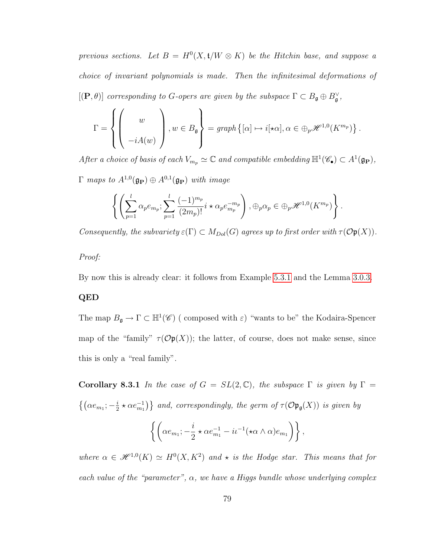previous sections. Let  $B = H^0(X, t/W \otimes K)$  be the Hitchin base, and suppose a choice of invariant polynomials is made. Then the infinitesimal deformations of  $[(P, \theta)]$  corresponding to G-opers are given by the subspace  $\Gamma \subset B_{\mathfrak{g}} \oplus B_{\mathfrak{g}}^{\vee}$ ,

$$
\Gamma = \left\{ \left( \begin{array}{c} w \\ -iA(w) \end{array} \right), w \in B_{\mathfrak{g}} \right\} = graph \left\{ [\alpha] \mapsto i[\star \alpha], \alpha \in \oplus_p \mathcal{H}^{1,0}(K^{m_p}) \right\}.
$$

After a choice of basis of each  $V_{m_p} \simeq \mathbb{C}$  and compatible embedding  $\mathbb{H}^1(\mathscr{C}_\bullet) \subset A^1(\mathfrak{g}_{\mathbf{P}})$ ,  $\Gamma$  maps to  $A^{1,0}(\mathfrak{g}_{\mathbf{P}}) \oplus A^{0,1}(\mathfrak{g}_{\mathbf{P}})$  with image

$$
\left\{ \left( \sum_{p=1}^l \alpha_p e_{m_p}; \sum_{p=1}^l \frac{(-1)^{m_p}}{(2m_p)!} i \star \alpha_p e_{m_p}^{-m_p} \right), \oplus_p \alpha_p \in \oplus_p \mathscr{H}^{1,0}(K^{m_p}) \right\}.
$$

Consequently, the subvariety  $\varepsilon(\Gamma) \subset M_{Dol}(G)$  agrees up to first order with  $\tau(\mathcal{O}p(X))$ .

#### Proof:

By now this is already clear: it follows from Example [5.3.1](#page-46-0) and the Lemma [3.0.3.](#page-24-0)

#### QED

The map  $B_{\mathfrak{g}} \to \Gamma \subset \mathbb{H}^1(\mathscr{C})$  (composed with  $\varepsilon$ ) "wants to be" the Kodaira-Spencer map of the "family"  $\tau(\mathcal{O}(\mathfrak{p}(X)))$ ; the latter, of course, does not make sense, since this is only a "real family".

Corollary 8.3.1 In the case of  $G = SL(2,\mathbb{C})$ , the subspace  $\Gamma$  is given by  $\Gamma =$  $\left\{ \left( \alpha e_{m_{1}};\text{--}\frac{i}{2}\right. \right.$  $\{e^i\over 2}\star \alpha e^{-1}_{m_1}\}$  and, correspondingly, the germ of  $\tau(\mathcal{O} \mathfrak{p}_{\mathfrak{g}}(X))$  is given by

$$
\left\{ \left( \alpha e_{m_1}; -\frac{i}{2} \star \alpha e_{m_1}^{-1} - i \iota^{-1} (\star \alpha \wedge \alpha) e_{m_1} \right) \right\},\,
$$

where  $\alpha \in \mathcal{H}^{1,0}(K) \simeq H^0(X,K^2)$  and  $\star$  is the Hodge star. This means that for each value of the "parameter",  $\alpha$ , we have a Higgs bundle whose underlying complex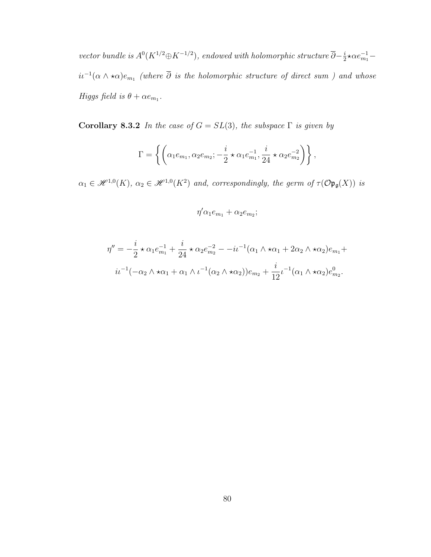vector bundle is  $A^0(K^{1/2} \oplus K^{-1/2})$ , endowed with holomorphic structure  $\overline{\partial} - \frac{i}{2}$  $\frac{i}{2}$ \* $\alpha e_{m_1}^{-1}$  –  $i\iota^{-1}(\alpha\wedge\star\alpha)e_{m_1}$  (where  $\overline{\partial}$  is the holomorphic structure of direct sum ) and whose Higgs field is  $\theta + \alpha e_{m_1}$ .

Corollary 8.3.2 In the case of  $G = SL(3)$ , the subspace  $\Gamma$  is given by

$$
\Gamma = \left\{ \left( \alpha_1 e_{m_1}, \alpha_2 e_{m_2}; -\frac{i}{2} \star \alpha_1 e_{m_1}^{-1}, \frac{i}{24} \star \alpha_2 e_{m_2}^{-2} \right) \right\},\,
$$

 $\alpha_1 \in \mathcal{H}^{1,0}(K)$ ,  $\alpha_2 \in \mathcal{H}^{1,0}(K^2)$  and, correspondingly, the germ of  $\tau(\mathcal{O} \mathfrak{p}_{\mathfrak{g}}(X))$  is

$$
\eta'\alpha_1e_{m_1}+\alpha_2e_{m_2};
$$

$$
\eta'' = -\frac{i}{2} \star \alpha_1 e_{m_1}^{-1} + \frac{i}{24} \star \alpha_2 e_{m_2}^{-2} - -i\iota^{-1}(\alpha_1 \wedge \star \alpha_1 + 2\alpha_2 \wedge \star \alpha_2) e_{m_1} +
$$
  

$$
i\iota^{-1}(-\alpha_2 \wedge \star \alpha_1 + \alpha_1 \wedge \iota^{-1}(\alpha_2 \wedge \star \alpha_2)) e_{m_2} + \frac{i}{12} \iota^{-1}(\alpha_1 \wedge \star \alpha_2) e_{m_2}^0.
$$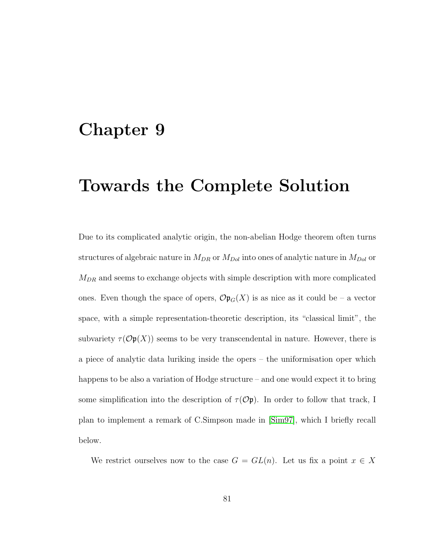### Chapter 9

## Towards the Complete Solution

Due to its complicated analytic origin, the non-abelian Hodge theorem often turns structures of algebraic nature in  $M_{DR}$  or  $M_{Dol}$  into ones of analytic nature in  $M_{Dol}$  or  $M_{DR}$  and seems to exchange objects with simple description with more complicated ones. Even though the space of opers,  $\mathcal{O}(\mathfrak{p}_G(X))$  is as nice as it could be – a vector space, with a simple representation-theoretic description, its "classical limit", the subvariety  $\tau(\mathcal{O}p(X))$  seems to be very transcendental in nature. However, there is a piece of analytic data luriking inside the opers – the uniformisation oper which happens to be also a variation of Hodge structure – and one would expect it to bring some simplification into the description of  $\tau(\mathcal{O}\mathfrak{p})$ . In order to follow that track, I plan to implement a remark of C.Simpson made in [\[Sim97\]](#page-100-0), which I briefly recall below.

We restrict ourselves now to the case  $G = GL(n)$ . Let us fix a point  $x \in X$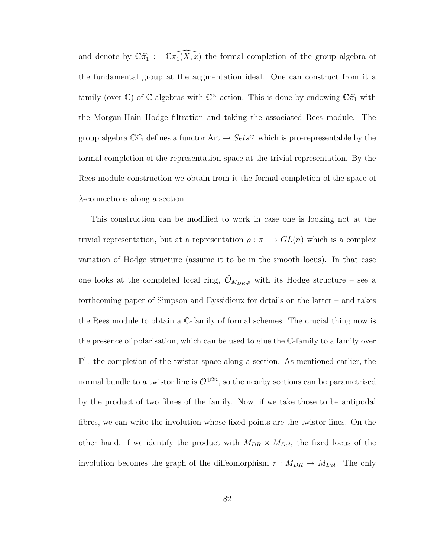and denote by  $\mathbb{C}\widehat{\pi_1} := \widehat{\mathbb{C}\pi_1(X, x)}$  the formal completion of the group algebra of the fundamental group at the augmentation ideal. One can construct from it a family (over  $\mathbb{C}$ ) of  $\mathbb{C}$ -algebras with  $\mathbb{C}^{\times}$ -action. This is done by endowing  $\mathbb{C}\hat{\pi}_1$  with the Morgan-Hain Hodge filtration and taking the associated Rees module. The group algebra  $\mathbb{C}\widehat{\pi_1}$  defines a functor  $\mathrm{Art} \to \mathfrak{Sets}^{op}$  which is pro-representable by the formal completion of the representation space at the trivial representation. By the Rees module construction we obtain from it the formal completion of the space of  $\lambda$ -connections along a section.

This construction can be modified to work in case one is looking not at the trivial representation, but at a representation  $\rho : \pi_1 \to GL(n)$  which is a complex variation of Hodge structure (assume it to be in the smooth locus). In that case one looks at the completed local ring,  $\hat{\mathcal{O}}_{M_{DR},\rho}$  with its Hodge structure – see a forthcoming paper of Simpson and Eyssidieux for details on the latter – and takes the Rees module to obtain a C-family of formal schemes. The crucial thing now is the presence of polarisation, which can be used to glue the C-family to a family over  $\mathbb{P}^1$ : the completion of the twistor space along a section. As mentioned earlier, the normal bundle to a twistor line is  $\mathcal{O}^{\oplus 2n}$ , so the nearby sections can be parametrised by the product of two fibres of the family. Now, if we take those to be antipodal fibres, we can write the involution whose fixed points are the twistor lines. On the other hand, if we identify the product with  $M_{DR} \times M_{Dol}$ , the fixed locus of the involution becomes the graph of the diffeomorphism  $\tau : M_{DR} \to M_{Dol}$ . The only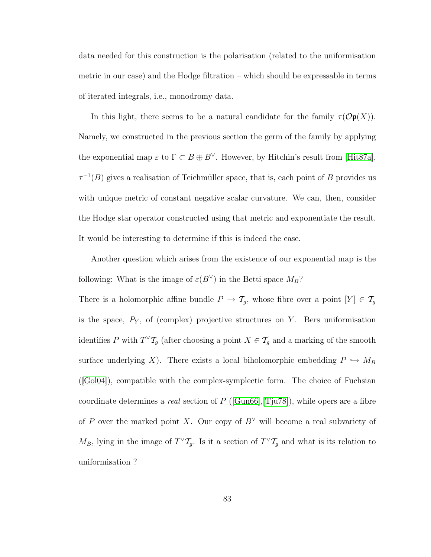data needed for this construction is the polarisation (related to the uniformisation metric in our case) and the Hodge filtration – which should be expressable in terms of iterated integrals, i.e., monodromy data.

In this light, there seems to be a natural candidate for the family  $\tau(\mathcal{O}(\mathfrak{p}(X)))$ . Namely, we constructed in the previous section the germ of the family by applying the exponential map  $\varepsilon$  to  $\Gamma \subset B \oplus B^{\vee}$ . However, by Hitchin's result from [\[Hit87a\]](#page-97-0),  $\tau^{-1}(B)$  gives a realisation of Teichmüller space, that is, each point of B provides us with unique metric of constant negative scalar curvature. We can, then, consider the Hodge star operator constructed using that metric and exponentiate the result. It would be interesting to determine if this is indeed the case.

Another question which arises from the existence of our exponential map is the following: What is the image of  $\varepsilon(B^{\vee})$  in the Betti space  $M_B$ ?

There is a holomorphic affine bundle  $P \to \mathcal{T}_g$ , whose fibre over a point  $[Y] \in \mathcal{T}_g$ is the space,  $P_Y$ , of (complex) projective structures on Y. Bers uniformisation identifies P with  $T^{\vee} \mathcal{T}_{g}$  (after choosing a point  $X \in \mathcal{T}_{g}$  and a marking of the smooth surface underlying X). There exists a local biholomorphic embedding  $P \hookrightarrow M_B$ ([\[Gol04\]](#page-97-1)), compatible with the complex-symplectic form. The choice of Fuchsian coordinate determines a *real* section of  $P$  ([\[Gun66\]](#page-97-2), [\[Tju78\]](#page-100-1)), while opers are a fibre of P over the marked point X. Our copy of  $B^{\vee}$  will become a real subvariety of  $M_B$ , lying in the image of  $T^{\vee}T_g$ . Is it a section of  $T^{\vee}T_g$  and what is its relation to uniformisation ?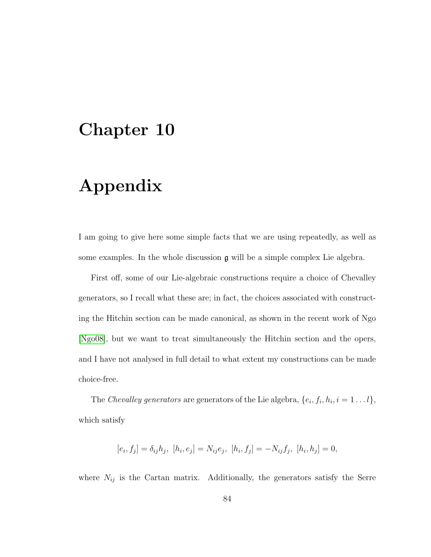## <span id="page-89-0"></span>Chapter 10

# Appendix

I am going to give here some simple facts that we are using repeatedly, as well as some examples. In the whole discussion  $g$  will be a simple complex Lie algebra.

First off, some of our Lie-algebraic constructions require a choice of Chevalley generators, so I recall what these are; in fact, the choices associated with constructing the Hitchin section can be made canonical, as shown in the recent work of Ngo [\[Ngo08\]](#page-99-0), but we want to treat simultaneously the Hitchin section and the opers, and I have not analysed in full detail to what extent my constructions can be made choice-free.

The Chevalley generators are generators of the Lie algebra,  $\{e_i, f_i, h_i, i = 1 \dots l\}$ , which satisfy

$$
[e_i, f_j] = \delta_{ij} h_j, [h_i, e_j] = N_{ij} e_j, [h_i, f_j] = -N_{ij} f_j, [h_i, h_j] = 0,
$$

where  $N_{ij}$  is the Cartan matrix. Additionally, the generators satisfy the Serre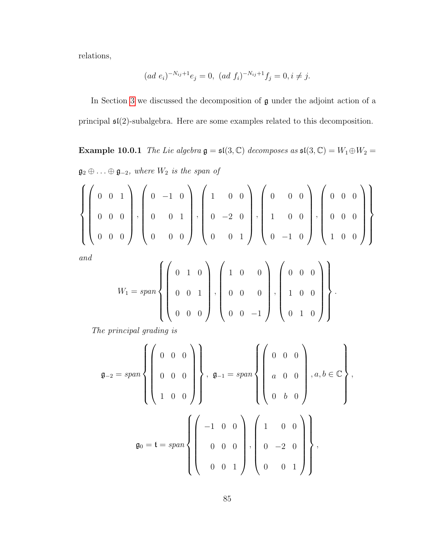relations,

$$
(ad \ e_i)^{-N_{ij}+1}e_j = 0, \ (ad \ f_i)^{-N_{ij}+1}f_j = 0, i \neq j.
$$

In Section [3](#page-16-0) we discussed the decomposition of g under the adjoint action of a principal  $\mathfrak{sl}(2)$ -subalgebra. Here are some examples related to this decomposition.

Example 10.0.1 The Lie algebra  $\mathfrak{g} = \mathfrak{sl}(3,\mathbb{C})$  decomposes as  $\mathfrak{sl}(3,\mathbb{C}) = W_1 \oplus W_2 =$  $\mathfrak{g}_2 \oplus \ldots \oplus \mathfrak{g}_{-2}$ , where  $W_2$  is the span of

$$
\left\{\left(\begin{array}{cccc}0 & 0 & 1 \\0 & 0 & 0 \\0 & 0 & 0\end{array}\right), \left(\begin{array}{cccc}0 & -1 & 0 \\0 & 0 & 1 \\0 & 0 & 0\end{array}\right), \left(\begin{array}{cccc}1 & 0 & 0 \\0 & -2 & 0 \\0 & 0 & 1\end{array}\right), \left(\begin{array}{cccc}0 & 0 & 0 \\1 & 0 & 0 \\0 & -1 & 0\end{array}\right), \left(\begin{array}{cccc}0 & 0 & 0 \\0 & 0 & 0 \\1 & 0 & 0\end{array}\right)\right\}
$$

and

$$
W_1 = span \left\{ \left( \begin{array}{rrr} 0 & 1 & 0 \\ 0 & 0 & 1 \\ 0 & 0 & 0 \end{array} \right), \left( \begin{array}{rrr} 1 & 0 & 0 \\ 0 & 0 & 0 \\ 0 & 0 & -1 \end{array} \right), \left( \begin{array}{rrr} 0 & 0 & 0 \\ 1 & 0 & 0 \\ 0 & 1 & 0 \end{array} \right) \right\}.
$$

The principal grading is

$$
\mathfrak{g}_{-2} = span \left\{ \left( \begin{array}{ccc} 0 & 0 & 0 \\ 0 & 0 & 0 \\ 1 & 0 & 0 \end{array} \right) \right\}, \quad \mathfrak{g}_{-1} = span \left\{ \left( \begin{array}{ccc} 0 & 0 & 0 \\ a & 0 & 0 \\ 0 & b & 0 \end{array} \right) , a, b \in \mathbb{C} \right\},
$$
\n
$$
\mathfrak{g}_{0} = \mathfrak{t} = span \left\{ \left( \begin{array}{ccc} -1 & 0 & 0 \\ 0 & 0 & 0 \\ 0 & 0 & 1 \end{array} \right) , \left( \begin{array}{ccc} 1 & 0 & 0 \\ 0 & -2 & 0 \\ 0 & 0 & 1 \end{array} \right) \right\},
$$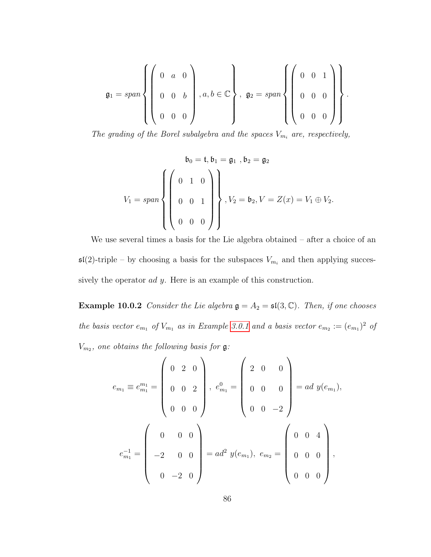$$
\mathfrak{g}_1 = span \left\{ \left( \begin{array}{ccc} 0 & a & 0 \\ 0 & 0 & b \\ 0 & 0 & 0 \end{array} \right), a, b \in \mathbb{C} \right\}, \ \mathfrak{g}_2 = span \left\{ \left( \begin{array}{ccc} 0 & 0 & 1 \\ 0 & 0 & 0 \\ 0 & 0 & 0 \end{array} \right) \right\}.
$$

The grading of the Borel subalgebra and the spaces  $V_{m_i}$  are, respectively,

$$
\mathfrak{b}_0 = \mathfrak{t}, \mathfrak{b}_1 = \mathfrak{g}_1, \mathfrak{b}_2 = \mathfrak{g}_2
$$
  

$$
V_1 = span \left\{ \begin{pmatrix} 0 & 1 & 0 \\ 0 & 0 & 1 \\ 0 & 0 & 0 \end{pmatrix} \right\}, V_2 = \mathfrak{b}_2, V = Z(x) = V_1 \oplus V_2.
$$

We use several times a basis for the Lie algebra obtained – after a choice of an  $\mathfrak{sl}(2)$ -triple – by choosing a basis for the subspaces  $V_{m_i}$  and then applying successively the operator *ad y*. Here is an example of this construction.

**Example 10.0.2** Consider the Lie algebra  $\mathfrak{g} = A_2 = \mathfrak{sl}(3, \mathbb{C})$ . Then, if one chooses the basis vector  $e_{m_1}$  of  $V_{m_1}$  as in Example [3.0.1](#page-16-1) and a basis vector  $e_{m_2}:=(e_{m_1})^2$  of  $V_{m_2}$ , one obtains the following basis for  $\mathfrak{g}$ :

$$
e_{m_1} \equiv e_{m_1}^{m_1} = \begin{pmatrix} 0 & 2 & 0 \\ 0 & 0 & 2 \\ 0 & 0 & 0 \end{pmatrix}, e_{m_1}^0 = \begin{pmatrix} 2 & 0 & 0 \\ 0 & 0 & 0 \\ 0 & 0 & -2 \end{pmatrix} = ad \ y(e_{m_1}),
$$
  

$$
e_{m_1}^{-1} = \begin{pmatrix} 0 & 0 & 0 \\ -2 & 0 & 0 \\ 0 & -2 & 0 \end{pmatrix} = ad^2 \ y(e_{m_1}), e_{m_2} = \begin{pmatrix} 0 & 0 & 4 \\ 0 & 0 & 0 \\ 0 & 0 & 0 \end{pmatrix},
$$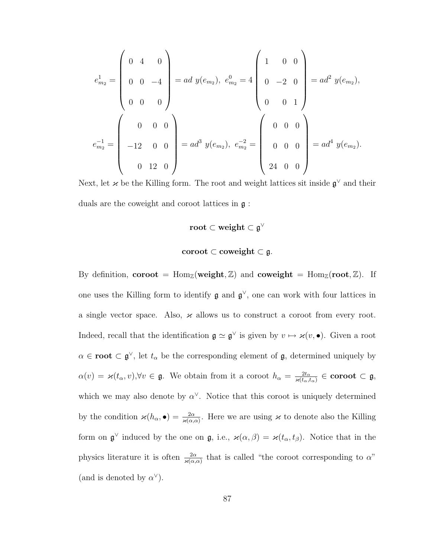$$
e_{m_2}^1 = \begin{pmatrix} 0 & 4 & 0 \\ 0 & 0 & -4 \\ 0 & 0 & 0 \end{pmatrix} = ad \ y(e_{m_2}), \ e_{m_2}^0 = 4 \begin{pmatrix} 1 & 0 & 0 \\ 0 & -2 & 0 \\ 0 & 0 & 1 \end{pmatrix} = ad^2 \ y(e_{m_2}),
$$

$$
e_{m_2}^{-1} = \begin{pmatrix} 0 & 0 & 0 \\ -12 & 0 & 0 \\ 0 & 12 & 0 \end{pmatrix} = ad^3 \ y(e_{m_2}), \ e_{m_2}^{-2} = \begin{pmatrix} 0 & 0 & 0 \\ 0 & 0 & 0 \\ 0 & 0 & 0 \end{pmatrix} = ad^4 \ y(e_{m_2}).
$$

Next, let  $\varkappa$  be the Killing form. The root and weight lattices sit inside  $\mathfrak{g}^{\vee}$  and their duals are the coweight and coroot lattices in g :

$$
\mathbf{root} \subset \mathbf{weight} \subset \mathfrak{g}^\vee
$$

$$
\mathbf{coroot} \subset \mathbf{coveight} \subset \mathfrak{g}.
$$

By definition, **coroot** = Hom<sub>Z</sub>(weight, Z) and **coweight** = Hom<sub>Z</sub>(root, Z). If one uses the Killing form to identify  $\mathfrak{g}$  and  $\mathfrak{g}^{\vee}$ , one can work with four lattices in a single vector space. Also,  $\varkappa$  allows us to construct a coroot from every root. Indeed, recall that the identification  $\mathfrak{g} \simeq \mathfrak{g}^{\vee}$  is given by  $v \mapsto \varkappa(v, \bullet)$ . Given a root  $\alpha \in \text{root} \subset \mathfrak{g}^{\vee}$ , let  $t_{\alpha}$  be the corresponding element of  $\mathfrak{g}$ , determined uniquely by  $\alpha(v) = \varkappa(t_\alpha, v), \forall v \in \mathfrak{g}$ . We obtain from it a coroot  $h_\alpha = \frac{2t_\alpha}{\varkappa(t_\alpha, t_\alpha)} \in \mathbf{coroot} \subset \mathfrak{g}$ , which we may also denote by  $\alpha^{\vee}$ . Notice that this coroot is uniquely determined by the condition  $\varkappa(h_{\alpha},\bullet) = \frac{2\alpha}{\varkappa(\alpha,\alpha)}$ . Here we are using  $\varkappa$  to denote also the Killing form on  $\mathfrak{g}^{\vee}$  induced by the one on  $\mathfrak{g}$ , i.e.,  $\varkappa(\alpha,\beta) = \varkappa(t_{\alpha},t_{\beta})$ . Notice that in the physics literature it is often  $\frac{2\alpha}{\varkappa(\alpha,\alpha)}$  that is called "the coroot corresponding to  $\alpha$ " (and is denoted by  $\alpha^{\vee}$ ).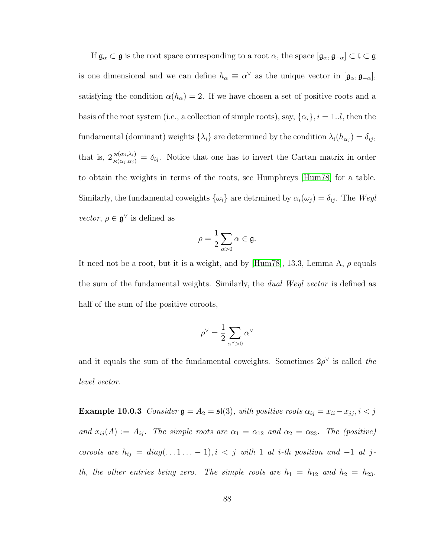If  $\mathfrak{g}_{\alpha} \subset \mathfrak{g}$  is the root space corresponding to a root  $\alpha$ , the space  $[\mathfrak{g}_{\alpha}, \mathfrak{g}_{-\alpha}] \subset \mathfrak{t} \subset \mathfrak{g}$ is one dimensional and we can define  $h_{\alpha} \equiv \alpha^{\vee}$  as the unique vector in  $[\mathfrak{g}_{\alpha}, \mathfrak{g}_{-\alpha}]$ , satisfying the condition  $\alpha(h_{\alpha}) = 2$ . If we have chosen a set of positive roots and a basis of the root system (i.e., a collection of simple roots), say,  $\{\alpha_i\}$ ,  $i = 1..l$ , then the fundamental (dominant) weights  $\{\lambda_i\}$  are determined by the condition  $\lambda_i(h_{\alpha_j}) = \delta_{ij}$ , that is,  $2 \frac{\varkappa(\alpha_j, \lambda_i)}{\varkappa(\alpha_j, \alpha_j)} = \delta_{ij}$ . Notice that one has to invert the Cartan matrix in order to obtain the weights in terms of the roots, see Humphreys [\[Hum78\]](#page-98-0) for a table. Similarly, the fundamental coweights  $\{\omega_i\}$  are detrmined by  $\alpha_i(\omega_j) = \delta_{ij}$ . The Weyl *vector*,  $\rho \in \mathfrak{g}^{\vee}$  is defined as

$$
\rho = \frac{1}{2} \sum_{\alpha > 0} \alpha \in \mathfrak{g}.
$$

It need not be a root, but it is a weight, and by [\[Hum78\]](#page-98-0), 13.3, Lemma A,  $\rho$  equals the sum of the fundamental weights. Similarly, the *dual Weyl vector* is defined as half of the sum of the positive coroots,

$$
\rho^\vee=\frac{1}{2}\sum_{\alpha^\vee>0}\alpha^\vee
$$

and it equals the sum of the fundamental coweights. Sometimes  $2\rho^{\vee}$  is called the level vector.

Example 10.0.3 Consider  $\mathfrak{g} = A_2 = \mathfrak{sl}(3)$ , with positive roots  $\alpha_{ij} = x_{ii} - x_{jj}$ ,  $i < j$ and  $x_{ij}(A) := A_{ij}$ . The simple roots are  $\alpha_1 = \alpha_{12}$  and  $\alpha_2 = \alpha_{23}$ . The (positive) coroots are  $h_{ij} = diag(...1... - 1), i < j$  with 1 at i-th position and -1 at jth, the other entries being zero. The simple roots are  $h_1 = h_{12}$  and  $h_2 = h_{23}$ .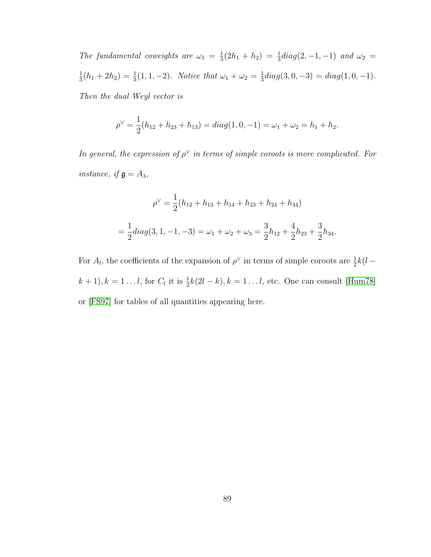The fundamental coweights are  $\omega_1 = \frac{1}{3}$  $\frac{1}{3}(2h_1 + h_2) = \frac{1}{3}diag(2, -1, -1)$  and  $\omega_2 =$ 1  $\frac{1}{3}(h_1+2h_2)=\frac{1}{3}(1,1,-2)$ . Notice that  $\omega_1+\omega_2=\frac{1}{3}$  $\frac{1}{3}diag(3,0,-3) = diag(1,0,-1).$ Then the dual Weyl vector is

$$
\rho^{\vee} = \frac{1}{2}(h_{12} + h_{23} + h_{13}) = diag(1, 0, -1) = \omega_1 + \omega_2 = h_1 + h_2.
$$

In general, the expression of  $\rho^{\vee}$  in terms of simple coroots is more complicated. For instance, if  $\mathfrak{g} = A_3$ ,

$$
\rho^{\vee} = \frac{1}{2}(h_{12} + h_{13} + h_{14} + h_{23} + h_{24} + h_{34})
$$
  
=  $\frac{1}{2}diag(3, 1, -1, -3) = \omega_1 + \omega_2 + \omega_3 = \frac{3}{2}h_{12} + \frac{4}{2}h_{23} + \frac{3}{2}h_{34}.$ 

For  $A_l$ , the coefficients of the expansion of  $\rho^{\vee}$  in terms of simple coroots are  $\frac{1}{2}k(l (k+1), k = 1...l$ , for  $C_l$  it is  $\frac{1}{2}k(2l-k), k = 1...l$ , etc. One can consult [\[Hum78\]](#page-98-0) or [\[FS97\]](#page-96-0) for tables of all quantities appearing here.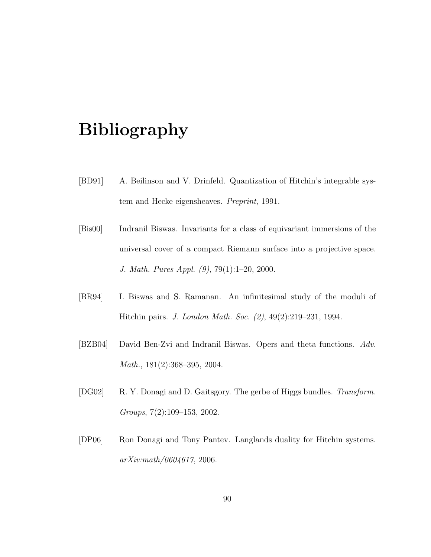## Bibliography

- [BD91] A. Beilinson and V. Drinfeld. Quantization of Hitchin's integrable system and Hecke eigensheaves. Preprint, 1991.
- [Bis00] Indranil Biswas. Invariants for a class of equivariant immersions of the universal cover of a compact Riemann surface into a projective space. J. Math. Pures Appl. (9), 79(1):1–20, 2000.
- [BR94] I. Biswas and S. Ramanan. An infinitesimal study of the moduli of Hitchin pairs. J. London Math. Soc. (2), 49(2):219–231, 1994.
- [BZB04] David Ben-Zvi and Indranil Biswas. Opers and theta functions. Adv. Math., 181(2):368–395, 2004.
- [DG02] R. Y. Donagi and D. Gaitsgory. The gerbe of Higgs bundles. Transform. Groups, 7(2):109–153, 2002.
- [DP06] Ron Donagi and Tony Pantev. Langlands duality for Hitchin systems. arXiv:math/0604617, 2006.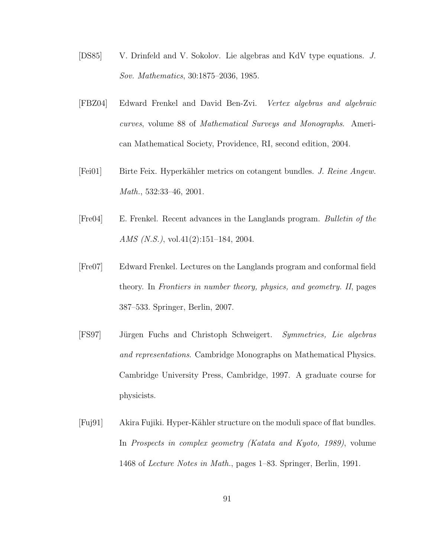- [DS85] V. Drinfeld and V. Sokolov. Lie algebras and KdV type equations. J. Sov. Mathematics, 30:1875–2036, 1985.
- [FBZ04] Edward Frenkel and David Ben-Zvi. Vertex algebras and algebraic curves, volume 88 of Mathematical Surveys and Monographs. American Mathematical Society, Providence, RI, second edition, 2004.
- [Fei01] Birte Feix. Hyperkähler metrics on cotangent bundles. J. Reine Angew. Math., 532:33–46, 2001.
- [Fre04] E. Frenkel. Recent advances in the Langlands program. Bulletin of the AMS (N.S.), vol.41(2):151–184, 2004.
- [Fre07] Edward Frenkel. Lectures on the Langlands program and conformal field theory. In Frontiers in number theory, physics, and geometry. II, pages 387–533. Springer, Berlin, 2007.
- <span id="page-96-0"></span>[FS97] Jürgen Fuchs and Christoph Schweigert. Symmetries, Lie algebras and representations. Cambridge Monographs on Mathematical Physics. Cambridge University Press, Cambridge, 1997. A graduate course for physicists.
- [Fuj91] Akira Fujiki. Hyper-Kähler structure on the moduli space of flat bundles. In Prospects in complex geometry (Katata and Kyoto, 1989), volume 1468 of Lecture Notes in Math., pages 1–83. Springer, Berlin, 1991.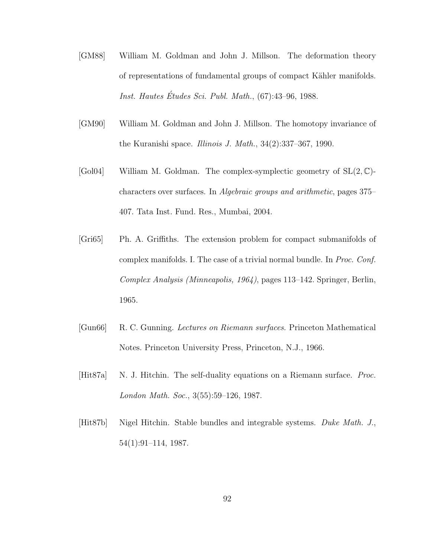- [GM88] William M. Goldman and John J. Millson. The deformation theory of representations of fundamental groups of compact Kähler manifolds. Inst. Hautes Études Sci. Publ. Math.,  $(67):43-96, 1988$ .
- [GM90] William M. Goldman and John J. Millson. The homotopy invariance of the Kuranishi space. Illinois J. Math.,  $34(2):337-367$ , 1990.
- <span id="page-97-1"></span>[Gol04] William M. Goldman. The complex-symplectic geometry of  $SL(2, \mathbb{C})$ characters over surfaces. In Algebraic groups and arithmetic, pages 375– 407. Tata Inst. Fund. Res., Mumbai, 2004.
- [Gri65] Ph. A. Griffiths. The extension problem for compact submanifolds of complex manifolds. I. The case of a trivial normal bundle. In Proc. Conf. Complex Analysis (Minneapolis, 1964), pages 113–142. Springer, Berlin, 1965.
- <span id="page-97-2"></span>[Gun66] R. C. Gunning. Lectures on Riemann surfaces. Princeton Mathematical Notes. Princeton University Press, Princeton, N.J., 1966.
- <span id="page-97-0"></span>[Hit87a] N. J. Hitchin. The self-duality equations on a Riemann surface. Proc. London Math. Soc., 3(55):59–126, 1987.
- [Hit87b] Nigel Hitchin. Stable bundles and integrable systems. Duke Math. J., 54(1):91–114, 1987.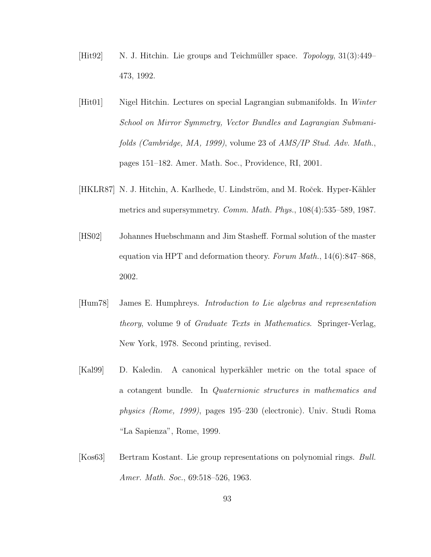- $[Hit92]$  N. J. Hitchin. Lie groups and Teichmüller space. Topology,  $31(3):449-$ 473, 1992.
- [Hit01] Nigel Hitchin. Lectures on special Lagrangian submanifolds. In Winter School on Mirror Symmetry, Vector Bundles and Lagrangian Submanifolds (Cambridge, MA, 1999), volume 23 of AMS/IP Stud. Adv. Math., pages 151–182. Amer. Math. Soc., Providence, RI, 2001.
- [HKLR87] N. J. Hitchin, A. Karlhede, U. Lindström, and M. Roček. Hyper-Kähler metrics and supersymmetry. Comm. Math. Phys., 108(4):535–589, 1987.
- [HS02] Johannes Huebschmann and Jim Stasheff. Formal solution of the master equation via HPT and deformation theory. Forum Math.,  $14(6):847-868$ , 2002.
- <span id="page-98-0"></span>[Hum78] James E. Humphreys. Introduction to Lie algebras and representation theory, volume 9 of Graduate Texts in Mathematics. Springer-Verlag, New York, 1978. Second printing, revised.
- [Kal99] D. Kaledin. A canonical hyperkähler metric on the total space of a cotangent bundle. In Quaternionic structures in mathematics and physics (Rome, 1999), pages 195–230 (electronic). Univ. Studi Roma "La Sapienza", Rome, 1999.
- [Kos63] Bertram Kostant. Lie group representations on polynomial rings. Bull. Amer. Math. Soc., 69:518–526, 1963.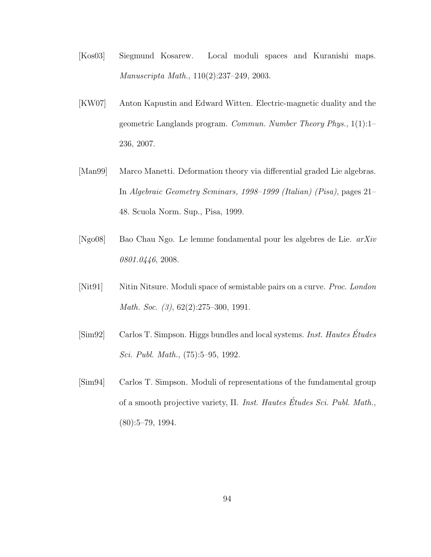- [Kos03] Siegmund Kosarew. Local moduli spaces and Kuranishi maps. Manuscripta Math., 110(2):237–249, 2003.
- [KW07] Anton Kapustin and Edward Witten. Electric-magnetic duality and the geometric Langlands program. Commun. Number Theory Phys., 1(1):1– 236, 2007.
- [Man99] Marco Manetti. Deformation theory via differential graded Lie algebras. In Algebraic Geometry Seminars, 1998–1999 (Italian) (Pisa), pages 21– 48. Scuola Norm. Sup., Pisa, 1999.
- <span id="page-99-0"></span>[Ngo08] Bao Chau Ngo. Le lemme fondamental pour les algebres de Lie. arXiv 0801.0446, 2008.
- [Nit91] Nitin Nitsure. Moduli space of semistable pairs on a curve. *Proc. London* Math. Soc. (3), 62(2):275–300, 1991.
- $[\text{Sim92}]$  Carlos T. Simpson. Higgs bundles and local systems. Inst. Hautes Études Sci. Publ. Math., (75):5–95, 1992.
- [Sim94] Carlos T. Simpson. Moduli of representations of the fundamental group of a smooth projective variety, II. Inst. Hautes Études Sci. Publ. Math., (80):5–79, 1994.